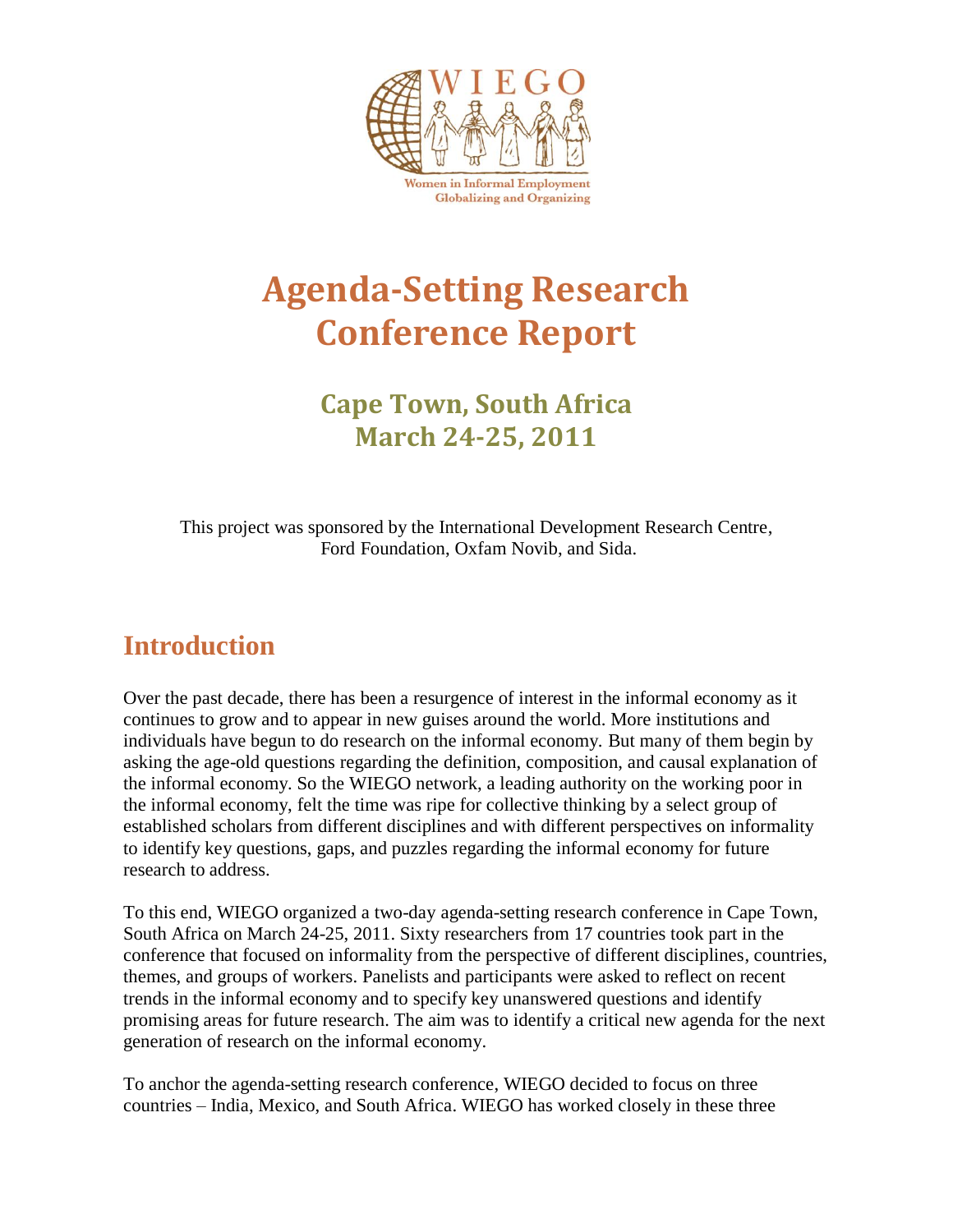

**Globalizing and Organizing** 

# **Agenda-Setting Research Conference Report**

# **Cape Town, South Africa March 24-25, 2011**

This project was sponsored by the International Development Research Centre, Ford Foundation, Oxfam Novib, and Sida.

# **Introduction**

Over the past decade, there has been a resurgence of interest in the informal economy as it continues to grow and to appear in new guises around the world. More institutions and individuals have begun to do research on the informal economy. But many of them begin by asking the age-old questions regarding the definition, composition, and causal explanation of the informal economy. So the WIEGO network, a leading authority on the working poor in the informal economy, felt the time was ripe for collective thinking by a select group of established scholars from different disciplines and with different perspectives on informality to identify key questions, gaps, and puzzles regarding the informal economy for future research to address.

To this end, WIEGO organized a two-day agenda-setting research conference in Cape Town, South Africa on March 24-25, 2011. Sixty researchers from 17 countries took part in the conference that focused on informality from the perspective of different disciplines, countries, themes, and groups of workers. Panelists and participants were asked to reflect on recent trends in the informal economy and to specify key unanswered questions and identify promising areas for future research. The aim was to identify a critical new agenda for the next generation of research on the informal economy.

To anchor the agenda-setting research conference, WIEGO decided to focus on three countries – India, Mexico, and South Africa. WIEGO has worked closely in these three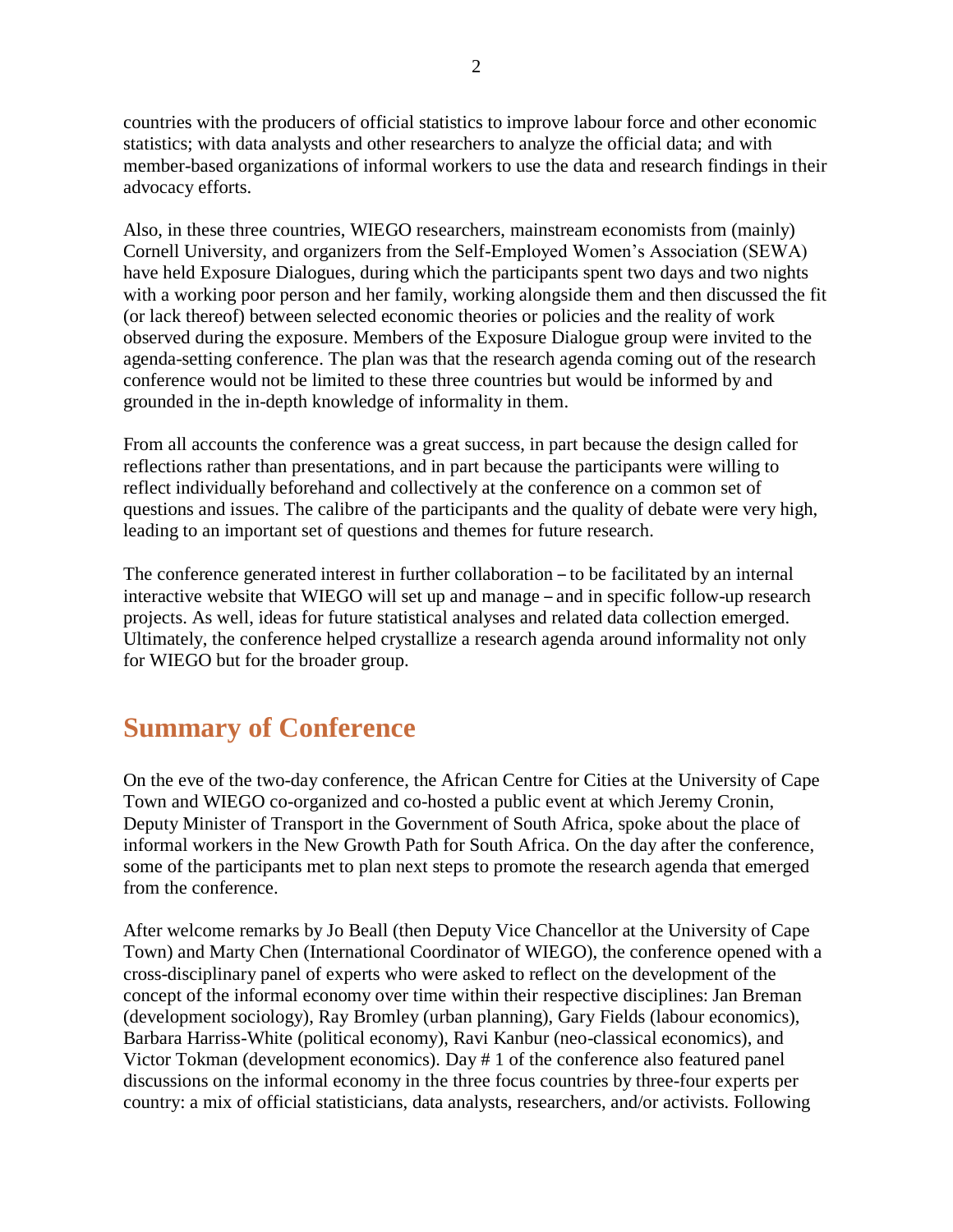countries with the producers of official statistics to improve labour force and other economic statistics; with data analysts and other researchers to analyze the official data; and with member-based organizations of informal workers to use the data and research findings in their advocacy efforts.

Also, in these three countries, WIEGO researchers, mainstream economists from (mainly) Cornell University, and organizers from the Self-Employed Women's Association (SEWA) have held Exposure Dialogues, during which the participants spent two days and two nights with a working poor person and her family, working alongside them and then discussed the fit (or lack thereof) between selected economic theories or policies and the reality of work observed during the exposure. Members of the Exposure Dialogue group were invited to the agenda-setting conference. The plan was that the research agenda coming out of the research conference would not be limited to these three countries but would be informed by and grounded in the in-depth knowledge of informality in them.

From all accounts the conference was a great success, in part because the design called for reflections rather than presentations, and in part because the participants were willing to reflect individually beforehand and collectively at the conference on a common set of questions and issues. The calibre of the participants and the quality of debate were very high, leading to an important set of questions and themes for future research.

The conference generated interest in further collaboration – to be facilitated by an internal interactive website that WIEGO will set up and manage – and in specific follow-up research projects. As well, ideas for future statistical analyses and related data collection emerged. Ultimately, the conference helped crystallize a research agenda around informality not only for WIEGO but for the broader group.

# **Summary of Conference**

On the eve of the two-day conference, the African Centre for Cities at the University of Cape Town and WIEGO co-organized and co-hosted a public event at which Jeremy Cronin, Deputy Minister of Transport in the Government of South Africa, spoke about the place of informal workers in the New Growth Path for South Africa. On the day after the conference, some of the participants met to plan next steps to promote the research agenda that emerged from the conference.

After welcome remarks by Jo Beall (then Deputy Vice Chancellor at the University of Cape Town) and Marty Chen (International Coordinator of WIEGO), the conference opened with a cross-disciplinary panel of experts who were asked to reflect on the development of the concept of the informal economy over time within their respective disciplines: Jan Breman (development sociology), Ray Bromley (urban planning), Gary Fields (labour economics), Barbara Harriss-White (political economy), Ravi Kanbur (neo-classical economics), and Victor Tokman (development economics). Day # 1 of the conference also featured panel discussions on the informal economy in the three focus countries by three-four experts per country: a mix of official statisticians, data analysts, researchers, and/or activists. Following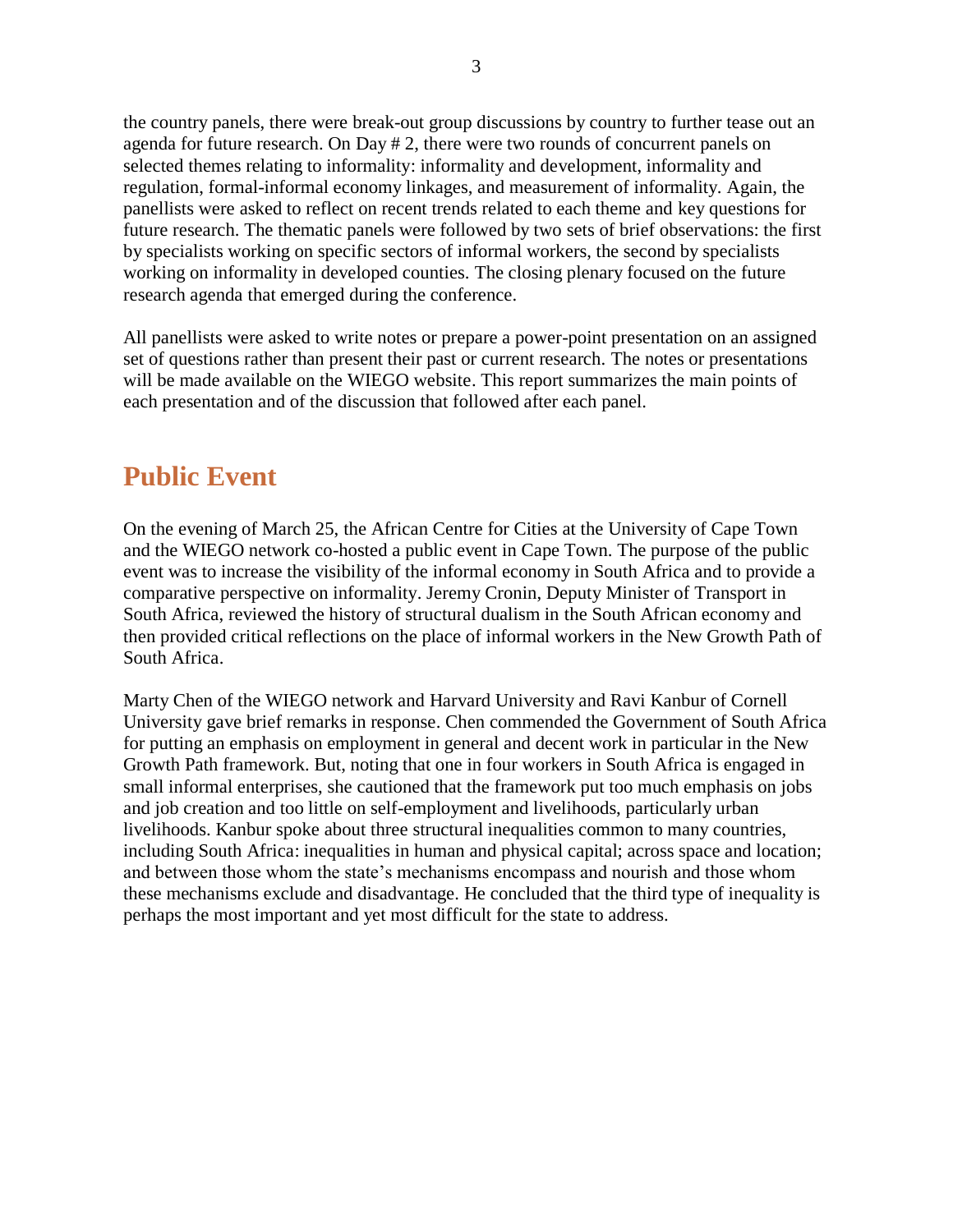the country panels, there were break-out group discussions by country to further tease out an agenda for future research. On Day # 2, there were two rounds of concurrent panels on selected themes relating to informality: informality and development, informality and regulation, formal-informal economy linkages, and measurement of informality. Again, the panellists were asked to reflect on recent trends related to each theme and key questions for future research. The thematic panels were followed by two sets of brief observations: the first by specialists working on specific sectors of informal workers, the second by specialists working on informality in developed counties. The closing plenary focused on the future research agenda that emerged during the conference.

All panellists were asked to write notes or prepare a power-point presentation on an assigned set of questions rather than present their past or current research. The notes or presentations will be made available on the WIEGO website. This report summarizes the main points of each presentation and of the discussion that followed after each panel.

# **Public Event**

On the evening of March 25, the African Centre for Cities at the University of Cape Town and the WIEGO network co-hosted a public event in Cape Town. The purpose of the public event was to increase the visibility of the informal economy in South Africa and to provide a comparative perspective on informality. Jeremy Cronin, Deputy Minister of Transport in South Africa, reviewed the history of structural dualism in the South African economy and then provided critical reflections on the place of informal workers in the New Growth Path of South Africa.

Marty Chen of the WIEGO network and Harvard University and Ravi Kanbur of Cornell University gave brief remarks in response. Chen commended the Government of South Africa for putting an emphasis on employment in general and decent work in particular in the New Growth Path framework. But, noting that one in four workers in South Africa is engaged in small informal enterprises, she cautioned that the framework put too much emphasis on jobs and job creation and too little on self-employment and livelihoods, particularly urban livelihoods. Kanbur spoke about three structural inequalities common to many countries, including South Africa: inequalities in human and physical capital; across space and location; and between those whom the state's mechanisms encompass and nourish and those whom these mechanisms exclude and disadvantage. He concluded that the third type of inequality is perhaps the most important and yet most difficult for the state to address.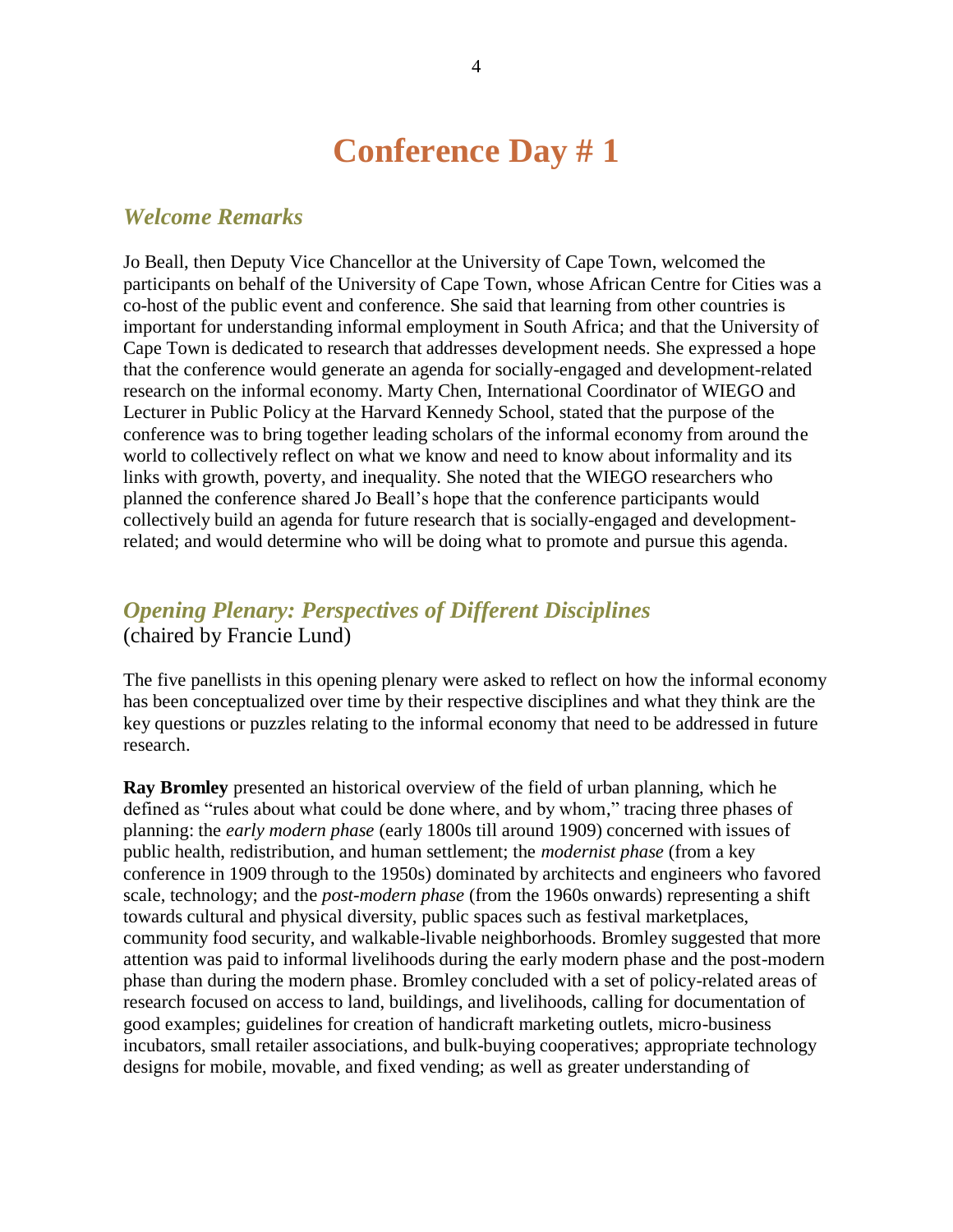# **Conference Day # 1**

### *Welcome Remarks*

Jo Beall, then Deputy Vice Chancellor at the University of Cape Town, welcomed the participants on behalf of the University of Cape Town, whose African Centre for Cities was a co-host of the public event and conference. She said that learning from other countries is important for understanding informal employment in South Africa; and that the University of Cape Town is dedicated to research that addresses development needs. She expressed a hope that the conference would generate an agenda for socially-engaged and development-related research on the informal economy. Marty Chen, International Coordinator of WIEGO and Lecturer in Public Policy at the Harvard Kennedy School, stated that the purpose of the conference was to bring together leading scholars of the informal economy from around the world to collectively reflect on what we know and need to know about informality and its links with growth, poverty, and inequality. She noted that the WIEGO researchers who planned the conference shared Jo Beall's hope that the conference participants would collectively build an agenda for future research that is socially-engaged and developmentrelated; and would determine who will be doing what to promote and pursue this agenda.

# *Opening Plenary: Perspectives of Different Disciplines* (chaired by Francie Lund)

The five panellists in this opening plenary were asked to reflect on how the informal economy has been conceptualized over time by their respective disciplines and what they think are the key questions or puzzles relating to the informal economy that need to be addressed in future research.

**Ray Bromley** presented an historical overview of the field of urban planning, which he defined as "rules about what could be done where, and by whom," tracing three phases of planning: the *early modern phase* (early 1800s till around 1909) concerned with issues of public health, redistribution, and human settlement; the *modernist phase* (from a key conference in 1909 through to the 1950s) dominated by architects and engineers who favored scale, technology; and the *post-modern phase* (from the 1960s onwards) representing a shift towards cultural and physical diversity, public spaces such as festival marketplaces, community food security, and walkable-livable neighborhoods. Bromley suggested that more attention was paid to informal livelihoods during the early modern phase and the post-modern phase than during the modern phase. Bromley concluded with a set of policy-related areas of research focused on access to land, buildings, and livelihoods, calling for documentation of good examples; guidelines for creation of handicraft marketing outlets, micro-business incubators, small retailer associations, and bulk-buying cooperatives; appropriate technology designs for mobile, movable, and fixed vending; as well as greater understanding of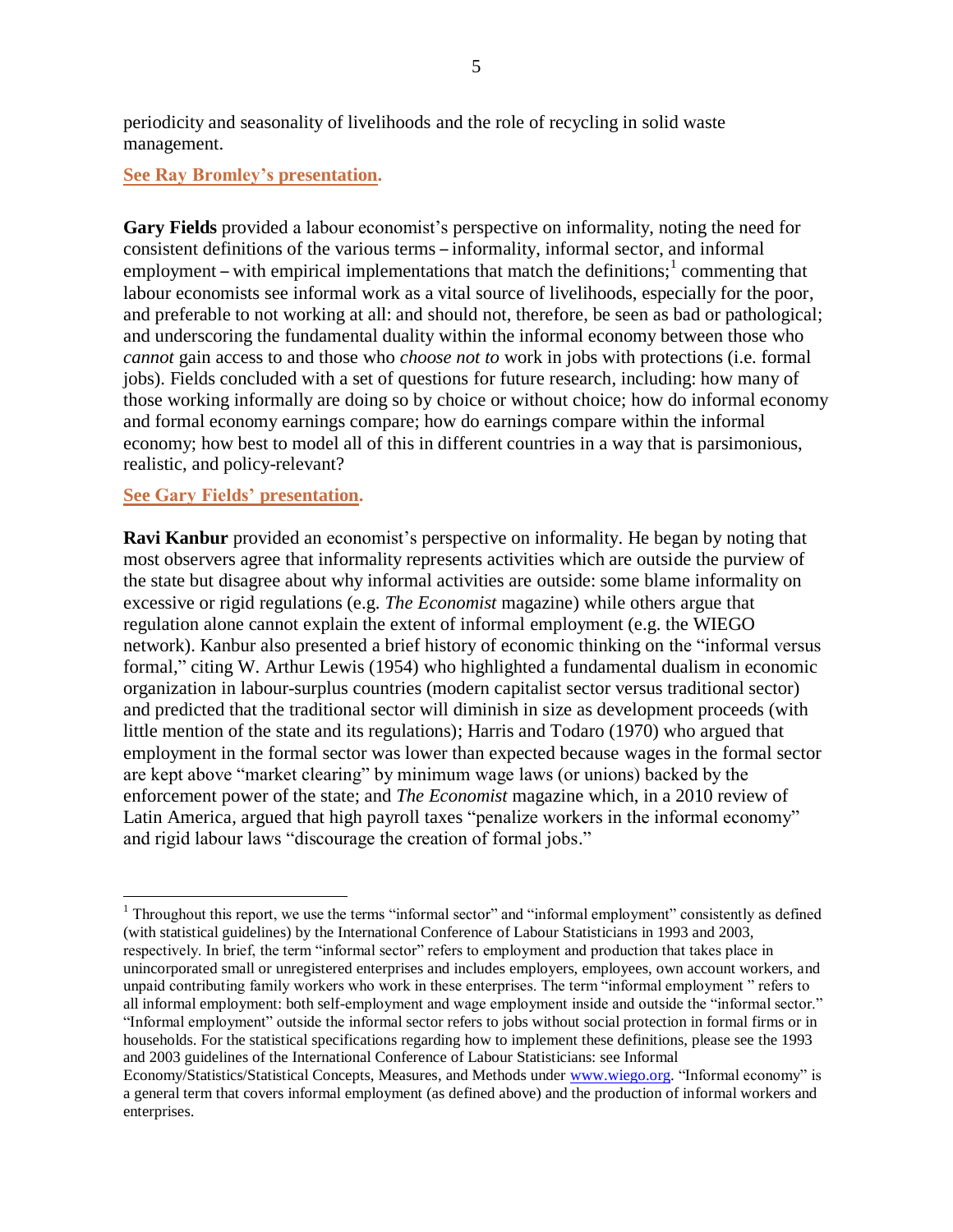periodicity and seasonality of livelihoods and the role of recycling in solid waste management.

### **[See Ray Bromley's](http://wiego.org/sites/wiego.org/files/resources/files/Bromley-Urban-Plan-Inf-Emp.pdf) presentation.**

**Gary Fields** provided a labour economist's perspective on informality, noting the need for consistent definitions of the various terms – informality, informal sector, and informal employment – with empirical implementations that match the definitions;  $1$  commenting that labour economists see informal work as a vital source of livelihoods, especially for the poor, and preferable to not working at all: and should not, therefore, be seen as bad or pathological; and underscoring the fundamental duality within the informal economy between those who *cannot* gain access to and those who *choose not to* work in jobs with protections (i.e. formal jobs). Fields concluded with a set of questions for future research, including: how many of those working informally are doing so by choice or without choice; how do informal economy and formal economy earnings compare; how do earnings compare within the informal economy; how best to model all of this in different countries in a way that is parsimonious, realistic, and policy-relevant?

### **[See Gary Fields'](http://wiego.org/sites/wiego.org/files/resources/files/Fields-Labor-Econ-Perspective.pdf) presentation.**

 $\overline{a}$ 

**Ravi Kanbur** provided an economist's perspective on informality. He began by noting that most observers agree that informality represents activities which are outside the purview of the state but disagree about why informal activities are outside: some blame informality on excessive or rigid regulations (e.g. *The Economist* magazine) while others argue that regulation alone cannot explain the extent of informal employment (e.g. the WIEGO network). Kanbur also presented a brief history of economic thinking on the "informal versus formal," citing W. Arthur Lewis (1954) who highlighted a fundamental dualism in economic organization in labour-surplus countries (modern capitalist sector versus traditional sector) and predicted that the traditional sector will diminish in size as development proceeds (with little mention of the state and its regulations); Harris and Todaro (1970) who argued that employment in the formal sector was lower than expected because wages in the formal sector are kept above "market clearing" by minimum wage laws (or unions) backed by the enforcement power of the state; and *The Economist* magazine which, in a 2010 review of Latin America, argued that high payroll taxes "penalize workers in the informal economy" and rigid labour laws "discourage the creation of formal jobs."

 $1$  Throughout this report, we use the terms "informal sector" and "informal employment" consistently as defined (with statistical guidelines) by the International Conference of Labour Statisticians in 1993 and 2003, respectively. In brief, the term "informal sector" refers to employment and production that takes place in unincorporated small or unregistered enterprises and includes employers, employees, own account workers, and unpaid contributing family workers who work in these enterprises. The term "informal employment" refers to all informal employment: both self-employment and wage employment inside and outside the "informal sector." ―Informal employment‖ outside the informal sector refers to jobs without social protection in formal firms or in households. For the statistical specifications regarding how to implement these definitions, please see the 1993 and 2003 guidelines of the International Conference of Labour Statisticians: see Informal

Economy/Statistics/Statistical Concepts, Measures, and Methods under [www.wiego.org.](http://www.wiego.org/) "Informal economy" is a general term that covers informal employment (as defined above) and the production of informal workers and enterprises.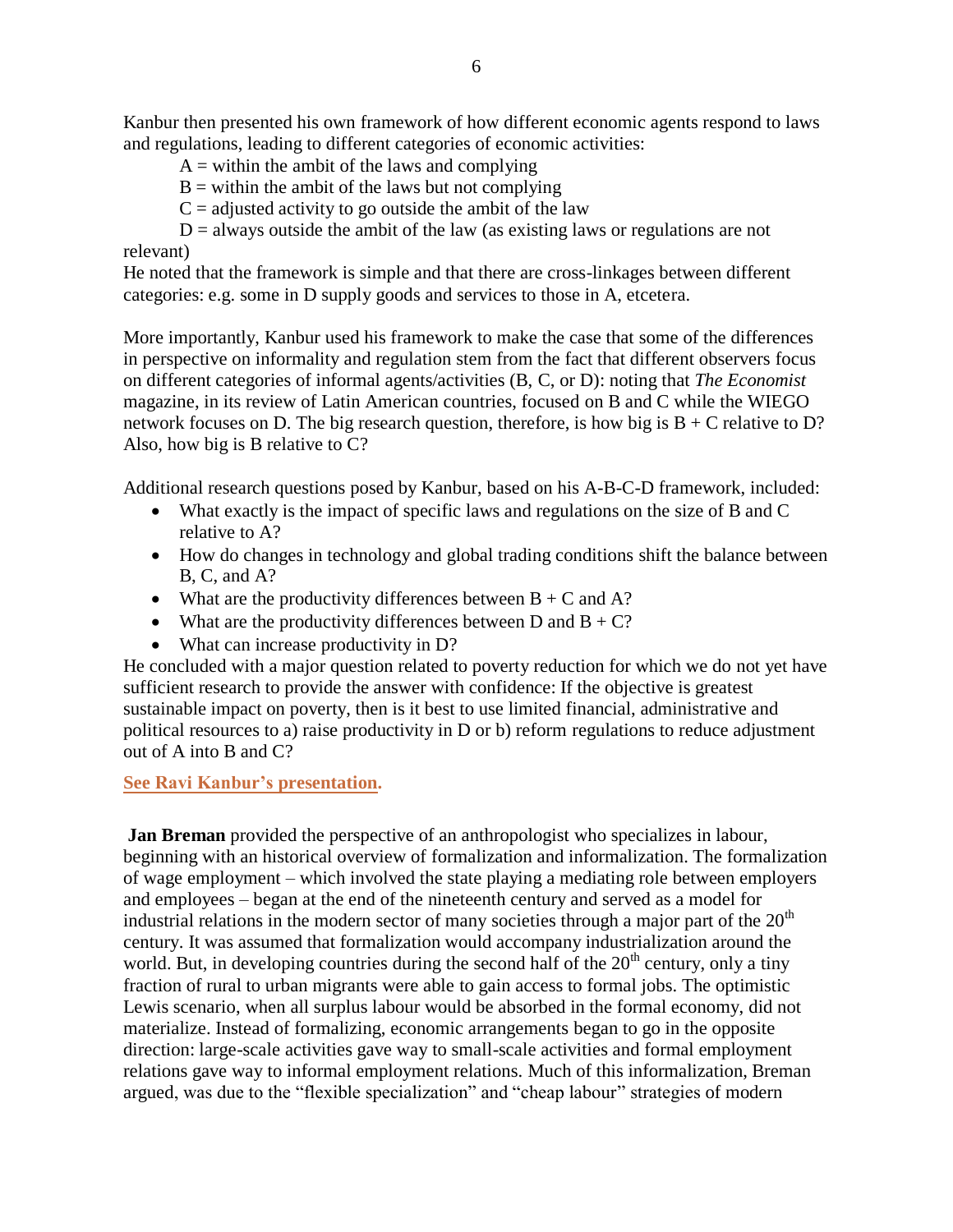Kanbur then presented his own framework of how different economic agents respond to laws and regulations, leading to different categories of economic activities:

 $A =$  within the ambit of the laws and complying

 $B =$  within the ambit of the laws but not complying

 $C =$  adjusted activity to go outside the ambit of the law

 $D =$  always outside the ambit of the law (as existing laws or regulations are not relevant)

He noted that the framework is simple and that there are cross-linkages between different categories: e.g. some in D supply goods and services to those in A, etcetera.

More importantly, Kanbur used his framework to make the case that some of the differences in perspective on informality and regulation stem from the fact that different observers focus on different categories of informal agents/activities (B, C, or D): noting that *The Economist* magazine, in its review of Latin American countries, focused on B and C while the WIEGO network focuses on D. The big research question, therefore, is how big is  $B + C$  relative to D? Also, how big is B relative to C?

Additional research questions posed by Kanbur, based on his A-B-C-D framework, included:

- What exactly is the impact of specific laws and regulations on the size of B and C relative to A?
- How do changes in technology and global trading conditions shift the balance between B, C, and A?
- What are the productivity differences between  $B + C$  and A?
- What are the productivity differences between D and  $B + C$ ?
- What can increase productivity in D?

He concluded with a major question related to poverty reduction for which we do not yet have sufficient research to provide the answer with confidence: If the objective is greatest sustainable impact on poverty, then is it best to use limited financial, administrative and political resources to a) raise productivity in D or b) reform regulations to reduce adjustment out of A into B and C?

### **[See Ravi Kanbur's](http://wiego.org/sites/wiego.org/files/resources/files/Kanbur-WIEGO-Economist.pdf) presentation.**

**Jan Breman** provided the perspective of an anthropologist who specializes in labour, beginning with an historical overview of formalization and informalization. The formalization of wage employment – which involved the state playing a mediating role between employers and employees – began at the end of the nineteenth century and served as a model for industrial relations in the modern sector of many societies through a major part of the  $20<sup>th</sup>$ century. It was assumed that formalization would accompany industrialization around the world. But, in developing countries during the second half of the  $20<sup>th</sup>$  century, only a tiny fraction of rural to urban migrants were able to gain access to formal jobs. The optimistic Lewis scenario, when all surplus labour would be absorbed in the formal economy, did not materialize. Instead of formalizing, economic arrangements began to go in the opposite direction: large-scale activities gave way to small-scale activities and formal employment relations gave way to informal employment relations. Much of this informalization, Breman argued, was due to the "flexible specialization" and "cheap labour" strategies of modern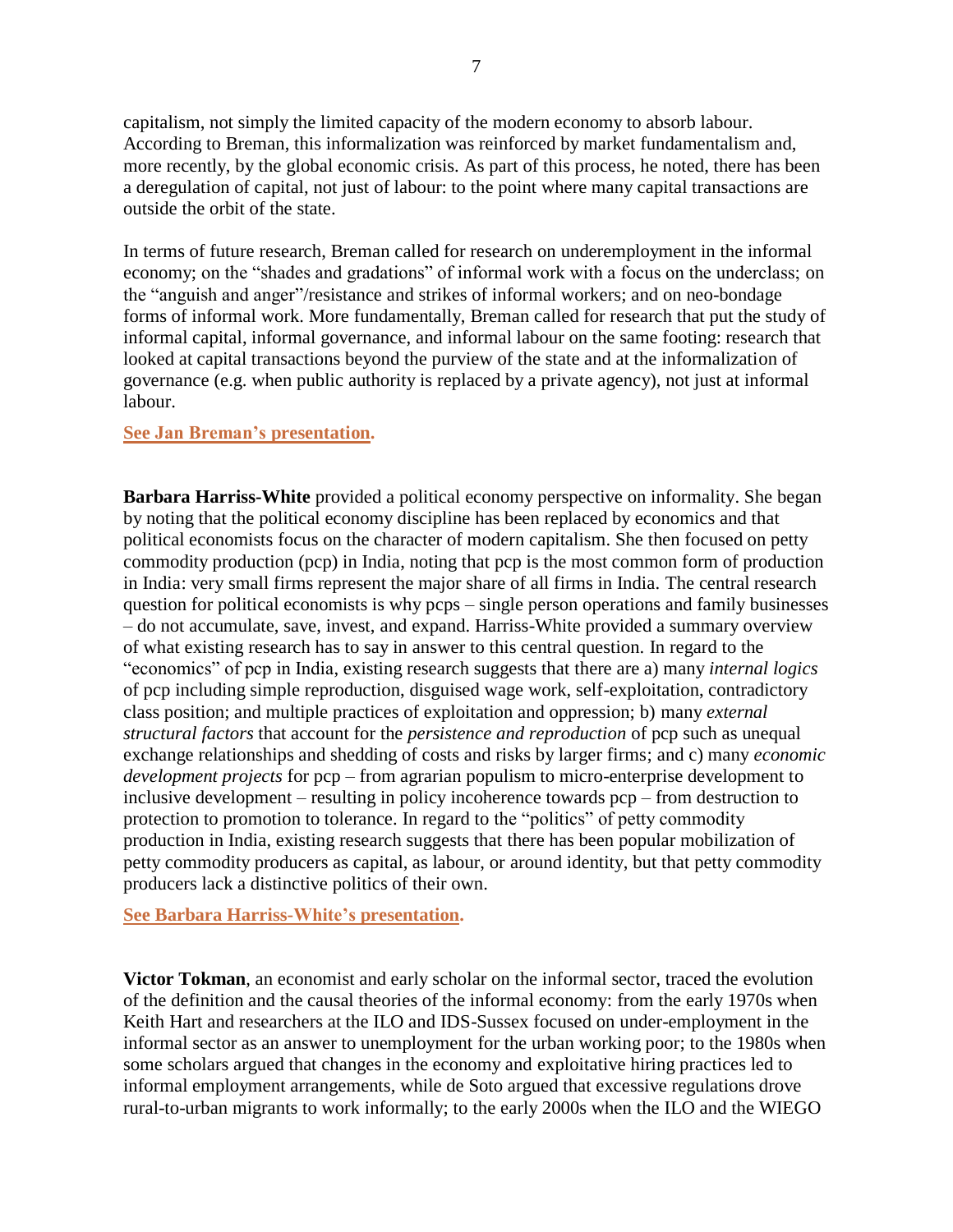capitalism, not simply the limited capacity of the modern economy to absorb labour. According to Breman, this informalization was reinforced by market fundamentalism and, more recently, by the global economic crisis. As part of this process, he noted, there has been a deregulation of capital, not just of labour: to the point where many capital transactions are outside the orbit of the state.

In terms of future research, Breman called for research on underemployment in the informal economy; on the "shades and gradations" of informal work with a focus on the underclass; on the "anguish and anger"/resistance and strikes of informal workers; and on neo-bondage forms of informal work. More fundamentally, Breman called for research that put the study of informal capital, informal governance, and informal labour on the same footing: research that looked at capital transactions beyond the purview of the state and at the informalization of governance (e.g. when public authority is replaced by a private agency), not just at informal labour.

### **See [Jan Breman's](http://wiego.org/sites/wiego.org/files/resources/files/Breman-Inf-Sector-Global-Trend.pdf) presentation.**

**Barbara Harriss-White** provided a political economy perspective on informality. She began by noting that the political economy discipline has been replaced by economics and that political economists focus on the character of modern capitalism. She then focused on petty commodity production (pcp) in India, noting that pcp is the most common form of production in India: very small firms represent the major share of all firms in India. The central research question for political economists is why pcps – single person operations and family businesses – do not accumulate, save, invest, and expand. Harriss-White provided a summary overview of what existing research has to say in answer to this central question. In regard to the ―economics‖ of pcp in India, existing research suggests that there are a) many *internal logics* of pcp including simple reproduction, disguised wage work, self-exploitation, contradictory class position; and multiple practices of exploitation and oppression; b) many *external structural factors* that account for the *persistence and reproduction* of pcp such as unequal exchange relationships and shedding of costs and risks by larger firms; and c) many *economic development projects* for pcp – from agrarian populism to micro-enterprise development to inclusive development – resulting in policy incoherence towards pcp – from destruction to protection to promotion to tolerance. In regard to the "politics" of petty commodity production in India, existing research suggests that there has been popular mobilization of petty commodity producers as capital, as labour, or around identity, but that petty commodity producers lack a distinctive politics of their own.

**[See Barbara Harriss-White's](http://wiego.org/sites/wiego.org/files/resources/files/Harriss-White-Petty-Production-India-Inf-Econ.pdf) presentation.**

**Victor Tokman**, an economist and early scholar on the informal sector, traced the evolution of the definition and the causal theories of the informal economy: from the early 1970s when Keith Hart and researchers at the ILO and IDS-Sussex focused on under-employment in the informal sector as an answer to unemployment for the urban working poor; to the 1980s when some scholars argued that changes in the economy and exploitative hiring practices led to informal employment arrangements, while de Soto argued that excessive regulations drove rural-to-urban migrants to work informally; to the early 2000s when the ILO and the WIEGO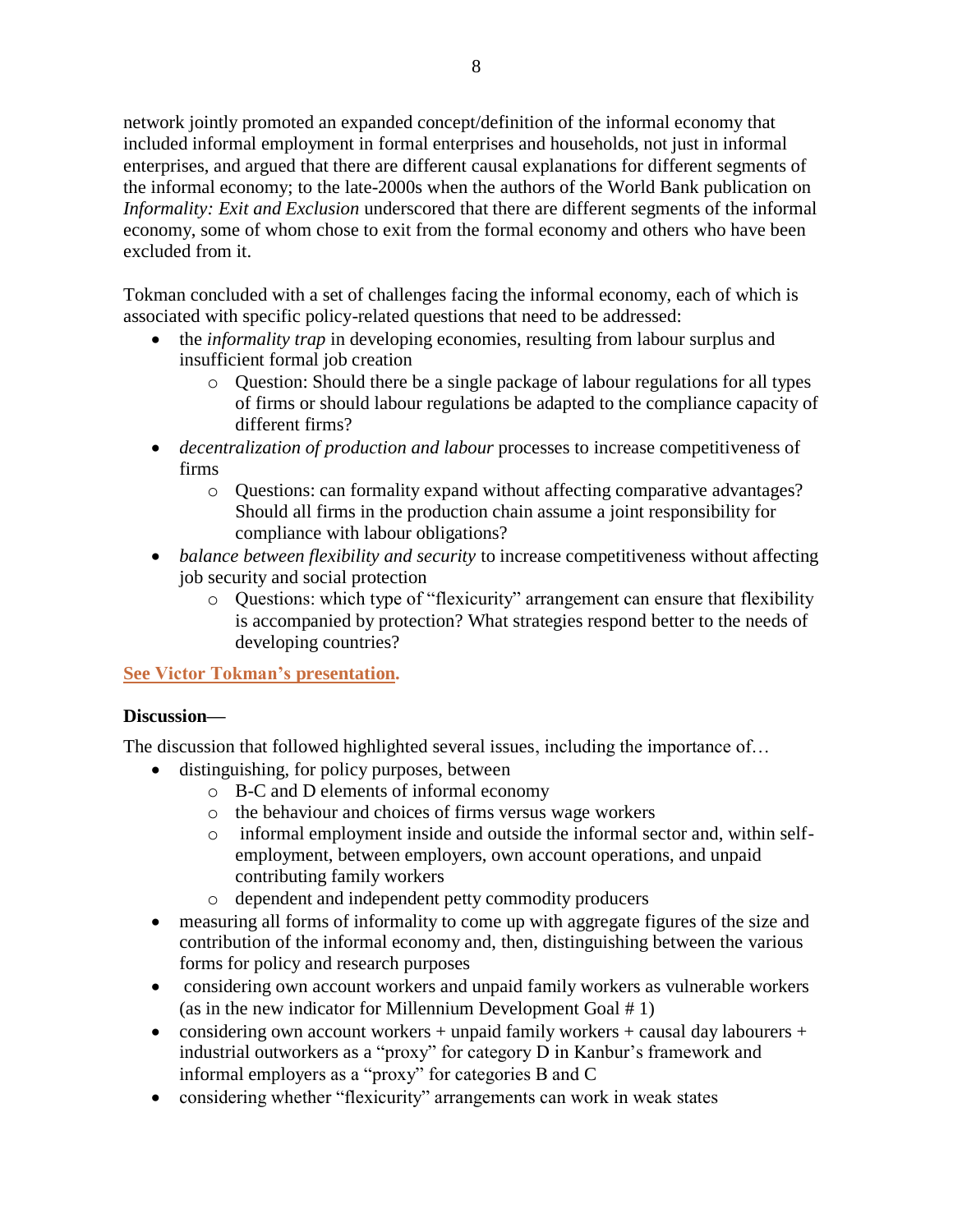network jointly promoted an expanded concept/definition of the informal economy that included informal employment in formal enterprises and households, not just in informal enterprises, and argued that there are different causal explanations for different segments of the informal economy; to the late-2000s when the authors of the World Bank publication on *Informality: Exit and Exclusion* underscored that there are different segments of the informal economy, some of whom chose to exit from the formal economy and others who have been excluded from it.

Tokman concluded with a set of challenges facing the informal economy, each of which is associated with specific policy-related questions that need to be addressed:

- the *informality trap* in developing economies, resulting from labour surplus and insufficient formal job creation
	- o Question: Should there be a single package of labour regulations for all types of firms or should labour regulations be adapted to the compliance capacity of different firms?
- *decentralization of production and labour* processes to increase competitiveness of firms
	- o Questions: can formality expand without affecting comparative advantages? Should all firms in the production chain assume a joint responsibility for compliance with labour obligations?
- *balance between flexibility and security* to increase competitiveness without affecting job security and social protection
	- $\circ$  Questions: which type of "flexicurity" arrangement can ensure that flexibility is accompanied by protection? What strategies respond better to the needs of developing countries?

**[See Victor Tokman's](http://wiego.org/sites/wiego.org/files/resources/files/Tokman-Informality-Sector-to-Economy.pdf) presentation.**

### **Discussion—**

The discussion that followed highlighted several issues, including the importance of…

- distinguishing, for policy purposes, between
	- o B-C and D elements of informal economy
	- o the behaviour and choices of firms versus wage workers
	- o informal employment inside and outside the informal sector and, within selfemployment, between employers, own account operations, and unpaid contributing family workers
	- o dependent and independent petty commodity producers
- measuring all forms of informality to come up with aggregate figures of the size and contribution of the informal economy and, then, distinguishing between the various forms for policy and research purposes
- considering own account workers and unpaid family workers as vulnerable workers (as in the new indicator for Millennium Development Goal # 1)
- considering own account workers + unpaid family workers + causal day labourers + industrial outworkers as a "proxy" for category D in Kanbur's framework and informal employers as a "proxy" for categories B and  $C$
- considering whether "flexicurity" arrangements can work in weak states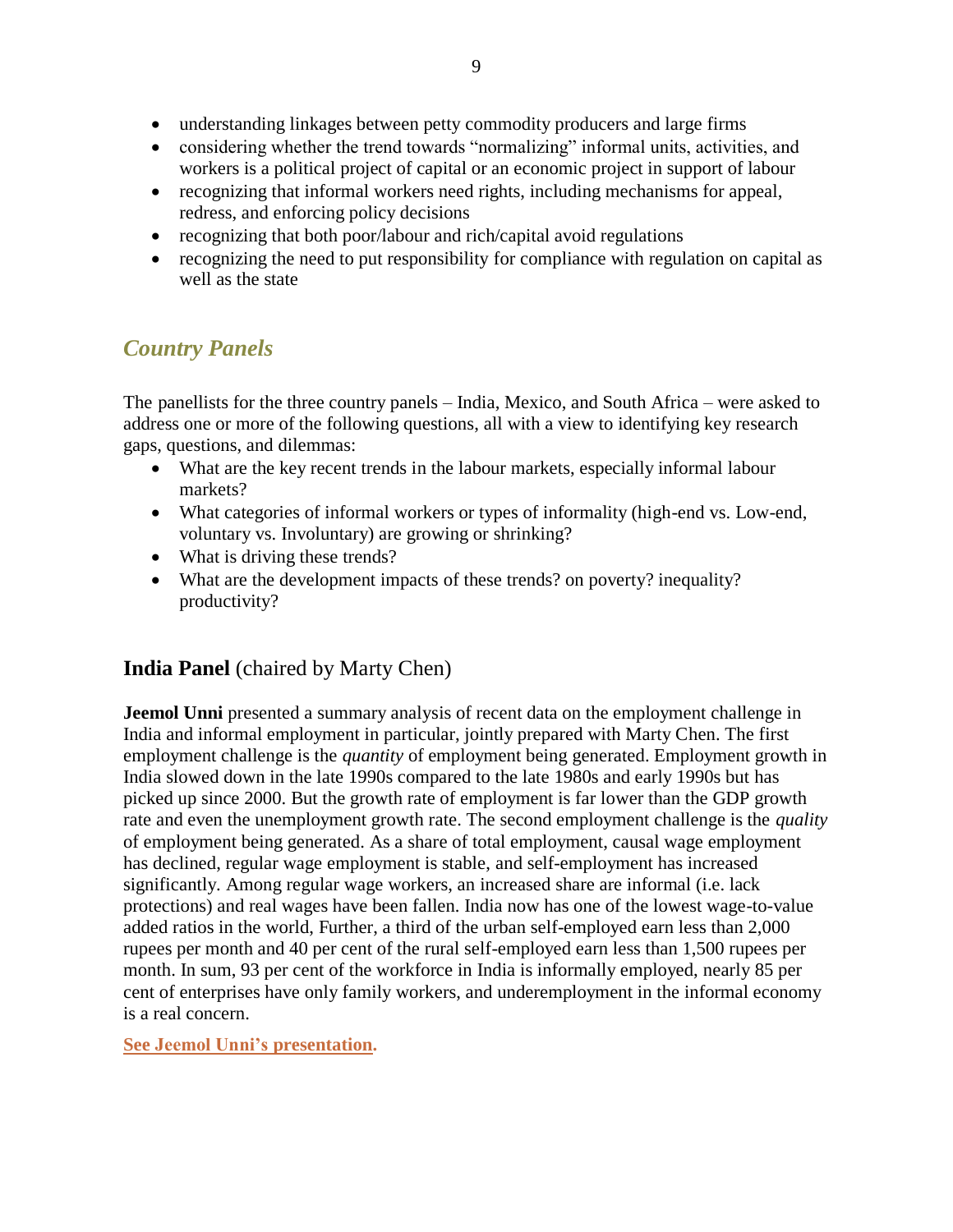- understanding linkages between petty commodity producers and large firms
- considering whether the trend towards "normalizing" informal units, activities, and workers is a political project of capital or an economic project in support of labour
- recognizing that informal workers need rights, including mechanisms for appeal, redress, and enforcing policy decisions
- recognizing that both poor/labour and rich/capital avoid regulations
- recognizing the need to put responsibility for compliance with regulation on capital as well as the state

# *Country Panels*

The panellists for the three country panels – India, Mexico, and South Africa – were asked to address one or more of the following questions, all with a view to identifying key research gaps, questions, and dilemmas:

- What are the key recent trends in the labour markets, especially informal labour markets?
- What categories of informal workers or types of informality (high-end vs. Low-end, voluntary vs. Involuntary) are growing or shrinking?
- What is driving these trends?
- What are the development impacts of these trends? on poverty? inequality? productivity?

## **India Panel** (chaired by Marty Chen)

**Jeemol Unni** presented a summary analysis of recent data on the employment challenge in India and informal employment in particular, jointly prepared with Marty Chen. The first employment challenge is the *quantity* of employment being generated. Employment growth in India slowed down in the late 1990s compared to the late 1980s and early 1990s but has picked up since 2000. But the growth rate of employment is far lower than the GDP growth rate and even the unemployment growth rate. The second employment challenge is the *quality* of employment being generated. As a share of total employment, causal wage employment has declined, regular wage employment is stable, and self-employment has increased significantly. Among regular wage workers, an increased share are informal (i.e. lack protections) and real wages have been fallen. India now has one of the lowest wage-to-value added ratios in the world, Further, a third of the urban self-employed earn less than 2,000 rupees per month and 40 per cent of the rural self-employed earn less than 1,500 rupees per month. In sum, 93 per cent of the workforce in India is informally employed, nearly 85 per cent of enterprises have only family workers, and underemployment in the informal economy is a real concern.

**[See Jeemol Unni's](http://wiego.org/sites/wiego.org/files/resources/files/Unni-India-Panel.pdf) presentation.**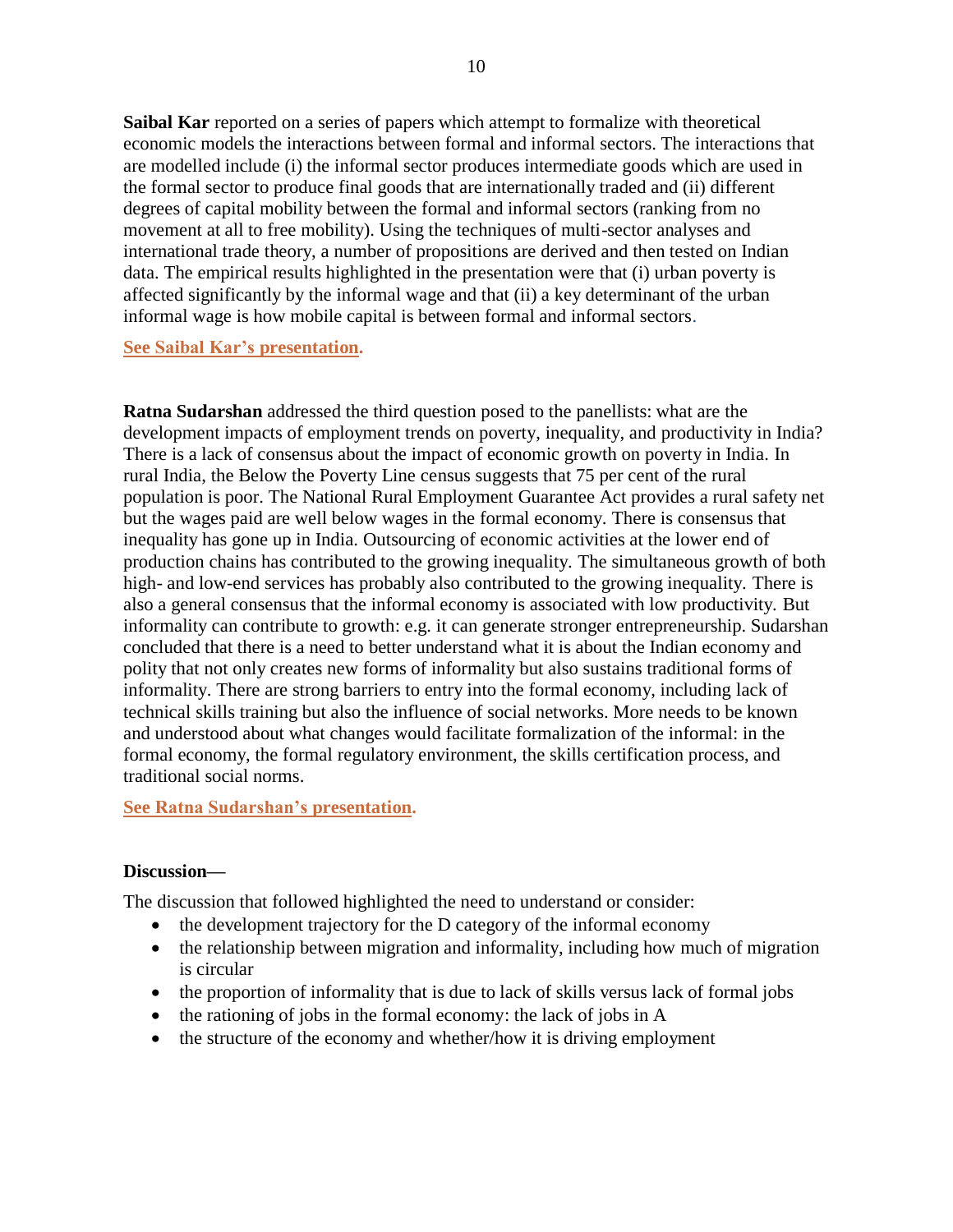**Saibal Kar** reported on a series of papers which attempt to formalize with theoretical economic models the interactions between formal and informal sectors. The interactions that are modelled include (i) the informal sector produces intermediate goods which are used in the formal sector to produce final goods that are internationally traded and (ii) different degrees of capital mobility between the formal and informal sectors (ranking from no movement at all to free mobility). Using the techniques of multi-sector analyses and international trade theory, a number of propositions are derived and then tested on Indian data. The empirical results highlighted in the presentation were that (i) urban poverty is affected significantly by the informal wage and that (ii) a key determinant of the urban informal wage is how mobile capital is between formal and informal sectors.

**See Saibal Kar's [presentation.](http://wiego.org/sites/wiego.org/files/resources/files/Kar-India-Panel.pdf)**

**Ratna Sudarshan** addressed the third question posed to the panellists: what are the development impacts of employment trends on poverty, inequality, and productivity in India? There is a lack of consensus about the impact of economic growth on poverty in India. In rural India, the Below the Poverty Line census suggests that 75 per cent of the rural population is poor. The National Rural Employment Guarantee Act provides a rural safety net but the wages paid are well below wages in the formal economy. There is consensus that inequality has gone up in India. Outsourcing of economic activities at the lower end of production chains has contributed to the growing inequality. The simultaneous growth of both high- and low-end services has probably also contributed to the growing inequality. There is also a general consensus that the informal economy is associated with low productivity. But informality can contribute to growth: e.g. it can generate stronger entrepreneurship. Sudarshan concluded that there is a need to better understand what it is about the Indian economy and polity that not only creates new forms of informality but also sustains traditional forms of informality. There are strong barriers to entry into the formal economy, including lack of technical skills training but also the influence of social networks. More needs to be known and understood about what changes would facilitate formalization of the informal: in the formal economy, the formal regulatory environment, the skills certification process, and traditional social norms.

**[See Ratna Sudarshan's](http://wiego.org/sites/wiego.org/files/resources/files/Sudarshan-India-Panel.pdf) presentation.**

### **Discussion—**

The discussion that followed highlighted the need to understand or consider:

- the development trajectory for the D category of the informal economy
- the relationship between migration and informality, including how much of migration is circular
- the proportion of informality that is due to lack of skills versus lack of formal jobs
- the rationing of jobs in the formal economy: the lack of jobs in A
- the structure of the economy and whether/how it is driving employment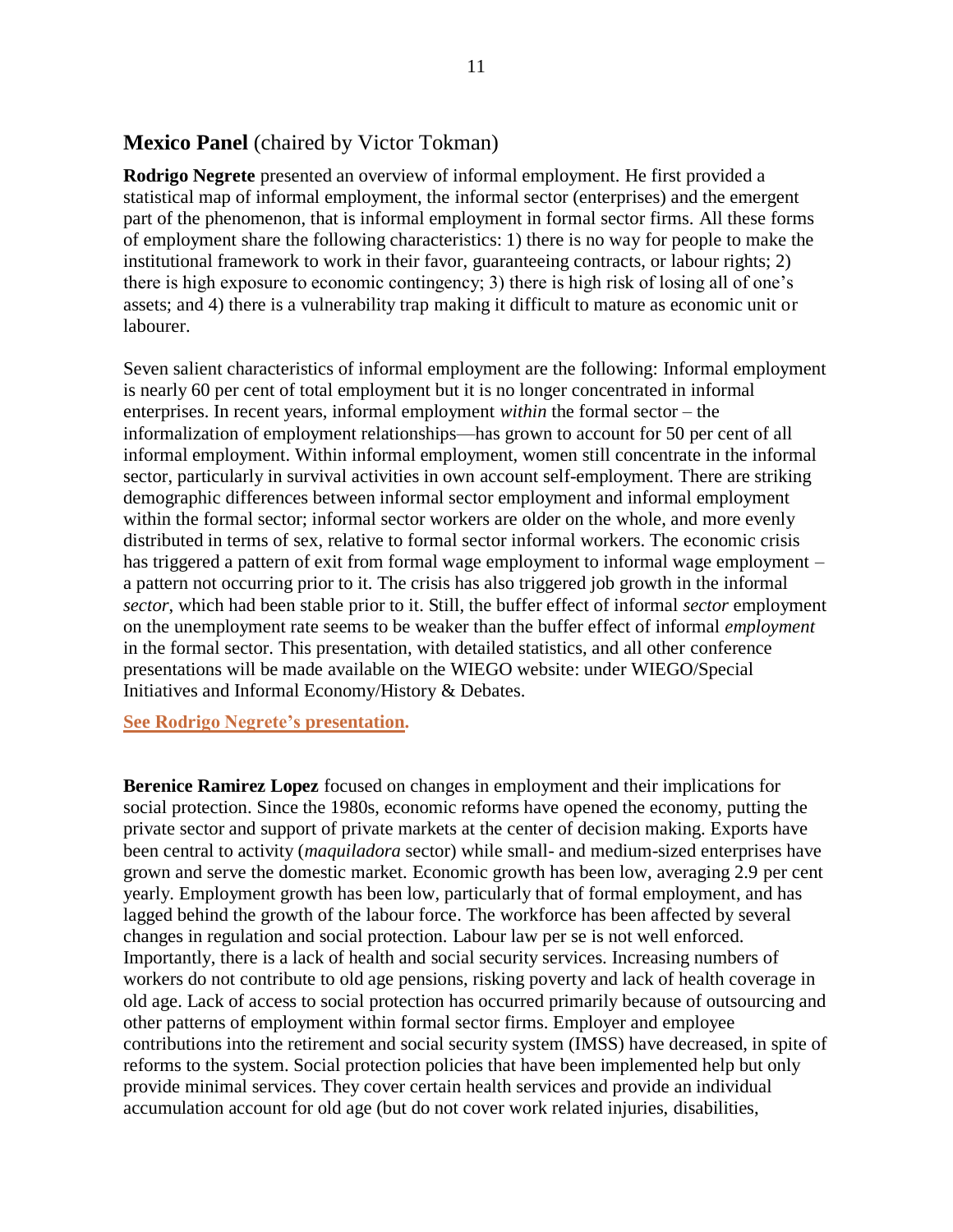### **Mexico Panel** (chaired by Victor Tokman)

**Rodrigo Negrete** presented an overview of informal employment. He first provided a statistical map of informal employment, the informal sector (enterprises) and the emergent part of the phenomenon, that is informal employment in formal sector firms. All these forms of employment share the following characteristics: 1) there is no way for people to make the institutional framework to work in their favor, guaranteeing contracts, or labour rights; 2) there is high exposure to economic contingency; 3) there is high risk of losing all of one's assets; and 4) there is a vulnerability trap making it difficult to mature as economic unit or labourer.

Seven salient characteristics of informal employment are the following: Informal employment is nearly 60 per cent of total employment but it is no longer concentrated in informal enterprises. In recent years, informal employment *within* the formal sector – the informalization of employment relationships—has grown to account for 50 per cent of all informal employment. Within informal employment, women still concentrate in the informal sector, particularly in survival activities in own account self-employment. There are striking demographic differences between informal sector employment and informal employment within the formal sector; informal sector workers are older on the whole, and more evenly distributed in terms of sex, relative to formal sector informal workers. The economic crisis has triggered a pattern of exit from formal wage employment to informal wage employment – a pattern not occurring prior to it. The crisis has also triggered job growth in the informal *sector*, which had been stable prior to it. Still, the buffer effect of informal *sector* employment on the unemployment rate seems to be weaker than the buffer effect of informal *employment* in the formal sector. This presentation, with detailed statistics, and all other conference presentations will be made available on the WIEGO website: under WIEGO/Special Initiatives and Informal Economy/History & Debates.

**[See Rodrigo Negrete's](http://wiego.org/sites/wiego.org/files/resources/files/Negrete-Mexico-Panel.pdf) presentation.**

**Berenice Ramirez Lopez** focused on changes in employment and their implications for social protection. Since the 1980s, economic reforms have opened the economy, putting the private sector and support of private markets at the center of decision making. Exports have been central to activity (*maquiladora* sector) while small- and medium-sized enterprises have grown and serve the domestic market. Economic growth has been low, averaging 2.9 per cent yearly. Employment growth has been low, particularly that of formal employment, and has lagged behind the growth of the labour force. The workforce has been affected by several changes in regulation and social protection. Labour law per se is not well enforced. Importantly, there is a lack of health and social security services. Increasing numbers of workers do not contribute to old age pensions, risking poverty and lack of health coverage in old age. Lack of access to social protection has occurred primarily because of outsourcing and other patterns of employment within formal sector firms. Employer and employee contributions into the retirement and social security system (IMSS) have decreased, in spite of reforms to the system. Social protection policies that have been implemented help but only provide minimal services. They cover certain health services and provide an individual accumulation account for old age (but do not cover work related injuries, disabilities,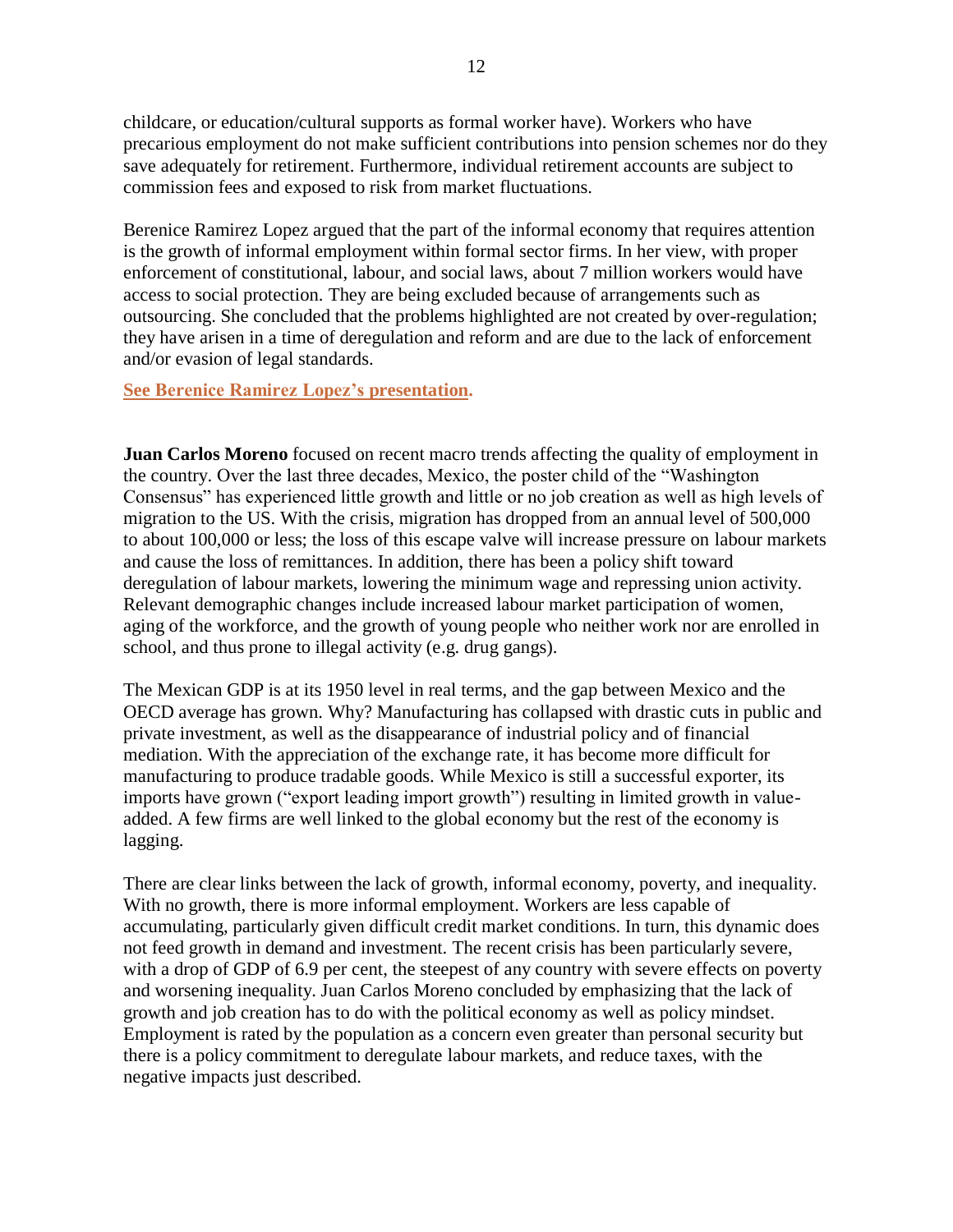childcare, or education/cultural supports as formal worker have). Workers who have precarious employment do not make sufficient contributions into pension schemes nor do they save adequately for retirement. Furthermore, individual retirement accounts are subject to commission fees and exposed to risk from market fluctuations.

Berenice Ramirez Lopez argued that the part of the informal economy that requires attention is the growth of informal employment within formal sector firms. In her view, with proper enforcement of constitutional, labour, and social laws, about 7 million workers would have access to social protection. They are being excluded because of arrangements such as outsourcing. She concluded that the problems highlighted are not created by over-regulation; they have arisen in a time of deregulation and reform and are due to the lack of enforcement and/or evasion of legal standards.

### **[See Berenice Ramirez Lopez's](http://wiego.org/sites/wiego.org/files/resources/files/Ramirez-Lopez-Mexico-Panel.pdf) presentation.**

**Juan Carlos Moreno** focused on recent macro trends affecting the quality of employment in the country. Over the last three decades, Mexico, the poster child of the "Washington" Consensus" has experienced little growth and little or no job creation as well as high levels of migration to the US. With the crisis, migration has dropped from an annual level of 500,000 to about 100,000 or less; the loss of this escape valve will increase pressure on labour markets and cause the loss of remittances. In addition, there has been a policy shift toward deregulation of labour markets, lowering the minimum wage and repressing union activity. Relevant demographic changes include increased labour market participation of women, aging of the workforce, and the growth of young people who neither work nor are enrolled in school, and thus prone to illegal activity (e.g. drug gangs).

The Mexican GDP is at its 1950 level in real terms, and the gap between Mexico and the OECD average has grown. Why? Manufacturing has collapsed with drastic cuts in public and private investment, as well as the disappearance of industrial policy and of financial mediation. With the appreciation of the exchange rate, it has become more difficult for manufacturing to produce tradable goods. While Mexico is still a successful exporter, its imports have grown ("export leading import growth") resulting in limited growth in valueadded. A few firms are well linked to the global economy but the rest of the economy is lagging.

There are clear links between the lack of growth, informal economy, poverty, and inequality. With no growth, there is more informal employment. Workers are less capable of accumulating, particularly given difficult credit market conditions. In turn, this dynamic does not feed growth in demand and investment. The recent crisis has been particularly severe, with a drop of GDP of 6.9 per cent, the steepest of any country with severe effects on poverty and worsening inequality. Juan Carlos Moreno concluded by emphasizing that the lack of growth and job creation has to do with the political economy as well as policy mindset. Employment is rated by the population as a concern even greater than personal security but there is a policy commitment to deregulate labour markets, and reduce taxes, with the negative impacts just described.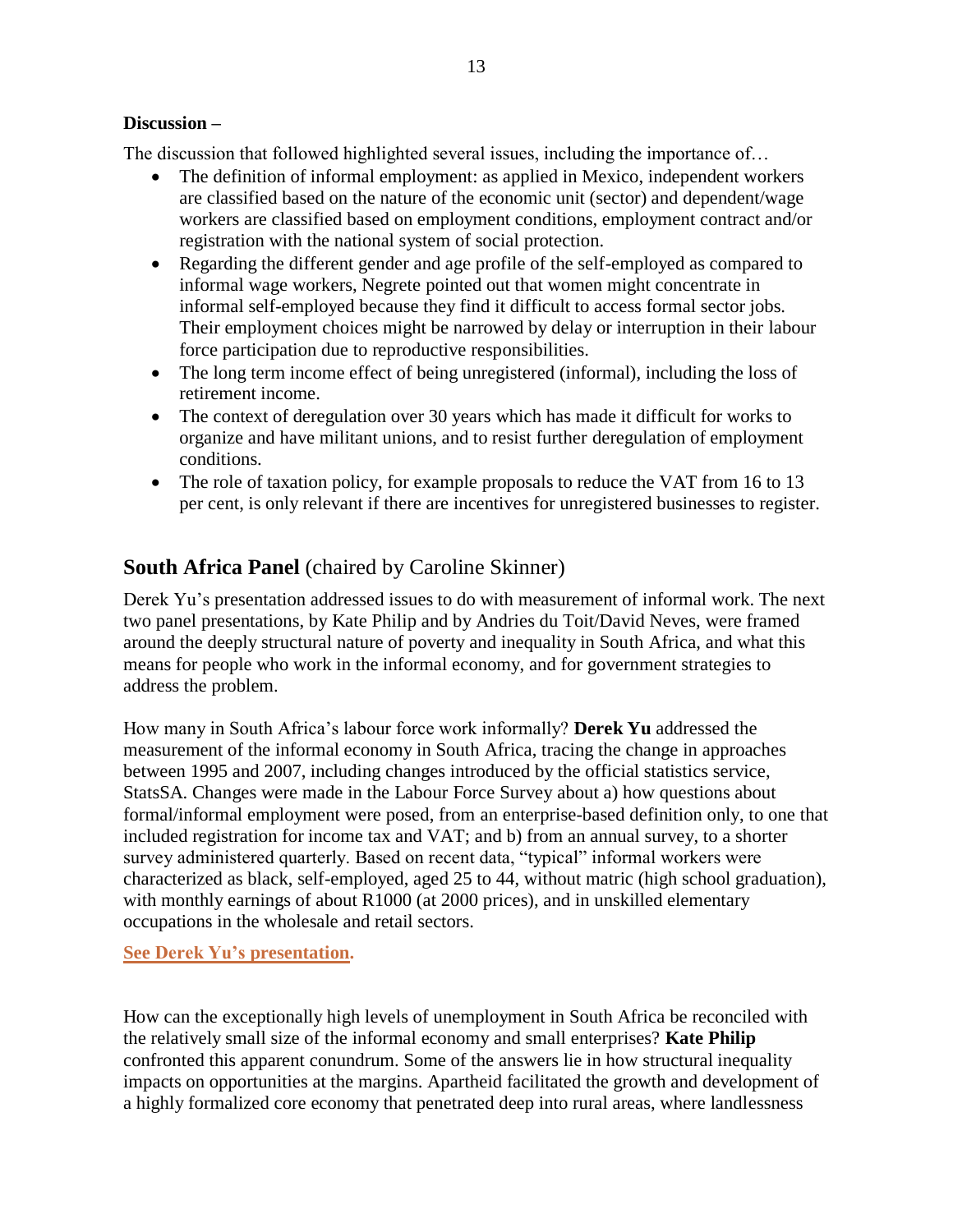### **Discussion –**

The discussion that followed highlighted several issues, including the importance of…

- The definition of informal employment: as applied in Mexico, independent workers are classified based on the nature of the economic unit (sector) and dependent/wage workers are classified based on employment conditions, employment contract and/or registration with the national system of social protection.
- Regarding the different gender and age profile of the self-employed as compared to informal wage workers, Negrete pointed out that women might concentrate in informal self-employed because they find it difficult to access formal sector jobs. Their employment choices might be narrowed by delay or interruption in their labour force participation due to reproductive responsibilities.
- The long term income effect of being unregistered (informal), including the loss of retirement income.
- The context of deregulation over 30 years which has made it difficult for works to organize and have militant unions, and to resist further deregulation of employment conditions.
- The role of taxation policy, for example proposals to reduce the VAT from 16 to 13 per cent, is only relevant if there are incentives for unregistered businesses to register.

## **South Africa Panel** (chaired by Caroline Skinner)

Derek Yu's presentation addressed issues to do with measurement of informal work. The next two panel presentations, by Kate Philip and by Andries du Toit/David Neves, were framed around the deeply structural nature of poverty and inequality in South Africa, and what this means for people who work in the informal economy, and for government strategies to address the problem.

How many in South Africa's labour force work informally? **Derek Yu** addressed the measurement of the informal economy in South Africa, tracing the change in approaches between 1995 and 2007, including changes introduced by the official statistics service, StatsSA. Changes were made in the Labour Force Survey about a) how questions about formal/informal employment were posed, from an enterprise-based definition only, to one that included registration for income tax and VAT; and b) from an annual survey, to a shorter survey administered quarterly. Based on recent data, "typical" informal workers were characterized as black, self-employed, aged 25 to 44, without matric (high school graduation), with monthly earnings of about R1000 (at 2000 prices), and in unskilled elementary occupations in the wholesale and retail sectors.

### **[See Derek Yu's](http://wiego.org/sites/wiego.org/files/resources/files/Yu-SAfrica-Panel.pdf) presentation.**

How can the exceptionally high levels of unemployment in South Africa be reconciled with the relatively small size of the informal economy and small enterprises? **Kate Philip** confronted this apparent conundrum. Some of the answers lie in how structural inequality impacts on opportunities at the margins. Apartheid facilitated the growth and development of a highly formalized core economy that penetrated deep into rural areas, where landlessness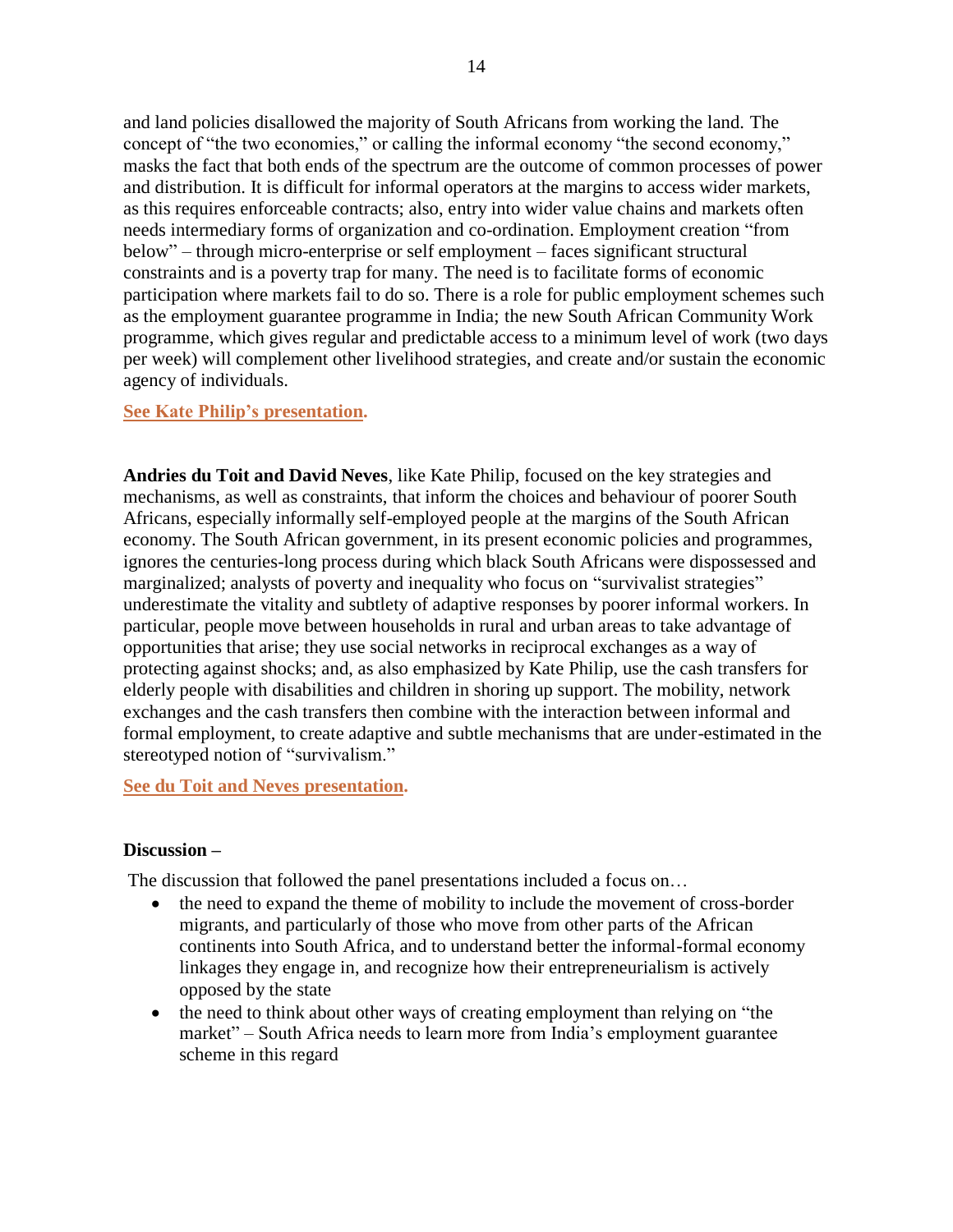and land policies disallowed the majority of South Africans from working the land. The concept of "the two economies," or calling the informal economy "the second economy," masks the fact that both ends of the spectrum are the outcome of common processes of power and distribution. It is difficult for informal operators at the margins to access wider markets, as this requires enforceable contracts; also, entry into wider value chains and markets often needs intermediary forms of organization and co-ordination. Employment creation "from below" – through micro-enterprise or self employment – faces significant structural constraints and is a poverty trap for many. The need is to facilitate forms of economic participation where markets fail to do so. There is a role for public employment schemes such as the employment guarantee programme in India; the new South African Community Work programme, which gives regular and predictable access to a minimum level of work (two days per week) will complement other livelihood strategies, and create and/or sustain the economic agency of individuals.

### **[See Kate Philip's](http://wiego.org/sites/wiego.org/files/resources/files/Philip-SAfrica-Panel.pdf) presentation.**

**Andries du Toit and David Neves**, like Kate Philip, focused on the key strategies and mechanisms, as well as constraints, that inform the choices and behaviour of poorer South Africans, especially informally self-employed people at the margins of the South African economy. The South African government, in its present economic policies and programmes, ignores the centuries-long process during which black South Africans were dispossessed and marginalized; analysts of poverty and inequality who focus on "survivalist strategies" underestimate the vitality and subtlety of adaptive responses by poorer informal workers. In particular, people move between households in rural and urban areas to take advantage of opportunities that arise; they use social networks in reciprocal exchanges as a way of protecting against shocks; and, as also emphasized by Kate Philip, use the cash transfers for elderly people with disabilities and children in shoring up support. The mobility, network exchanges and the cash transfers then combine with the interaction between informal and formal employment, to create adaptive and subtle mechanisms that are under-estimated in the stereotyped notion of "survivalism."

**[See du Toit and Neves](http://wiego.org/sites/wiego.org/files/resources/files/du-Toit-Neves-SAfrica-Panel.pdf) presentation.**

### **Discussion –**

The discussion that followed the panel presentations included a focus on…

- the need to expand the theme of mobility to include the movement of cross-border migrants, and particularly of those who move from other parts of the African continents into South Africa, and to understand better the informal-formal economy linkages they engage in, and recognize how their entrepreneurialism is actively opposed by the state
- $\bullet$  the need to think about other ways of creating employment than relying on "the market" – South Africa needs to learn more from India's employment guarantee scheme in this regard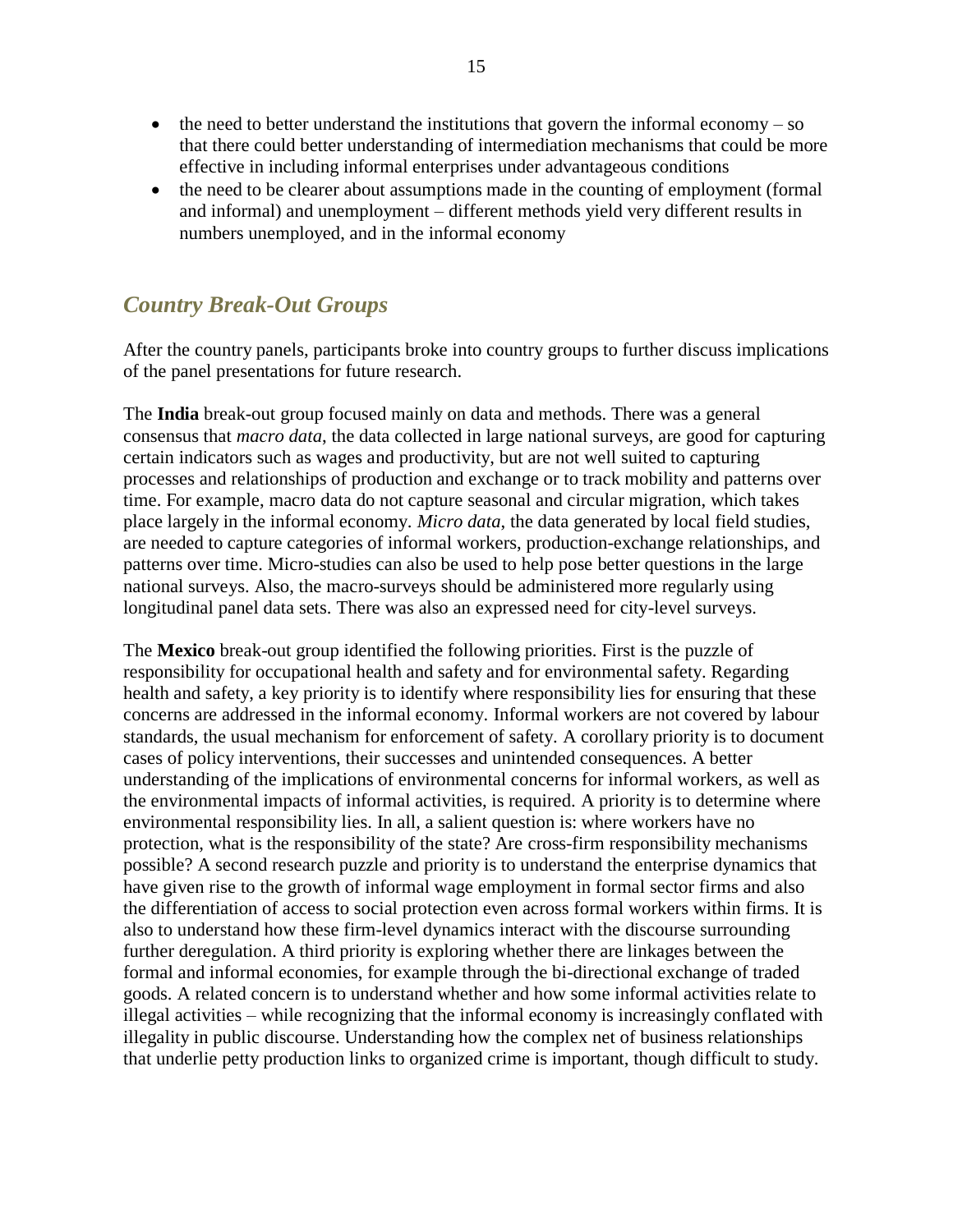- $\bullet$  the need to better understand the institutions that govern the informal economy so that there could better understanding of intermediation mechanisms that could be more effective in including informal enterprises under advantageous conditions
- the need to be clearer about assumptions made in the counting of employment (formal and informal) and unemployment – different methods yield very different results in numbers unemployed, and in the informal economy

# *Country Break-Out Groups*

After the country panels, participants broke into country groups to further discuss implications of the panel presentations for future research.

The **India** break-out group focused mainly on data and methods. There was a general consensus that *macro data*, the data collected in large national surveys, are good for capturing certain indicators such as wages and productivity, but are not well suited to capturing processes and relationships of production and exchange or to track mobility and patterns over time. For example, macro data do not capture seasonal and circular migration, which takes place largely in the informal economy. *Micro data*, the data generated by local field studies, are needed to capture categories of informal workers, production-exchange relationships, and patterns over time. Micro-studies can also be used to help pose better questions in the large national surveys. Also, the macro-surveys should be administered more regularly using longitudinal panel data sets. There was also an expressed need for city-level surveys.

The **Mexico** break-out group identified the following priorities. First is the puzzle of responsibility for occupational health and safety and for environmental safety. Regarding health and safety, a key priority is to identify where responsibility lies for ensuring that these concerns are addressed in the informal economy. Informal workers are not covered by labour standards, the usual mechanism for enforcement of safety. A corollary priority is to document cases of policy interventions, their successes and unintended consequences. A better understanding of the implications of environmental concerns for informal workers, as well as the environmental impacts of informal activities, is required. A priority is to determine where environmental responsibility lies. In all, a salient question is: where workers have no protection, what is the responsibility of the state? Are cross-firm responsibility mechanisms possible? A second research puzzle and priority is to understand the enterprise dynamics that have given rise to the growth of informal wage employment in formal sector firms and also the differentiation of access to social protection even across formal workers within firms. It is also to understand how these firm-level dynamics interact with the discourse surrounding further deregulation. A third priority is exploring whether there are linkages between the formal and informal economies, for example through the bi-directional exchange of traded goods. A related concern is to understand whether and how some informal activities relate to illegal activities – while recognizing that the informal economy is increasingly conflated with illegality in public discourse. Understanding how the complex net of business relationships that underlie petty production links to organized crime is important, though difficult to study.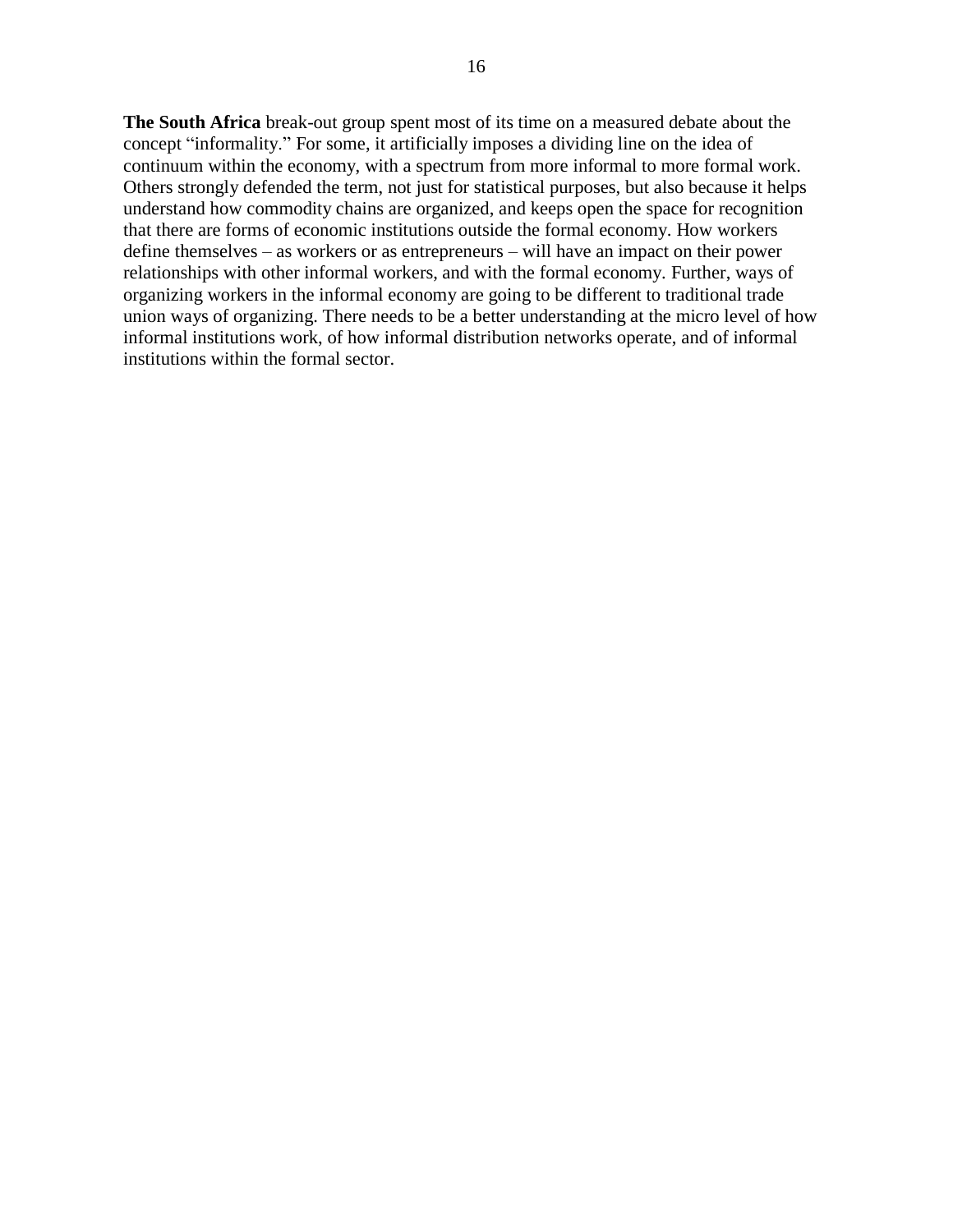**The South Africa** break-out group spent most of its time on a measured debate about the concept "informality." For some, it artificially imposes a dividing line on the idea of continuum within the economy, with a spectrum from more informal to more formal work. Others strongly defended the term, not just for statistical purposes, but also because it helps understand how commodity chains are organized, and keeps open the space for recognition that there are forms of economic institutions outside the formal economy. How workers define themselves – as workers or as entrepreneurs – will have an impact on their power relationships with other informal workers, and with the formal economy. Further, ways of organizing workers in the informal economy are going to be different to traditional trade union ways of organizing. There needs to be a better understanding at the micro level of how informal institutions work, of how informal distribution networks operate, and of informal institutions within the formal sector.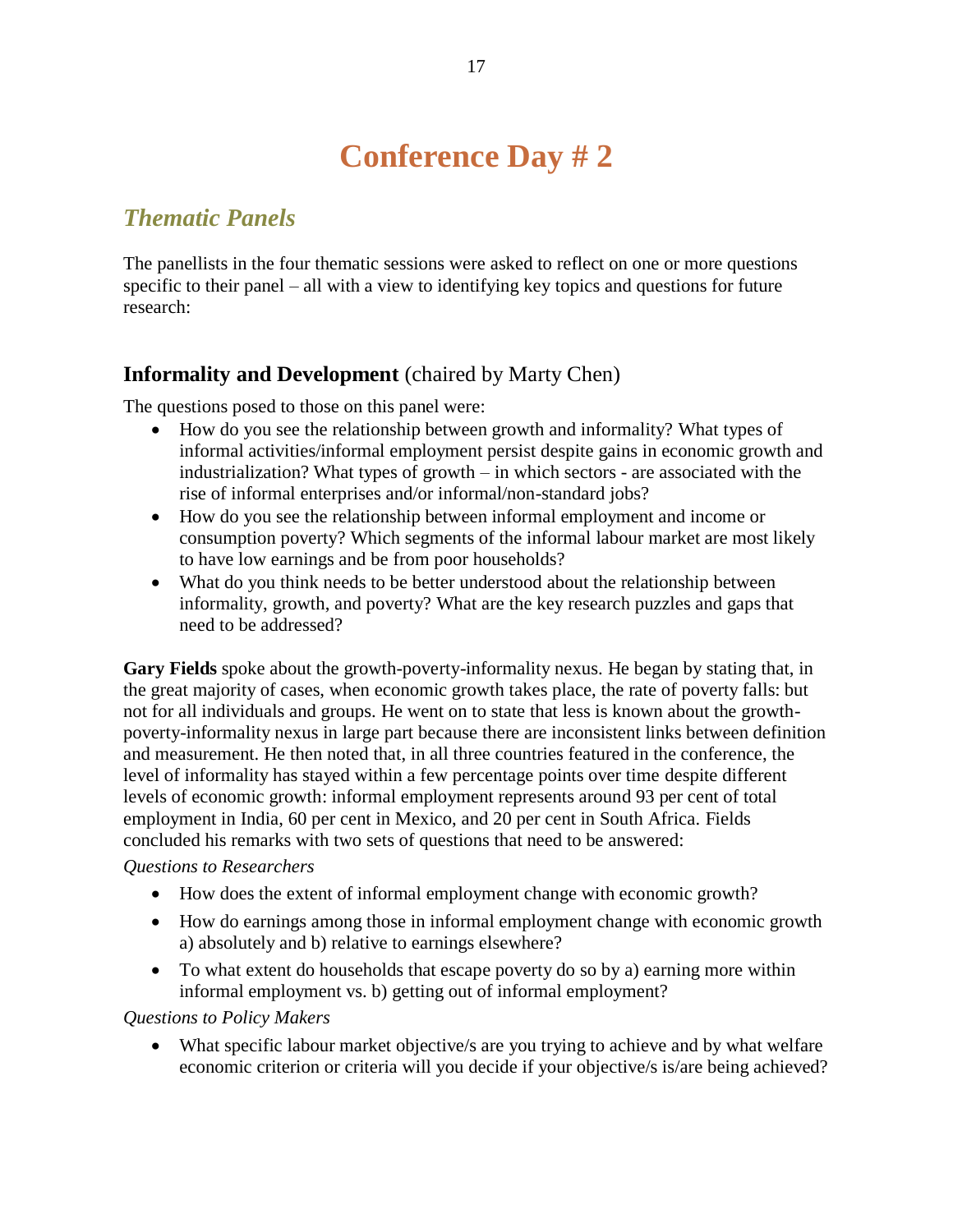# **Conference Day # 2**

# *Thematic Panels*

The panellists in the four thematic sessions were asked to reflect on one or more questions specific to their panel – all with a view to identifying key topics and questions for future research:

### **Informality and Development** (chaired by Marty Chen)

The questions posed to those on this panel were:

- How do you see the relationship between growth and informality? What types of informal activities/informal employment persist despite gains in economic growth and industrialization? What types of growth – in which sectors - are associated with the rise of informal enterprises and/or informal/non-standard jobs?
- How do you see the relationship between informal employment and income or consumption poverty? Which segments of the informal labour market are most likely to have low earnings and be from poor households?
- What do you think needs to be better understood about the relationship between informality, growth, and poverty? What are the key research puzzles and gaps that need to be addressed?

**Gary Fields** spoke about the growth-poverty-informality nexus. He began by stating that, in the great majority of cases, when economic growth takes place, the rate of poverty falls: but not for all individuals and groups. He went on to state that less is known about the growthpoverty-informality nexus in large part because there are inconsistent links between definition and measurement. He then noted that, in all three countries featured in the conference, the level of informality has stayed within a few percentage points over time despite different levels of economic growth: informal employment represents around 93 per cent of total employment in India, 60 per cent in Mexico, and 20 per cent in South Africa. Fields concluded his remarks with two sets of questions that need to be answered:

### *Questions to Researchers*

- How does the extent of informal employment change with economic growth?
- How do earnings among those in informal employment change with economic growth a) absolutely and b) relative to earnings elsewhere?
- To what extent do households that escape poverty do so by a) earning more within informal employment vs. b) getting out of informal employment?

### *Questions to Policy Makers*

 What specific labour market objective/s are you trying to achieve and by what welfare economic criterion or criteria will you decide if your objective/s is/are being achieved?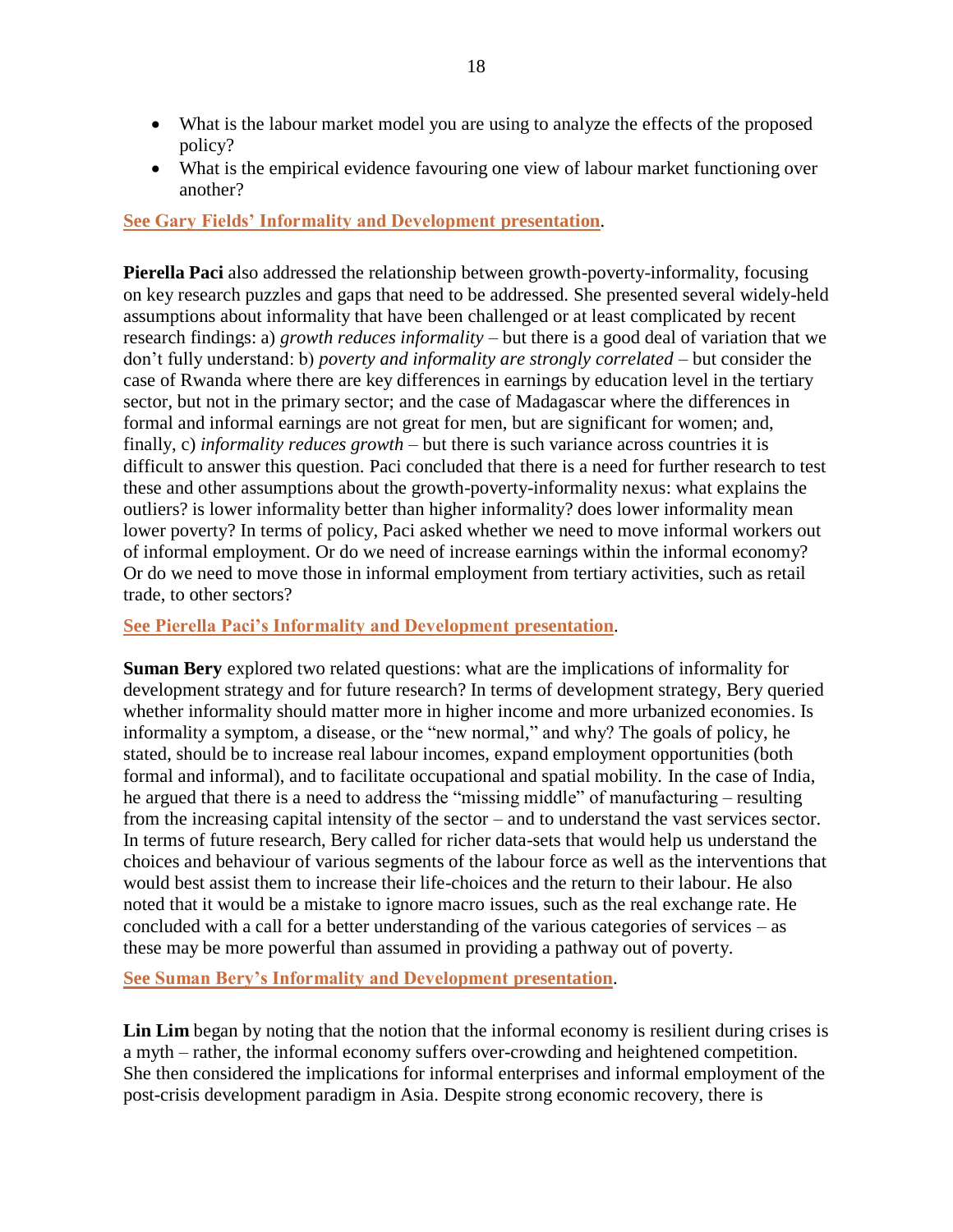- What is the labour market model you are using to analyze the effects of the proposed policy?
- What is the empirical evidence favouring one view of labour market functioning over another?

**[See Gary Fields' Informality and Development](http://wiego.org/sites/wiego.org/files/resources/files/Fields-Informality-Devt.pdf) presentation**.

**Pierella Paci** also addressed the relationship between growth-poverty-informality, focusing on key research puzzles and gaps that need to be addressed. She presented several widely-held assumptions about informality that have been challenged or at least complicated by recent research findings: a) *growth reduces informality* – but there is a good deal of variation that we don't fully understand: b) *poverty and informality are strongly correlated* – but consider the case of Rwanda where there are key differences in earnings by education level in the tertiary sector, but not in the primary sector; and the case of Madagascar where the differences in formal and informal earnings are not great for men, but are significant for women; and, finally, c) *informality reduces growth* – but there is such variance across countries it is difficult to answer this question. Paci concluded that there is a need for further research to test these and other assumptions about the growth-poverty-informality nexus: what explains the outliers? is lower informality better than higher informality? does lower informality mean lower poverty? In terms of policy, Paci asked whether we need to move informal workers out of informal employment. Or do we need of increase earnings within the informal economy? Or do we need to move those in informal employment from tertiary activities, such as retail trade, to other sectors?

**[See Pierella Paci's Informality and Development](http://wiego.org/sites/wiego.org/files/resources/files/Paci-Informality-Devt.pdf) presentation**.

**Suman Bery** explored two related questions: what are the implications of informality for development strategy and for future research? In terms of development strategy, Bery queried whether informality should matter more in higher income and more urbanized economies. Is informality a symptom, a disease, or the "new normal," and why? The goals of policy, he stated, should be to increase real labour incomes, expand employment opportunities (both formal and informal), and to facilitate occupational and spatial mobility. In the case of India, he argued that there is a need to address the "missing middle" of manufacturing – resulting from the increasing capital intensity of the sector – and to understand the vast services sector. In terms of future research, Bery called for richer data-sets that would help us understand the choices and behaviour of various segments of the labour force as well as the interventions that would best assist them to increase their life-choices and the return to their labour. He also noted that it would be a mistake to ignore macro issues, such as the real exchange rate. He concluded with a call for a better understanding of the various categories of services – as these may be more powerful than assumed in providing a pathway out of poverty.

**[See Suman Bery's Informality and Development](http://wiego.org/sites/wiego.org/files/resources/files/Bery-Informality-Devt.pdf) presentation**.

**Lin Lim** began by noting that the notion that the informal economy is resilient during crises is a myth – rather, the informal economy suffers over-crowding and heightened competition. She then considered the implications for informal enterprises and informal employment of the post-crisis development paradigm in Asia. Despite strong economic recovery, there is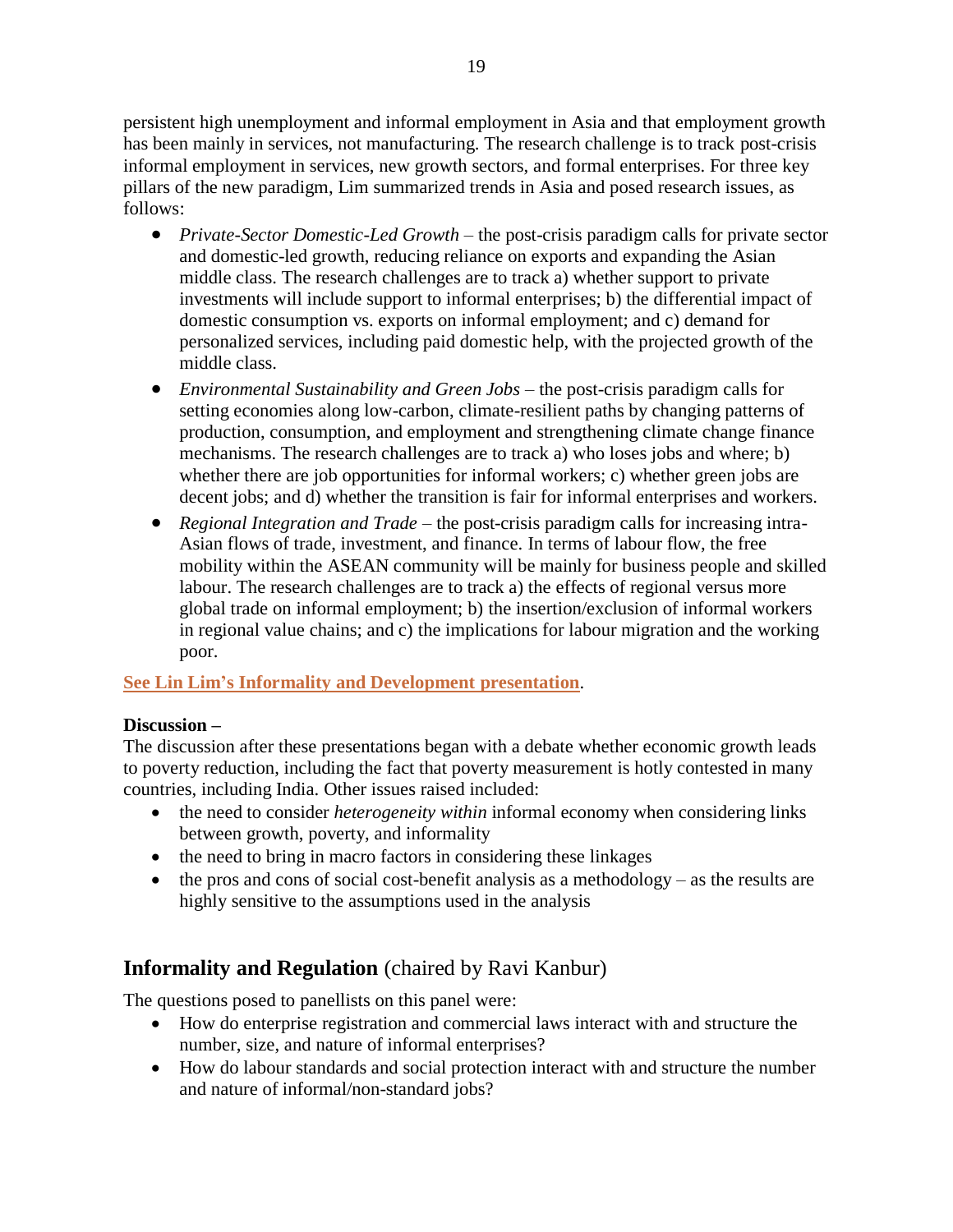persistent high unemployment and informal employment in Asia and that employment growth has been mainly in services, not manufacturing. The research challenge is to track post-crisis informal employment in services, new growth sectors, and formal enterprises. For three key pillars of the new paradigm, Lim summarized trends in Asia and posed research issues, as follows:

- *Private-Sector Domestic-Led Growth* the post-crisis paradigm calls for private sector and domestic-led growth, reducing reliance on exports and expanding the Asian middle class. The research challenges are to track a) whether support to private investments will include support to informal enterprises; b) the differential impact of domestic consumption vs. exports on informal employment; and c) demand for personalized services, including paid domestic help, with the projected growth of the middle class.
- *Environmental Sustainability and Green Jobs* the post-crisis paradigm calls for setting economies along low-carbon, climate-resilient paths by changing patterns of production, consumption, and employment and strengthening climate change finance mechanisms. The research challenges are to track a) who loses jobs and where; b) whether there are job opportunities for informal workers; c) whether green jobs are decent jobs; and d) whether the transition is fair for informal enterprises and workers.
- *Regional Integration and Trade* the post-crisis paradigm calls for increasing intra-Asian flows of trade, investment, and finance. In terms of labour flow, the free mobility within the ASEAN community will be mainly for business people and skilled labour. The research challenges are to track a) the effects of regional versus more global trade on informal employment; b) the insertion/exclusion of informal workers in regional value chains; and c) the implications for labour migration and the working poor.

### **[See Lin Lim's Informality and Development](http://wiego.org/sites/wiego.org/files/resources/files/Lim-Informality-Devt.pdf) presentation**.

### **Discussion –**

The discussion after these presentations began with a debate whether economic growth leads to poverty reduction, including the fact that poverty measurement is hotly contested in many countries, including India. Other issues raised included:

- the need to consider *heterogeneity within* informal economy when considering links between growth, poverty, and informality
- the need to bring in macro factors in considering these linkages
- $\bullet$  the pros and cons of social cost-benefit analysis as a methodology as the results are highly sensitive to the assumptions used in the analysis

## **Informality and Regulation** (chaired by Ravi Kanbur)

The questions posed to panellists on this panel were:

- How do enterprise registration and commercial laws interact with and structure the number, size, and nature of informal enterprises?
- How do labour standards and social protection interact with and structure the number and nature of informal/non-standard jobs?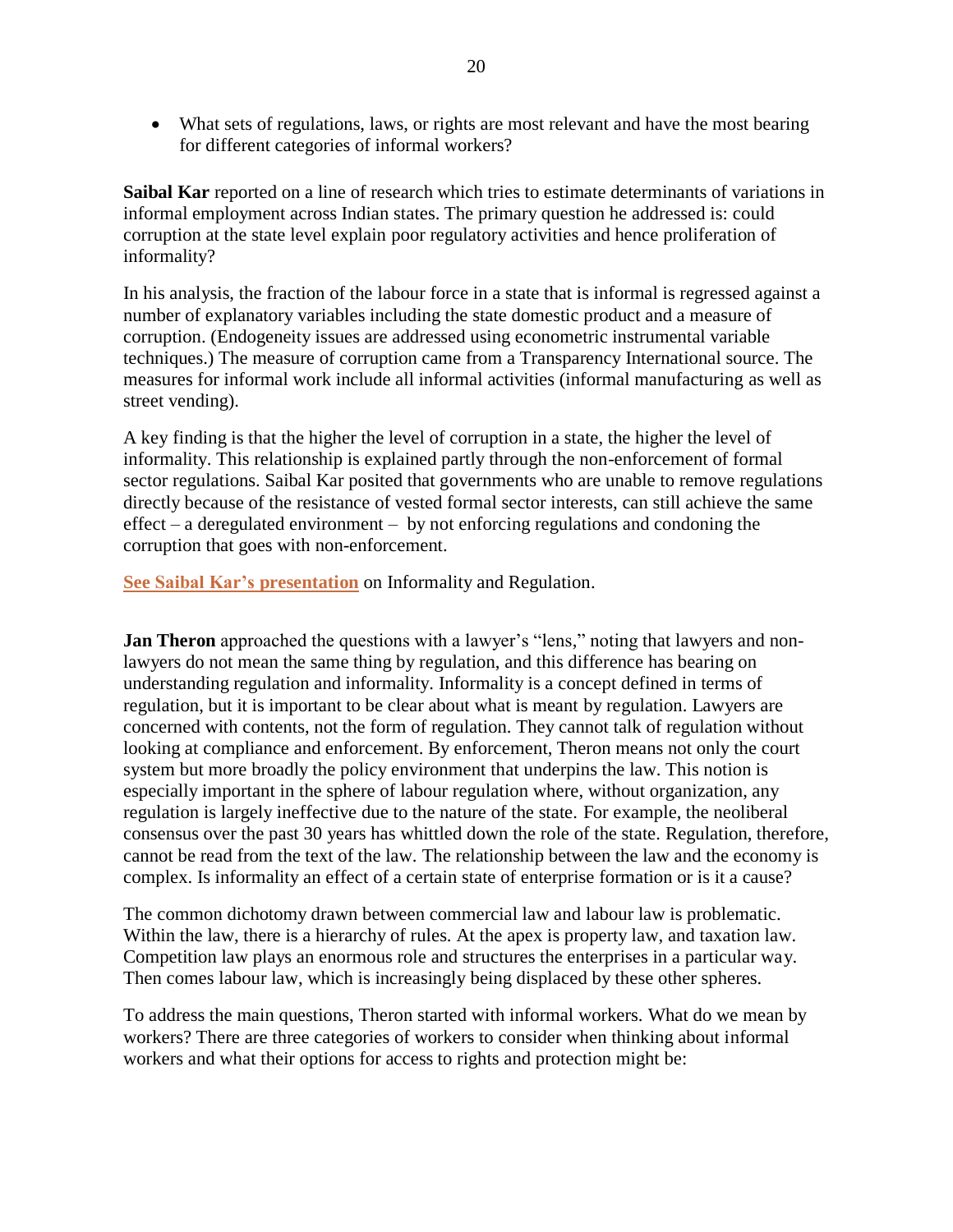What sets of regulations, laws, or rights are most relevant and have the most bearing for different categories of informal workers?

**Saibal Kar** reported on a line of research which tries to estimate determinants of variations in informal employment across Indian states. The primary question he addressed is: could corruption at the state level explain poor regulatory activities and hence proliferation of informality?

In his analysis, the fraction of the labour force in a state that is informal is regressed against a number of explanatory variables including the state domestic product and a measure of corruption. (Endogeneity issues are addressed using econometric instrumental variable techniques.) The measure of corruption came from a Transparency International source. The measures for informal work include all informal activities (informal manufacturing as well as street vending).

A key finding is that the higher the level of corruption in a state, the higher the level of informality. This relationship is explained partly through the non-enforcement of formal sector regulations. Saibal Kar posited that governments who are unable to remove regulations directly because of the resistance of vested formal sector interests, can still achieve the same effect – a deregulated environment – by not enforcing regulations and condoning the corruption that goes with non-enforcement.

**[See Saibal Kar's presentation](http://wiego.org/sites/wiego.org/files/resources/files/Kar-Regulation-Inf-Econ.pdf)** on Informality and Regulation.

**Jan Theron** approached the questions with a lawyer's "lens," noting that lawyers and nonlawyers do not mean the same thing by regulation, and this difference has bearing on understanding regulation and informality. Informality is a concept defined in terms of regulation, but it is important to be clear about what is meant by regulation. Lawyers are concerned with contents, not the form of regulation. They cannot talk of regulation without looking at compliance and enforcement. By enforcement, Theron means not only the court system but more broadly the policy environment that underpins the law. This notion is especially important in the sphere of labour regulation where, without organization, any regulation is largely ineffective due to the nature of the state. For example, the neoliberal consensus over the past 30 years has whittled down the role of the state. Regulation, therefore, cannot be read from the text of the law. The relationship between the law and the economy is complex. Is informality an effect of a certain state of enterprise formation or is it a cause?

The common dichotomy drawn between commercial law and labour law is problematic. Within the law, there is a hierarchy of rules. At the apex is property law, and taxation law. Competition law plays an enormous role and structures the enterprises in a particular way. Then comes labour law, which is increasingly being displaced by these other spheres.

To address the main questions, Theron started with informal workers. What do we mean by workers? There are three categories of workers to consider when thinking about informal workers and what their options for access to rights and protection might be: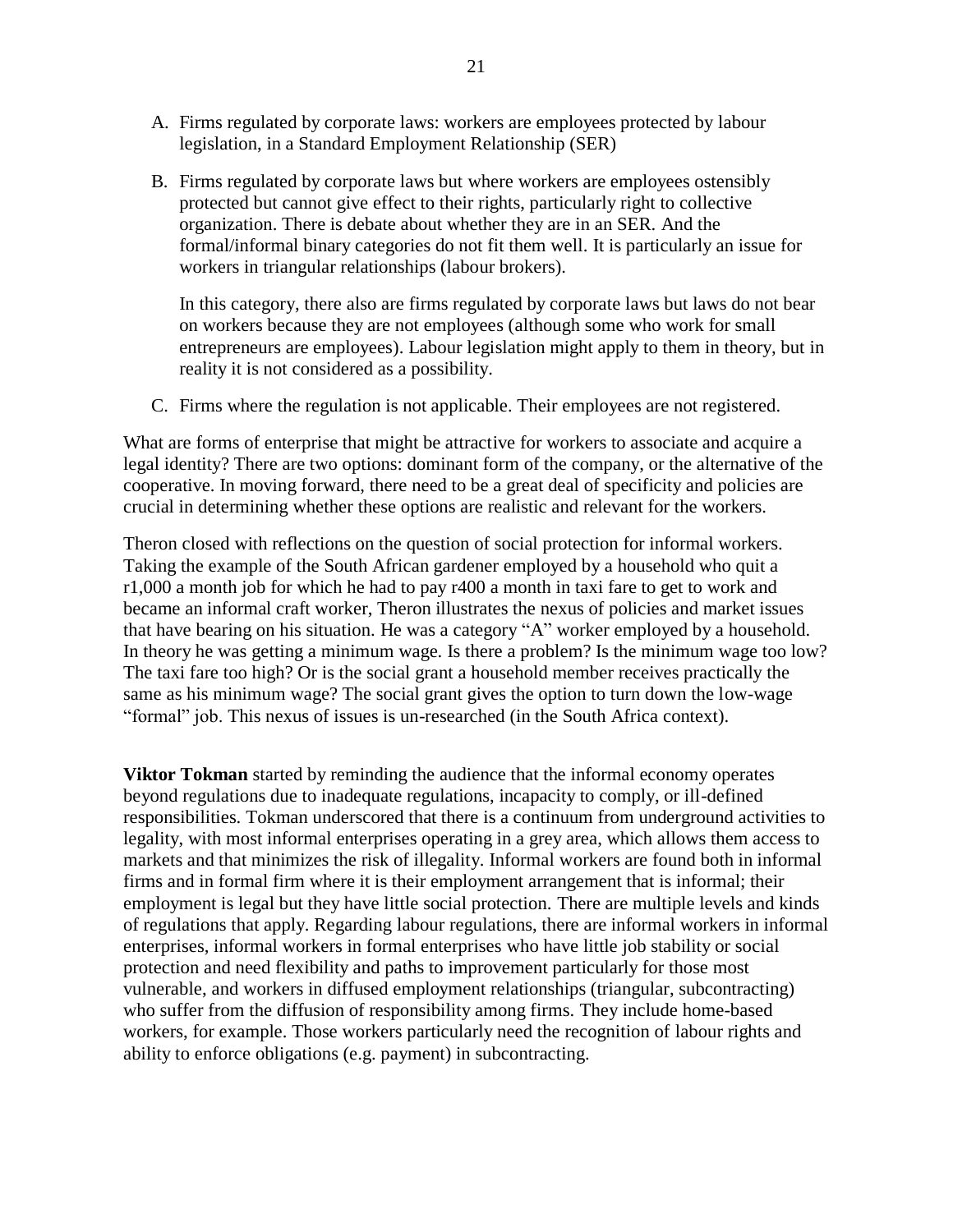- A. Firms regulated by corporate laws: workers are employees protected by labour legislation, in a Standard Employment Relationship (SER)
- B. Firms regulated by corporate laws but where workers are employees ostensibly protected but cannot give effect to their rights, particularly right to collective organization. There is debate about whether they are in an SER. And the formal/informal binary categories do not fit them well. It is particularly an issue for workers in triangular relationships (labour brokers).

In this category, there also are firms regulated by corporate laws but laws do not bear on workers because they are not employees (although some who work for small entrepreneurs are employees). Labour legislation might apply to them in theory, but in reality it is not considered as a possibility.

C. Firms where the regulation is not applicable. Their employees are not registered.

What are forms of enterprise that might be attractive for workers to associate and acquire a legal identity? There are two options: dominant form of the company, or the alternative of the cooperative. In moving forward, there need to be a great deal of specificity and policies are crucial in determining whether these options are realistic and relevant for the workers.

Theron closed with reflections on the question of social protection for informal workers. Taking the example of the South African gardener employed by a household who quit a r1,000 a month job for which he had to pay r400 a month in taxi fare to get to work and became an informal craft worker, Theron illustrates the nexus of policies and market issues that have bearing on his situation. He was a category "A" worker employed by a household. In theory he was getting a minimum wage. Is there a problem? Is the minimum wage too low? The taxi fare too high? Or is the social grant a household member receives practically the same as his minimum wage? The social grant gives the option to turn down the low-wage ―formal‖ job. This nexus of issues is un-researched (in the South Africa context).

**Viktor Tokman** started by reminding the audience that the informal economy operates beyond regulations due to inadequate regulations, incapacity to comply, or ill-defined responsibilities. Tokman underscored that there is a continuum from underground activities to legality, with most informal enterprises operating in a grey area, which allows them access to markets and that minimizes the risk of illegality. Informal workers are found both in informal firms and in formal firm where it is their employment arrangement that is informal; their employment is legal but they have little social protection. There are multiple levels and kinds of regulations that apply. Regarding labour regulations, there are informal workers in informal enterprises, informal workers in formal enterprises who have little job stability or social protection and need flexibility and paths to improvement particularly for those most vulnerable, and workers in diffused employment relationships (triangular, subcontracting) who suffer from the diffusion of responsibility among firms. They include home-based workers, for example. Those workers particularly need the recognition of labour rights and ability to enforce obligations (e.g. payment) in subcontracting.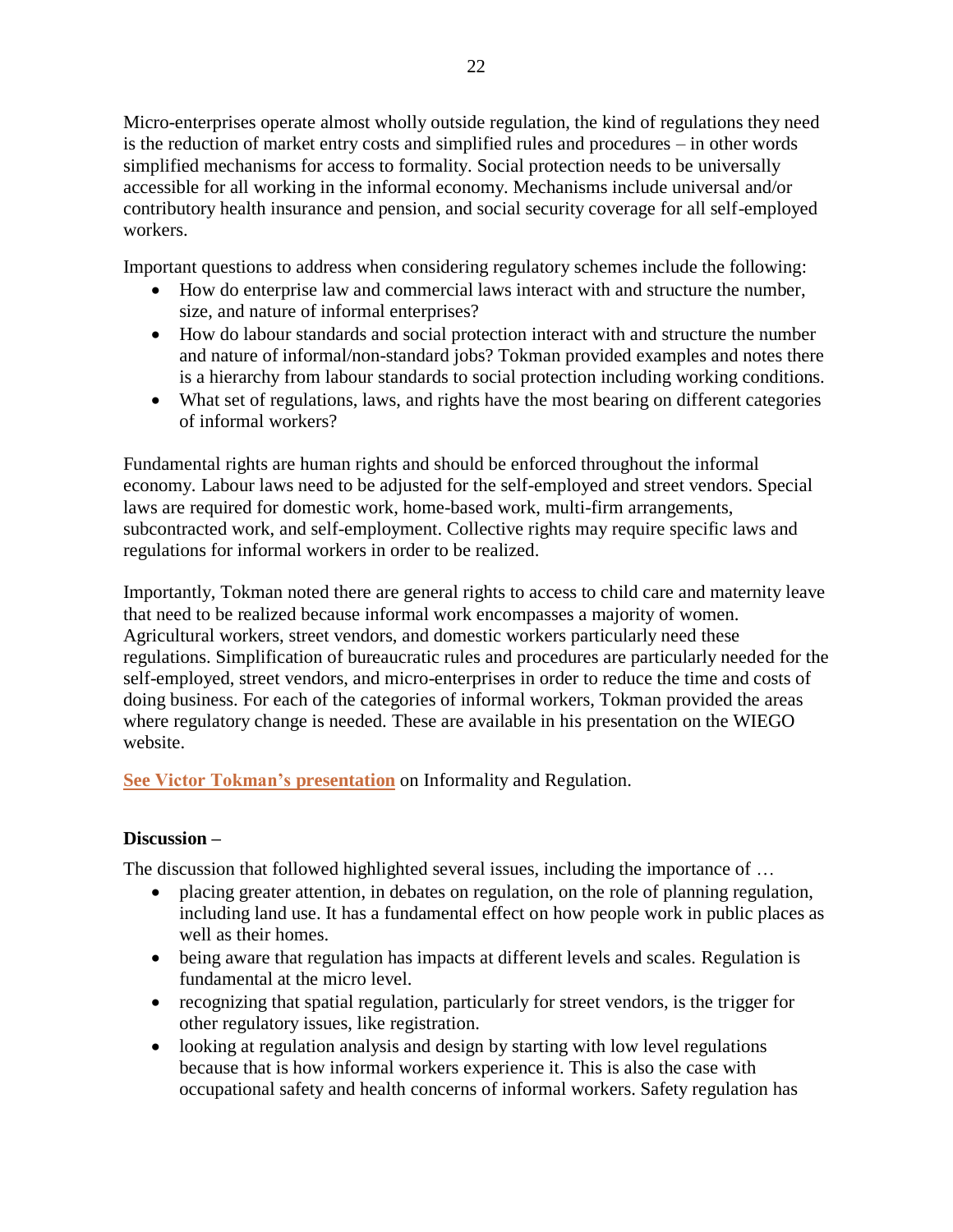Micro-enterprises operate almost wholly outside regulation, the kind of regulations they need is the reduction of market entry costs and simplified rules and procedures – in other words simplified mechanisms for access to formality. Social protection needs to be universally accessible for all working in the informal economy. Mechanisms include universal and/or contributory health insurance and pension, and social security coverage for all self-employed workers.

Important questions to address when considering regulatory schemes include the following:

- How do enterprise law and commercial laws interact with and structure the number, size, and nature of informal enterprises?
- How do labour standards and social protection interact with and structure the number and nature of informal/non-standard jobs? Tokman provided examples and notes there is a hierarchy from labour standards to social protection including working conditions.
- What set of regulations, laws, and rights have the most bearing on different categories of informal workers?

Fundamental rights are human rights and should be enforced throughout the informal economy. Labour laws need to be adjusted for the self-employed and street vendors. Special laws are required for domestic work, home-based work, multi-firm arrangements, subcontracted work, and self-employment. Collective rights may require specific laws and regulations for informal workers in order to be realized.

Importantly, Tokman noted there are general rights to access to child care and maternity leave that need to be realized because informal work encompasses a majority of women. Agricultural workers, street vendors, and domestic workers particularly need these regulations. Simplification of bureaucratic rules and procedures are particularly needed for the self-employed, street vendors, and micro-enterprises in order to reduce the time and costs of doing business. For each of the categories of informal workers, Tokman provided the areas where regulatory change is needed. These are available in his presentation on the WIEGO website.

**[See Victor Tokman's presentation](http://wiego.org/sites/wiego.org/files/resources/files/Tokman-Regulations-Inf-Econ.pdf)** on Informality and Regulation.

### **Discussion –**

The discussion that followed highlighted several issues, including the importance of ...

- placing greater attention, in debates on regulation, on the role of planning regulation, including land use. It has a fundamental effect on how people work in public places as well as their homes.
- being aware that regulation has impacts at different levels and scales. Regulation is fundamental at the micro level.
- recognizing that spatial regulation, particularly for street vendors, is the trigger for other regulatory issues, like registration.
- looking at regulation analysis and design by starting with low level regulations because that is how informal workers experience it. This is also the case with occupational safety and health concerns of informal workers. Safety regulation has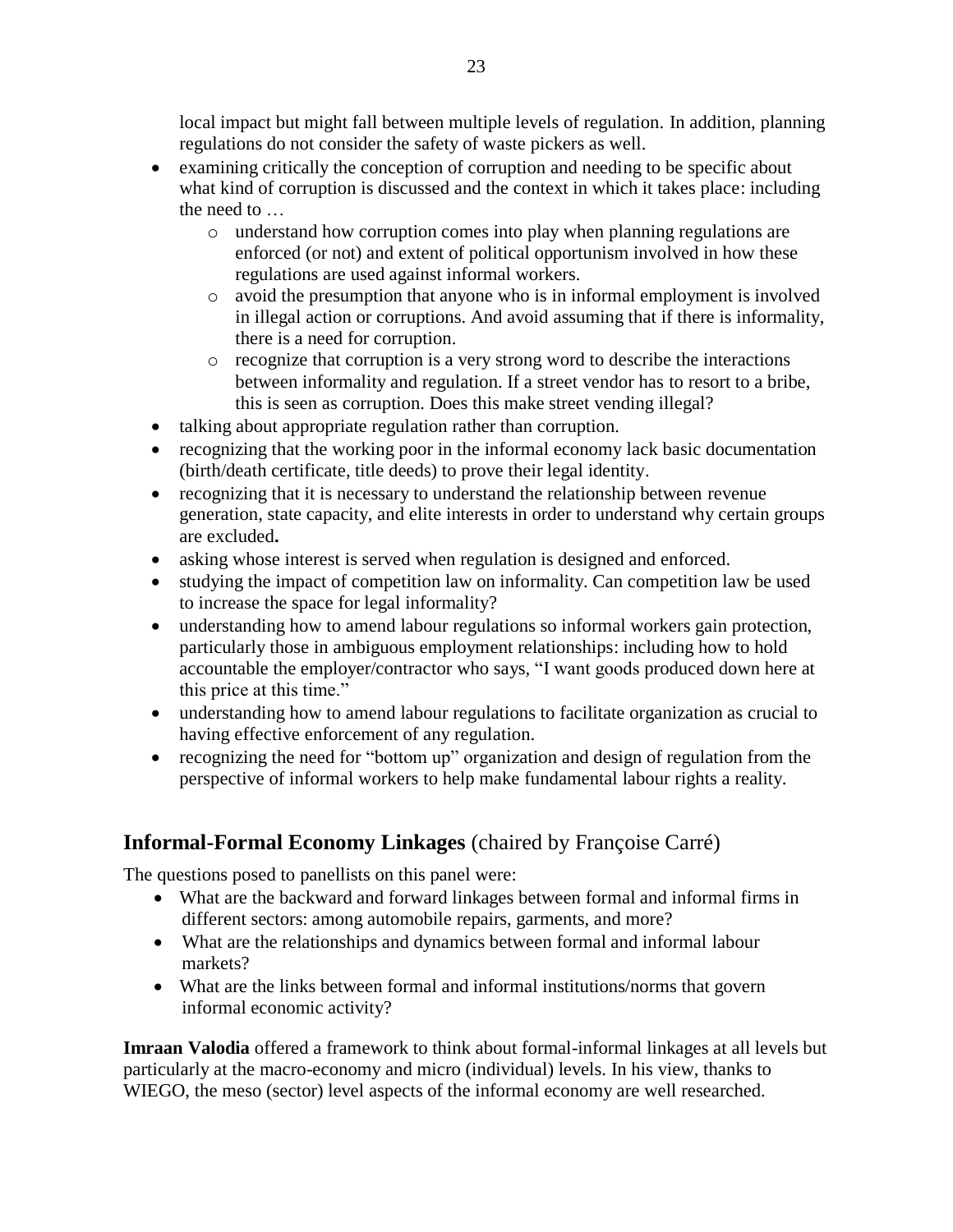local impact but might fall between multiple levels of regulation. In addition, planning regulations do not consider the safety of waste pickers as well.

- examining critically the conception of corruption and needing to be specific about what kind of corruption is discussed and the context in which it takes place: including the need to
	- o understand how corruption comes into play when planning regulations are enforced (or not) and extent of political opportunism involved in how these regulations are used against informal workers.
	- o avoid the presumption that anyone who is in informal employment is involved in illegal action or corruptions. And avoid assuming that if there is informality, there is a need for corruption.
	- o recognize that corruption is a very strong word to describe the interactions between informality and regulation. If a street vendor has to resort to a bribe, this is seen as corruption. Does this make street vending illegal?
- talking about appropriate regulation rather than corruption.
- recognizing that the working poor in the informal economy lack basic documentation (birth/death certificate, title deeds) to prove their legal identity.
- recognizing that it is necessary to understand the relationship between revenue generation, state capacity, and elite interests in order to understand why certain groups are excluded**.**
- asking whose interest is served when regulation is designed and enforced.
- studying the impact of competition law on informality. Can competition law be used to increase the space for legal informality?
- understanding how to amend labour regulations so informal workers gain protection, particularly those in ambiguous employment relationships: including how to hold accountable the employer/contractor who says, "I want goods produced down here at this price at this time."
- understanding how to amend labour regulations to facilitate organization as crucial to having effective enforcement of any regulation.
- recognizing the need for "bottom up" organization and design of regulation from the perspective of informal workers to help make fundamental labour rights a reality.

# **Informal-Formal Economy Linkages** (chaired by Françoise Carré)

The questions posed to panellists on this panel were:

- What are the backward and forward linkages between formal and informal firms in different sectors: among automobile repairs, garments, and more?
- What are the relationships and dynamics between formal and informal labour markets?
- What are the links between formal and informal institutions/norms that govern informal economic activity?

**Imraan Valodia** offered a framework to think about formal-informal linkages at all levels but particularly at the macro-economy and micro (individual) levels. In his view, thanks to WIEGO, the meso (sector) level aspects of the informal economy are well researched.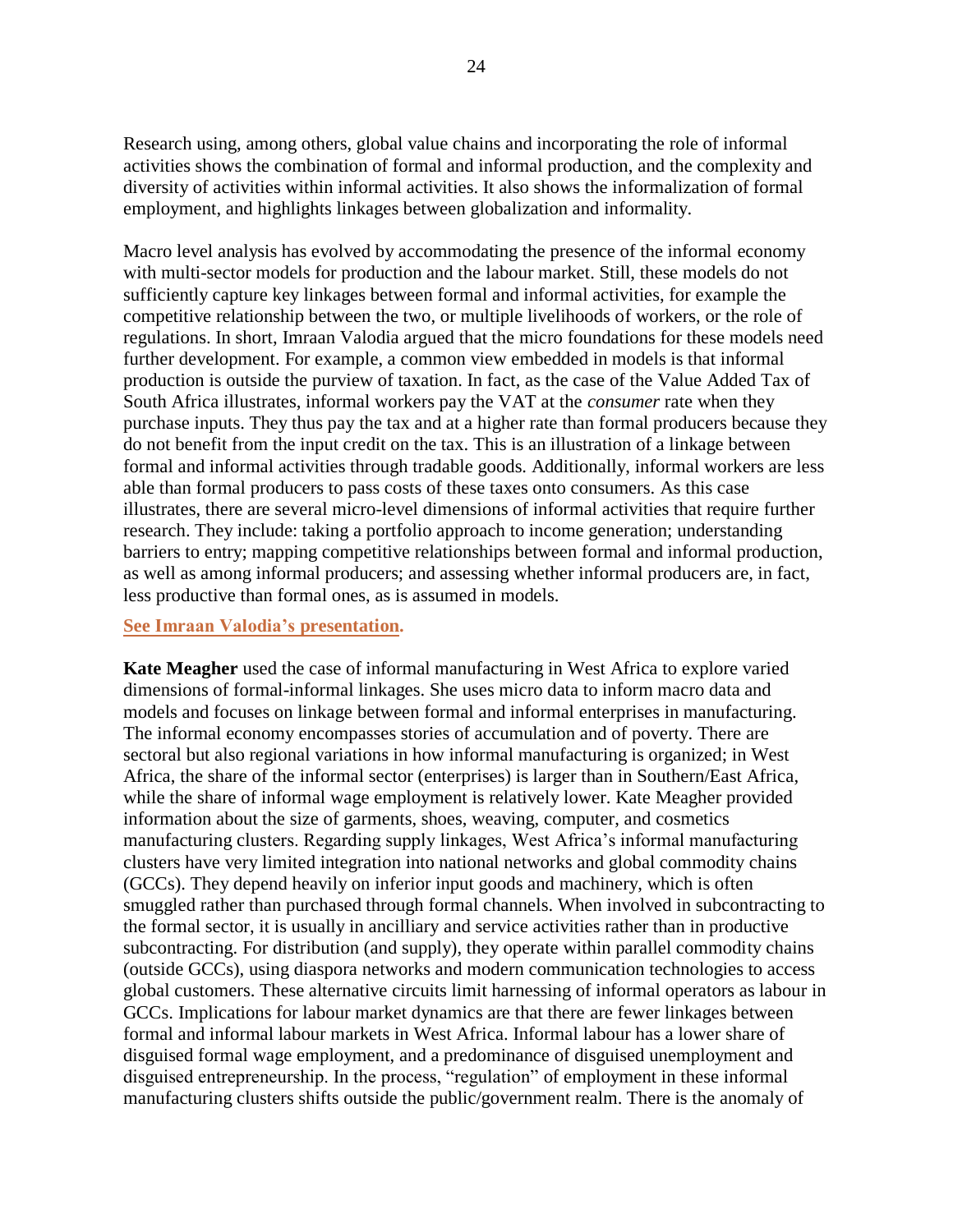Research using, among others, global value chains and incorporating the role of informal activities shows the combination of formal and informal production, and the complexity and diversity of activities within informal activities. It also shows the informalization of formal employment, and highlights linkages between globalization and informality.

Macro level analysis has evolved by accommodating the presence of the informal economy with multi-sector models for production and the labour market. Still, these models do not sufficiently capture key linkages between formal and informal activities, for example the competitive relationship between the two, or multiple livelihoods of workers, or the role of regulations. In short, Imraan Valodia argued that the micro foundations for these models need further development. For example, a common view embedded in models is that informal production is outside the purview of taxation. In fact, as the case of the Value Added Tax of South Africa illustrates, informal workers pay the VAT at the *consumer* rate when they purchase inputs. They thus pay the tax and at a higher rate than formal producers because they do not benefit from the input credit on the tax. This is an illustration of a linkage between formal and informal activities through tradable goods. Additionally, informal workers are less able than formal producers to pass costs of these taxes onto consumers. As this case illustrates, there are several micro-level dimensions of informal activities that require further research. They include: taking a portfolio approach to income generation; understanding barriers to entry; mapping competitive relationships between formal and informal production, as well as among informal producers; and assessing whether informal producers are, in fact, less productive than formal ones, as is assumed in models.

#### **[See Imraan Valodia's](http://wiego.org/sites/wiego.org/files/resources/files/Valodia-Moving-WIEGO-From-Meso.pdf) presentation.**

**Kate Meagher** used the case of informal manufacturing in West Africa to explore varied dimensions of formal-informal linkages. She uses micro data to inform macro data and models and focuses on linkage between formal and informal enterprises in manufacturing. The informal economy encompasses stories of accumulation and of poverty. There are sectoral but also regional variations in how informal manufacturing is organized; in West Africa, the share of the informal sector (enterprises) is larger than in Southern/East Africa, while the share of informal wage employment is relatively lower. Kate Meagher provided information about the size of garments, shoes, weaving, computer, and cosmetics manufacturing clusters. Regarding supply linkages, West Africa's informal manufacturing clusters have very limited integration into national networks and global commodity chains (GCCs). They depend heavily on inferior input goods and machinery, which is often smuggled rather than purchased through formal channels. When involved in subcontracting to the formal sector, it is usually in ancilliary and service activities rather than in productive subcontracting. For distribution (and supply), they operate within parallel commodity chains (outside GCCs), using diaspora networks and modern communication technologies to access global customers. These alternative circuits limit harnessing of informal operators as labour in GCCs. Implications for labour market dynamics are that there are fewer linkages between formal and informal labour markets in West Africa. Informal labour has a lower share of disguised formal wage employment, and a predominance of disguised unemployment and disguised entrepreneurship. In the process, "regulation" of employment in these informal manufacturing clusters shifts outside the public/government realm. There is the anomaly of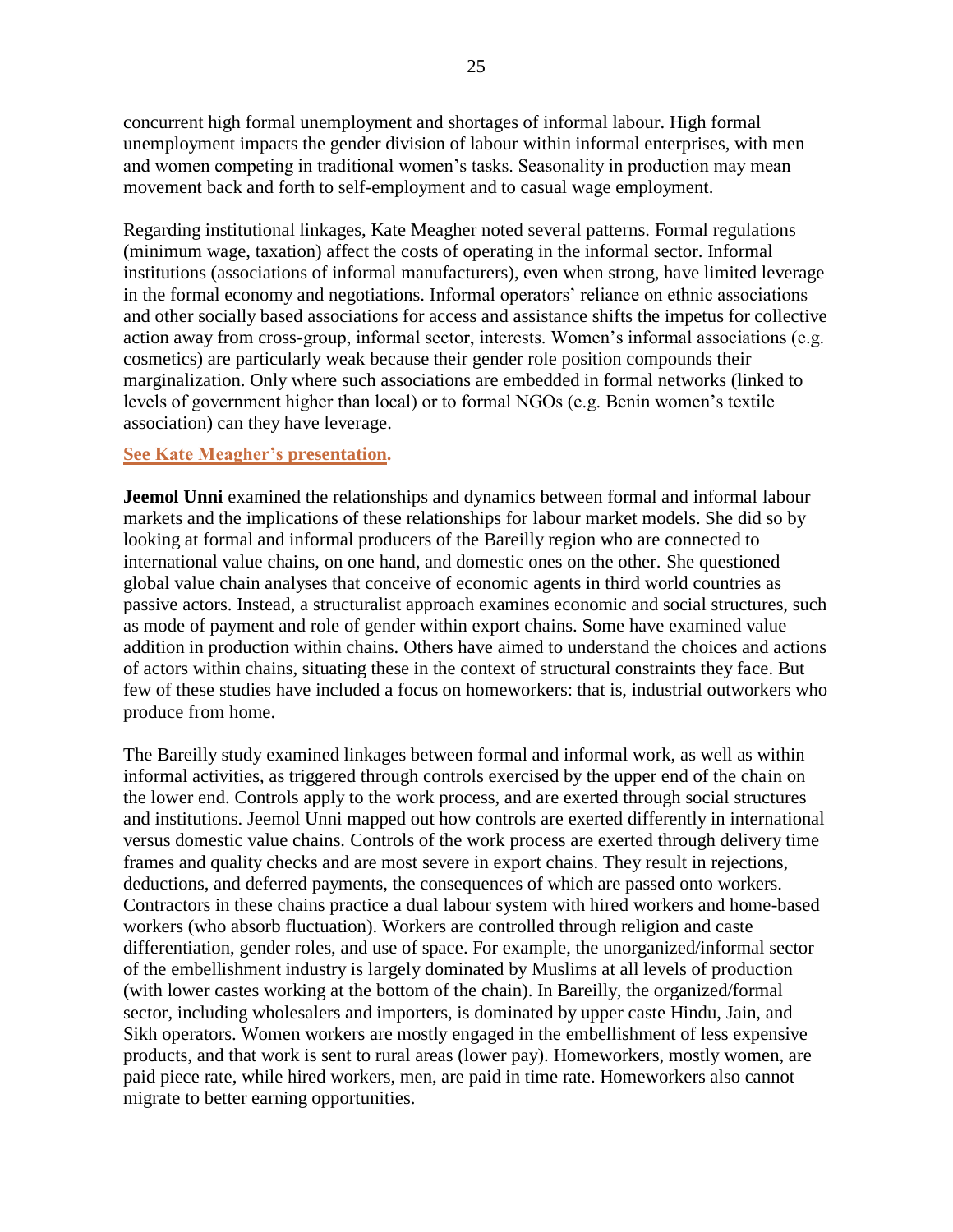concurrent high formal unemployment and shortages of informal labour. High formal unemployment impacts the gender division of labour within informal enterprises, with men and women competing in traditional women's tasks. Seasonality in production may mean movement back and forth to self-employment and to casual wage employment.

Regarding institutional linkages, Kate Meagher noted several patterns. Formal regulations (minimum wage, taxation) affect the costs of operating in the informal sector. Informal institutions (associations of informal manufacturers), even when strong, have limited leverage in the formal economy and negotiations. Informal operators' reliance on ethnic associations and other socially based associations for access and assistance shifts the impetus for collective action away from cross-group, informal sector, interests. Women's informal associations (e.g. cosmetics) are particularly weak because their gender role position compounds their marginalization. Only where such associations are embedded in formal networks (linked to levels of government higher than local) or to formal NGOs (e.g. Benin women's textile association) can they have leverage.

### **[See Kate Meagher's presentation.](http://wiego.org/sites/wiego.org/files/resources/files/Meaghar-Informal-Manufacturing-WAfrica.pdf)**

**Jeemol Unni** examined the relationships and dynamics between formal and informal labour markets and the implications of these relationships for labour market models. She did so by looking at formal and informal producers of the Bareilly region who are connected to international value chains, on one hand, and domestic ones on the other. She questioned global value chain analyses that conceive of economic agents in third world countries as passive actors. Instead, a structuralist approach examines economic and social structures, such as mode of payment and role of gender within export chains. Some have examined value addition in production within chains. Others have aimed to understand the choices and actions of actors within chains, situating these in the context of structural constraints they face. But few of these studies have included a focus on homeworkers: that is, industrial outworkers who produce from home.

The Bareilly study examined linkages between formal and informal work, as well as within informal activities, as triggered through controls exercised by the upper end of the chain on the lower end. Controls apply to the work process, and are exerted through social structures and institutions. Jeemol Unni mapped out how controls are exerted differently in international versus domestic value chains. Controls of the work process are exerted through delivery time frames and quality checks and are most severe in export chains. They result in rejections, deductions, and deferred payments, the consequences of which are passed onto workers. Contractors in these chains practice a dual labour system with hired workers and home-based workers (who absorb fluctuation). Workers are controlled through religion and caste differentiation, gender roles, and use of space. For example, the unorganized/informal sector of the embellishment industry is largely dominated by Muslims at all levels of production (with lower castes working at the bottom of the chain). In Bareilly, the organized/formal sector, including wholesalers and importers, is dominated by upper caste Hindu, Jain, and Sikh operators. Women workers are mostly engaged in the embellishment of less expensive products, and that work is sent to rural areas (lower pay). Homeworkers, mostly women, are paid piece rate, while hired workers, men, are paid in time rate. Homeworkers also cannot migrate to better earning opportunities.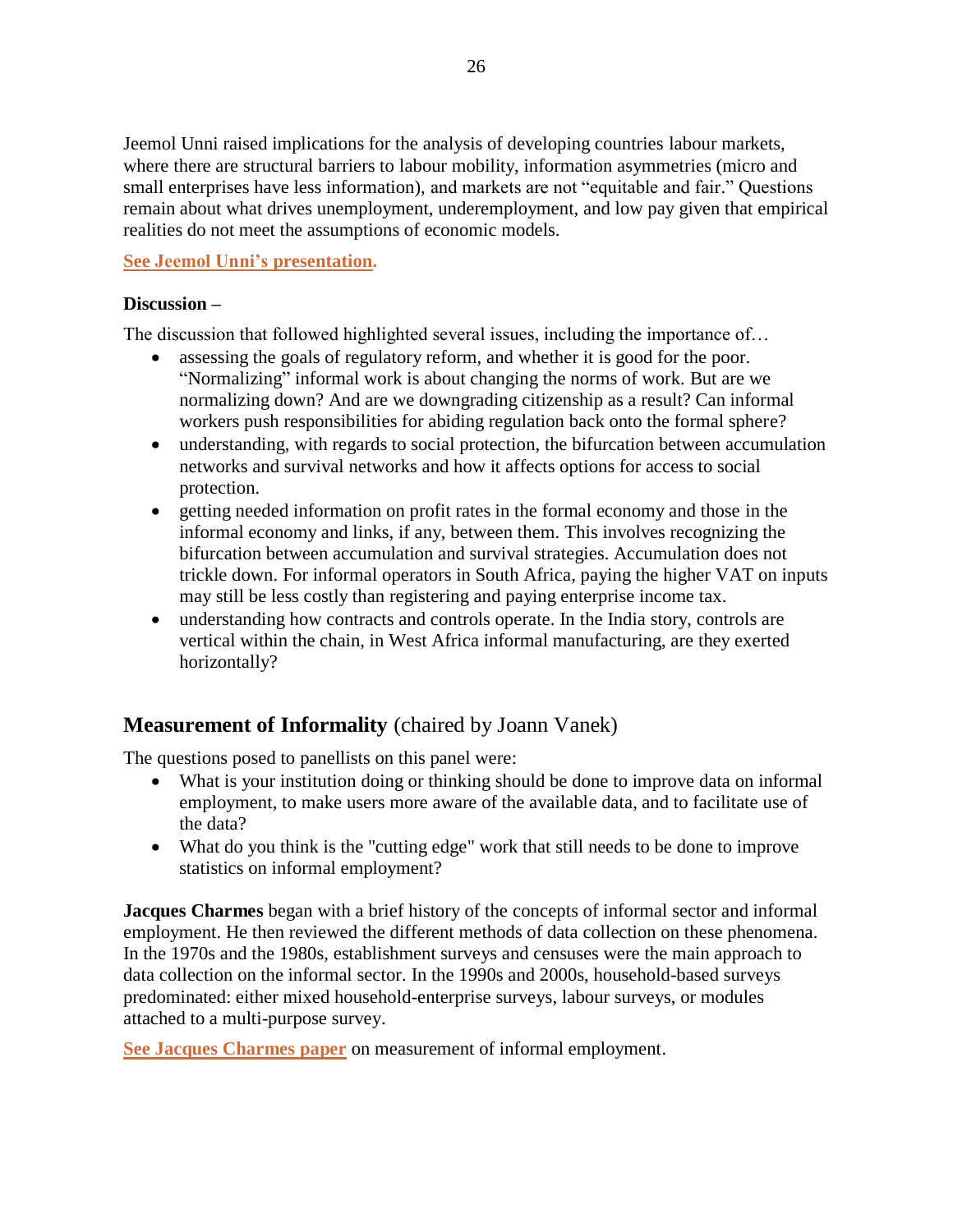Jeemol Unni raised implications for the analysis of developing countries labour markets, where there are structural barriers to labour mobility, information asymmetries (micro and small enterprises have less information), and markets are not "equitable and fair." Questions remain about what drives unemployment, underemployment, and low pay given that empirical realities do not meet the assumptions of economic models.

### **[See Jeemol Unni's](http://wiego.org/sites/wiego.org/files/resources/files/Unni-Formal-Inf-Linkages-Labour-Mkt.pdf) presentation.**

### **Discussion –**

The discussion that followed highlighted several issues, including the importance of…

- assessing the goals of regulatory reform, and whether it is good for the poor. "Normalizing" informal work is about changing the norms of work. But are we normalizing down? And are we downgrading citizenship as a result? Can informal workers push responsibilities for abiding regulation back onto the formal sphere?
- understanding, with regards to social protection, the bifurcation between accumulation networks and survival networks and how it affects options for access to social protection.
- getting needed information on profit rates in the formal economy and those in the informal economy and links, if any, between them. This involves recognizing the bifurcation between accumulation and survival strategies. Accumulation does not trickle down. For informal operators in South Africa, paying the higher VAT on inputs may still be less costly than registering and paying enterprise income tax.
- understanding how contracts and controls operate. In the India story, controls are vertical within the chain, in West Africa informal manufacturing, are they exerted horizontally?

## **Measurement of Informality** (chaired by Joann Vanek)

The questions posed to panellists on this panel were:

- What is your institution doing or thinking should be done to improve data on informal employment, to make users more aware of the available data, and to facilitate use of the data?
- What do you think is the "cutting edge" work that still needs to be done to improve statistics on informal employment?

**Jacques Charmes** began with a brief history of the concepts of informal sector and informal employment. He then reviewed the different methods of data collection on these phenomena. In the 1970s and the 1980s, establishment surveys and censuses were the main approach to data collection on the informal sector. In the 1990s and 2000s, household-based surveys predominated: either mixed household-enterprise surveys, labour surveys, or modules attached to a multi-purpose survey.

**[See Jacques Charmes paper](http://wiego.org/sites/wiego.org/files/resources/files/Charmes-Measurement-Inf-Employment-Paper.pdf)** on measurement of informal employment.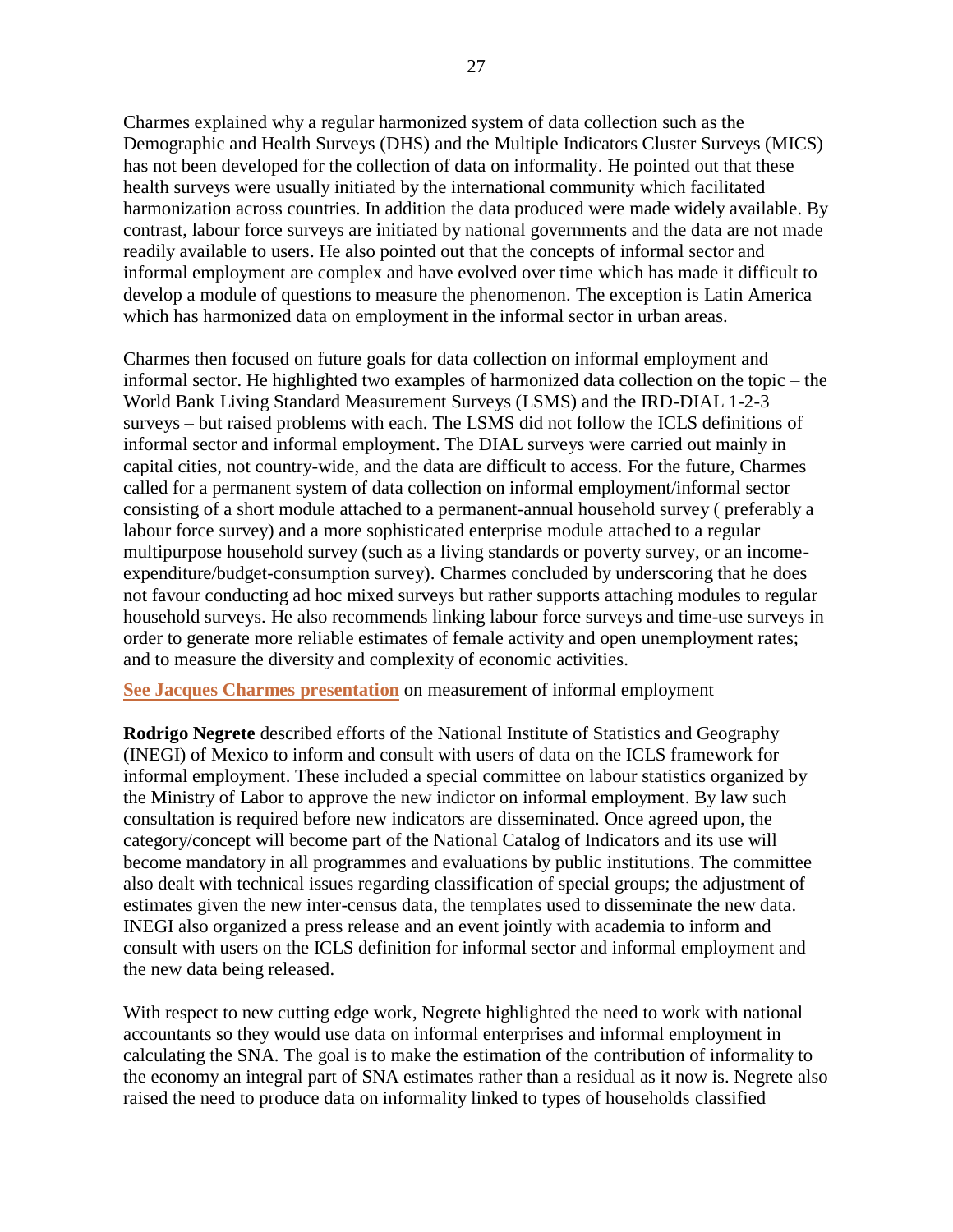Charmes explained why a regular harmonized system of data collection such as the Demographic and Health Surveys (DHS) and the Multiple Indicators Cluster Surveys (MICS) has not been developed for the collection of data on informality. He pointed out that these health surveys were usually initiated by the international community which facilitated harmonization across countries. In addition the data produced were made widely available. By contrast, labour force surveys are initiated by national governments and the data are not made readily available to users. He also pointed out that the concepts of informal sector and informal employment are complex and have evolved over time which has made it difficult to develop a module of questions to measure the phenomenon. The exception is Latin America which has harmonized data on employment in the informal sector in urban areas.

Charmes then focused on future goals for data collection on informal employment and informal sector. He highlighted two examples of harmonized data collection on the topic – the World Bank Living Standard Measurement Surveys (LSMS) and the IRD-DIAL 1-2-3 surveys – but raised problems with each. The LSMS did not follow the ICLS definitions of informal sector and informal employment. The DIAL surveys were carried out mainly in capital cities, not country-wide, and the data are difficult to access. For the future, Charmes called for a permanent system of data collection on informal employment/informal sector consisting of a short module attached to a permanent-annual household survey ( preferably a labour force survey) and a more sophisticated enterprise module attached to a regular multipurpose household survey (such as a living standards or poverty survey, or an incomeexpenditure/budget-consumption survey). Charmes concluded by underscoring that he does not favour conducting ad hoc mixed surveys but rather supports attaching modules to regular household surveys. He also recommends linking labour force surveys and time-use surveys in order to generate more reliable estimates of female activity and open unemployment rates; and to measure the diversity and complexity of economic activities.

### **[See Jacques Charmes presentation](http://wiego.org/sites/wiego.org/files/resources/files/Charmes-Measurement-Inf-Employment-Presentation.pdf)** on measurement of informal employment

**Rodrigo Negrete** described efforts of the National Institute of Statistics and Geography (INEGI) of Mexico to inform and consult with users of data on the ICLS framework for informal employment. These included a special committee on labour statistics organized by the Ministry of Labor to approve the new indictor on informal employment. By law such consultation is required before new indicators are disseminated. Once agreed upon, the category/concept will become part of the National Catalog of Indicators and its use will become mandatory in all programmes and evaluations by public institutions. The committee also dealt with technical issues regarding classification of special groups; the adjustment of estimates given the new inter-census data, the templates used to disseminate the new data. INEGI also organized a press release and an event jointly with academia to inform and consult with users on the ICLS definition for informal sector and informal employment and the new data being released.

With respect to new cutting edge work, Negrete highlighted the need to work with national accountants so they would use data on informal enterprises and informal employment in calculating the SNA. The goal is to make the estimation of the contribution of informality to the economy an integral part of SNA estimates rather than a residual as it now is. Negrete also raised the need to produce data on informality linked to types of households classified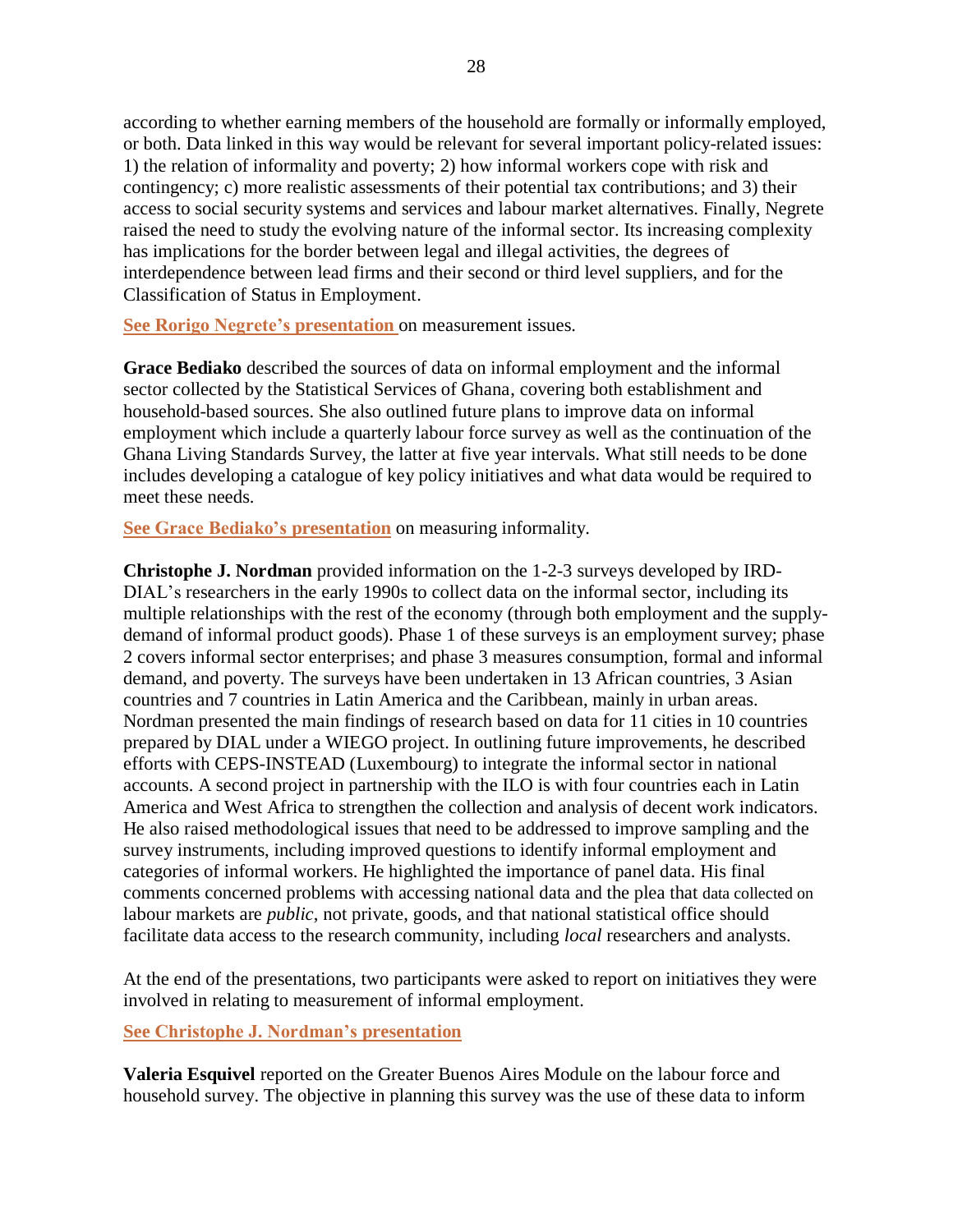according to whether earning members of the household are formally or informally employed, or both. Data linked in this way would be relevant for several important policy-related issues: 1) the relation of informality and poverty; 2) how informal workers cope with risk and contingency; c) more realistic assessments of their potential tax contributions; and 3) their access to social security systems and services and labour market alternatives. Finally, Negrete raised the need to study the evolving nature of the informal sector. Its increasing complexity has implications for the border between legal and illegal activities, the degrees of interdependence between lead firms and their second or third level suppliers, and for the Classification of Status in Employment.

**See Rorigo Negrete's presentation** [on measurement issues.](http://wiego.org/sites/wiego.org/files/resources/files/Negrete-Measurement-Issues.pdf)

**Grace Bediako** described the sources of data on informal employment and the informal sector collected by the Statistical Services of Ghana, covering both establishment and household-based sources. She also outlined future plans to improve data on informal employment which include a quarterly labour force survey as well as the continuation of the Ghana Living Standards Survey, the latter at five year intervals. What still needs to be done includes developing a catalogue of key policy initiatives and what data would be required to meet these needs.

**[See Grace Bediako's](http://wiego.org/sites/wiego.org/files/resources/files/Bediako-Measuring-Informality.pdf) presentation** on measuring informality.

**Christophe J. Nordman** provided information on the 1-2-3 surveys developed by IRD-DIAL's researchers in the early 1990s to collect data on the informal sector, including its multiple relationships with the rest of the economy (through both employment and the supplydemand of informal product goods). Phase 1 of these surveys is an employment survey; phase 2 covers informal sector enterprises; and phase 3 measures consumption, formal and informal demand, and poverty. The surveys have been undertaken in 13 African countries, 3 Asian countries and 7 countries in Latin America and the Caribbean, mainly in urban areas. Nordman presented the main findings of research based on data for 11 cities in 10 countries prepared by DIAL under a WIEGO project. In outlining future improvements, he described efforts with CEPS-INSTEAD (Luxembourg) to integrate the informal sector in national accounts. A second project in partnership with the ILO is with four countries each in Latin America and West Africa to strengthen the collection and analysis of decent work indicators. He also raised methodological issues that need to be addressed to improve sampling and the survey instruments, including improved questions to identify informal employment and categories of informal workers. He highlighted the importance of panel data. His final comments concerned problems with accessing national data and the plea that data collected on labour markets are *public*, not private, goods, and that national statistical office should facilitate data access to the research community, including *local* researchers and analysts.

At the end of the presentations, two participants were asked to report on initiatives they were involved in relating to measurement of informal employment.

### **[See Christophe J. Nordman's](http://wiego.org/sites/wiego.org/files/resources/files/Nordman-Measuring-Informality.pdf) presentation**

**Valeria Esquivel** reported on the Greater Buenos Aires Module on the labour force and household survey. The objective in planning this survey was the use of these data to inform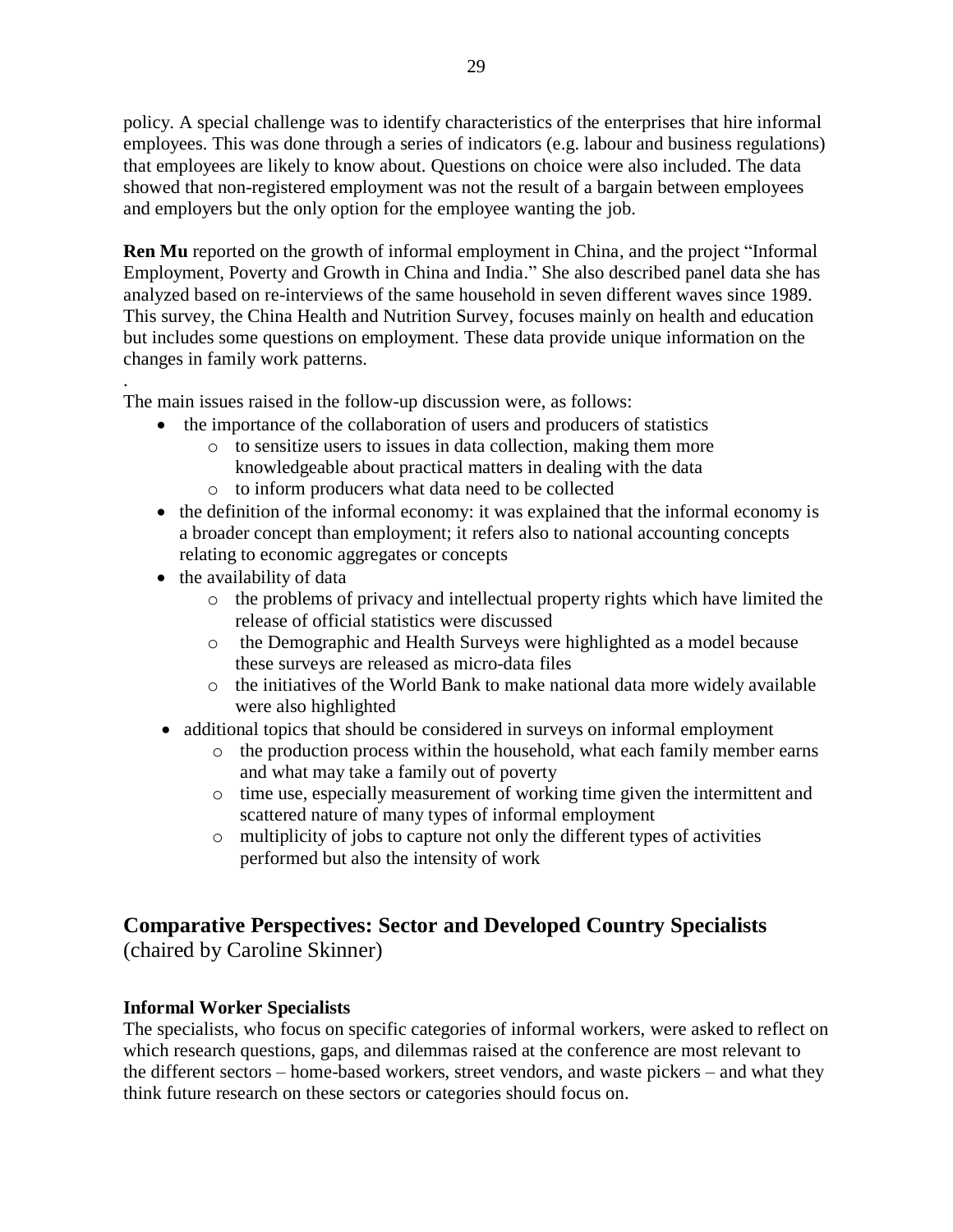policy. A special challenge was to identify characteristics of the enterprises that hire informal employees. This was done through a series of indicators (e.g. labour and business regulations) that employees are likely to know about. Questions on choice were also included. The data showed that non-registered employment was not the result of a bargain between employees and employers but the only option for the employee wanting the job.

**Ren Mu** reported on the growth of informal employment in China, and the project "Informal" Employment, Poverty and Growth in China and India." She also described panel data she has analyzed based on re-interviews of the same household in seven different waves since 1989. This survey, the China Health and Nutrition Survey, focuses mainly on health and education but includes some questions on employment. These data provide unique information on the changes in family work patterns.

. The main issues raised in the follow-up discussion were, as follows:

- the importance of the collaboration of users and producers of statistics
	- o to sensitize users to issues in data collection, making them more knowledgeable about practical matters in dealing with the data
	- o to inform producers what data need to be collected
- the definition of the informal economy: it was explained that the informal economy is a broader concept than employment; it refers also to national accounting concepts relating to economic aggregates or concepts
- the availability of data
	- o the problems of privacy and intellectual property rights which have limited the release of official statistics were discussed
	- o the Demographic and Health Surveys were highlighted as a model because these surveys are released as micro-data files
	- o the initiatives of the World Bank to make national data more widely available were also highlighted
- additional topics that should be considered in surveys on informal employment
	- o the production process within the household, what each family member earns and what may take a family out of poverty
	- o time use, especially measurement of working time given the intermittent and scattered nature of many types of informal employment
	- o multiplicity of jobs to capture not only the different types of activities performed but also the intensity of work

# **Comparative Perspectives: Sector and Developed Country Specialists**

(chaired by Caroline Skinner)

### **Informal Worker Specialists**

The specialists, who focus on specific categories of informal workers, were asked to reflect on which research questions, gaps, and dilemmas raised at the conference are most relevant to the different sectors – home-based workers, street vendors, and waste pickers – and what they think future research on these sectors or categories should focus on.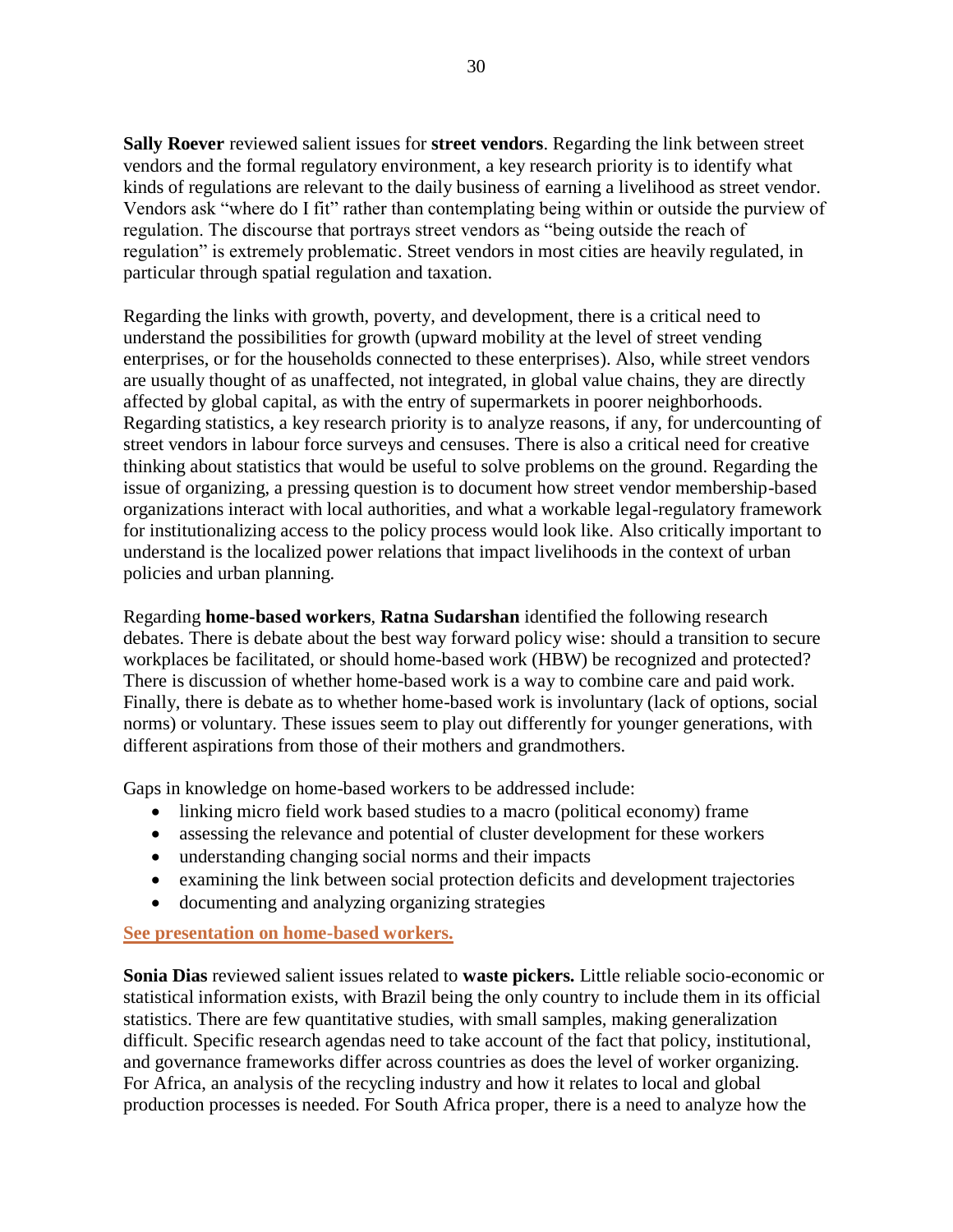**Sally Roever** reviewed salient issues for **street vendors**. Regarding the link between street vendors and the formal regulatory environment, a key research priority is to identify what kinds of regulations are relevant to the daily business of earning a livelihood as street vendor. Vendors ask "where do I fit" rather than contemplating being within or outside the purview of regulation. The discourse that portrays street vendors as "being outside the reach of regulation" is extremely problematic. Street vendors in most cities are heavily regulated, in particular through spatial regulation and taxation.

Regarding the links with growth, poverty, and development, there is a critical need to understand the possibilities for growth (upward mobility at the level of street vending enterprises, or for the households connected to these enterprises). Also, while street vendors are usually thought of as unaffected, not integrated, in global value chains, they are directly affected by global capital, as with the entry of supermarkets in poorer neighborhoods. Regarding statistics, a key research priority is to analyze reasons, if any, for undercounting of street vendors in labour force surveys and censuses. There is also a critical need for creative thinking about statistics that would be useful to solve problems on the ground. Regarding the issue of organizing, a pressing question is to document how street vendor membership-based organizations interact with local authorities, and what a workable legal-regulatory framework for institutionalizing access to the policy process would look like. Also critically important to understand is the localized power relations that impact livelihoods in the context of urban policies and urban planning.

Regarding **home-based workers**, **Ratna Sudarshan** identified the following research debates. There is debate about the best way forward policy wise: should a transition to secure workplaces be facilitated, or should home-based work (HBW) be recognized and protected? There is discussion of whether home-based work is a way to combine care and paid work. Finally, there is debate as to whether home-based work is involuntary (lack of options, social norms) or voluntary. These issues seem to play out differently for younger generations, with different aspirations from those of their mothers and grandmothers.

Gaps in knowledge on home-based workers to be addressed include:

- linking micro field work based studies to a macro (political economy) frame
- assessing the relevance and potential of cluster development for these workers
- understanding changing social norms and their impacts
- examining the link between social protection deficits and development trajectories
- documenting and analyzing organizing strategies

### **[See presentation on home-based workers.](http://wiego.org/sites/wiego.org/files/resources/files/Sudarshan-Home-Based-Work-South-Asia.pdf)**

**Sonia Dias** reviewed salient issues related to **waste pickers.** Little reliable socio-economic or statistical information exists, with Brazil being the only country to include them in its official statistics. There are few quantitative studies, with small samples, making generalization difficult. Specific research agendas need to take account of the fact that policy, institutional, and governance frameworks differ across countries as does the level of worker organizing. For Africa, an analysis of the recycling industry and how it relates to local and global production processes is needed. For South Africa proper, there is a need to analyze how the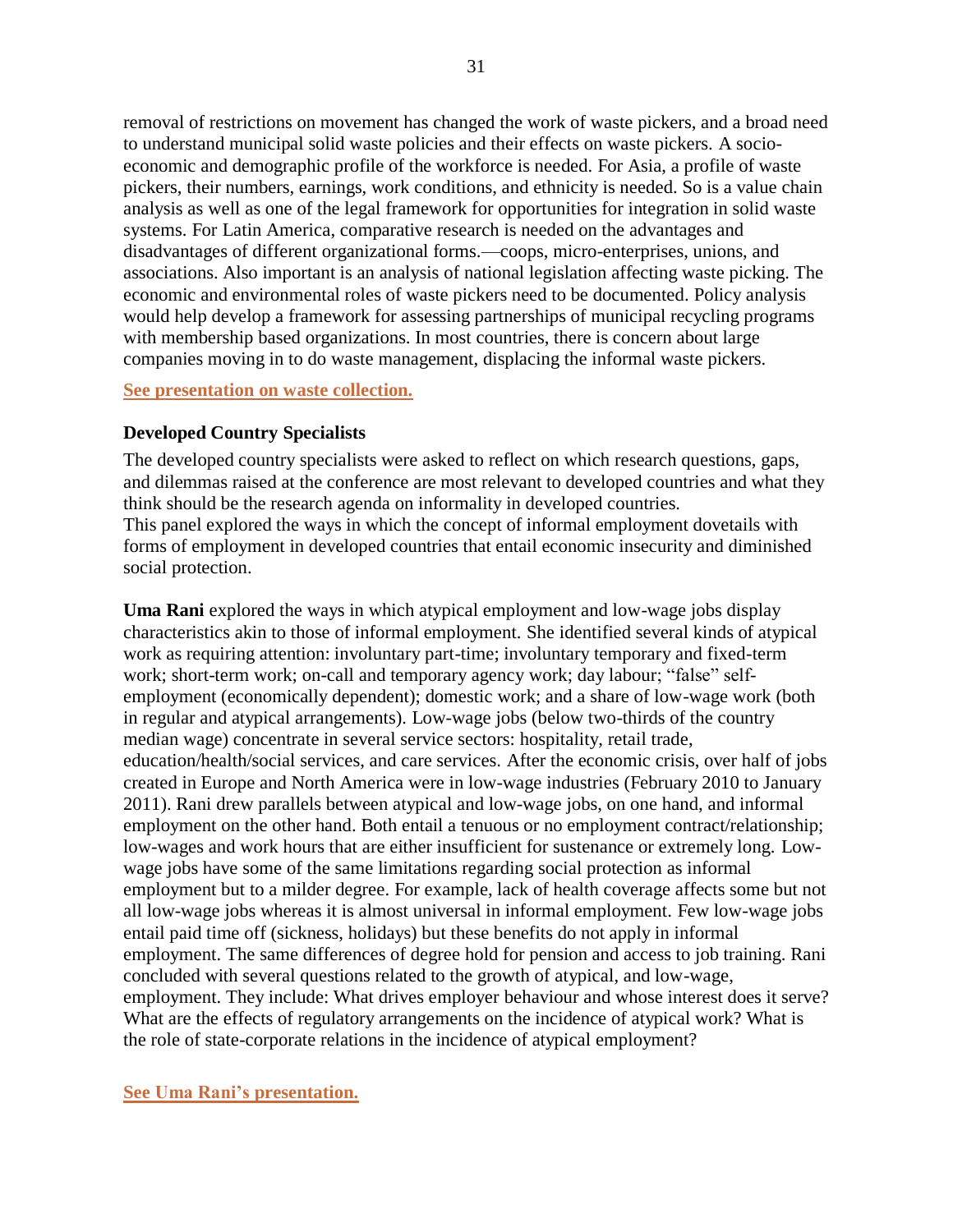removal of restrictions on movement has changed the work of waste pickers, and a broad need to understand municipal solid waste policies and their effects on waste pickers. A socioeconomic and demographic profile of the workforce is needed. For Asia, a profile of waste pickers, their numbers, earnings, work conditions, and ethnicity is needed. So is a value chain analysis as well as one of the legal framework for opportunities for integration in solid waste systems. For Latin America, comparative research is needed on the advantages and disadvantages of different organizational forms.—coops, micro-enterprises, unions, and associations. Also important is an analysis of national legislation affecting waste picking. The economic and environmental roles of waste pickers need to be documented. Policy analysis would help develop a framework for assessing partnerships of municipal recycling programs with membership based organizations. In most countries, there is concern about large companies moving in to do waste management, displacing the informal waste pickers.

#### **[See presentation on waste collection.](http://wiego.org/sites/wiego.org/files/resources/files/Dias-Research-Waste-Collection.pdf)**

#### **Developed Country Specialists**

The developed country specialists were asked to reflect on which research questions, gaps, and dilemmas raised at the conference are most relevant to developed countries and what they think should be the research agenda on informality in developed countries. This panel explored the ways in which the concept of informal employment dovetails with forms of employment in developed countries that entail economic insecurity and diminished social protection.

**Uma Rani** explored the ways in which atypical employment and low-wage jobs display characteristics akin to those of informal employment. She identified several kinds of atypical work as requiring attention: involuntary part-time; involuntary temporary and fixed-term work; short-term work; on-call and temporary agency work; day labour; "false" selfemployment (economically dependent); domestic work; and a share of low-wage work (both in regular and atypical arrangements). Low-wage jobs (below two-thirds of the country median wage) concentrate in several service sectors: hospitality, retail trade, education/health/social services, and care services. After the economic crisis, over half of jobs created in Europe and North America were in low-wage industries (February 2010 to January 2011). Rani drew parallels between atypical and low-wage jobs, on one hand, and informal employment on the other hand. Both entail a tenuous or no employment contract/relationship; low-wages and work hours that are either insufficient for sustenance or extremely long. Lowwage jobs have some of the same limitations regarding social protection as informal employment but to a milder degree. For example, lack of health coverage affects some but not all low-wage jobs whereas it is almost universal in informal employment. Few low-wage jobs entail paid time off (sickness, holidays) but these benefits do not apply in informal employment. The same differences of degree hold for pension and access to job training. Rani concluded with several questions related to the growth of atypical, and low-wage, employment. They include: What drives employer behaviour and whose interest does it serve? What are the effects of regulatory arrangements on the incidence of atypical work? What is the role of state-corporate relations in the incidence of atypical employment?

**[See Uma Rani's](http://wiego.org/sites/wiego.org/files/resources/files/Rani-Developed-Country-Perspective.pdf) presentation.**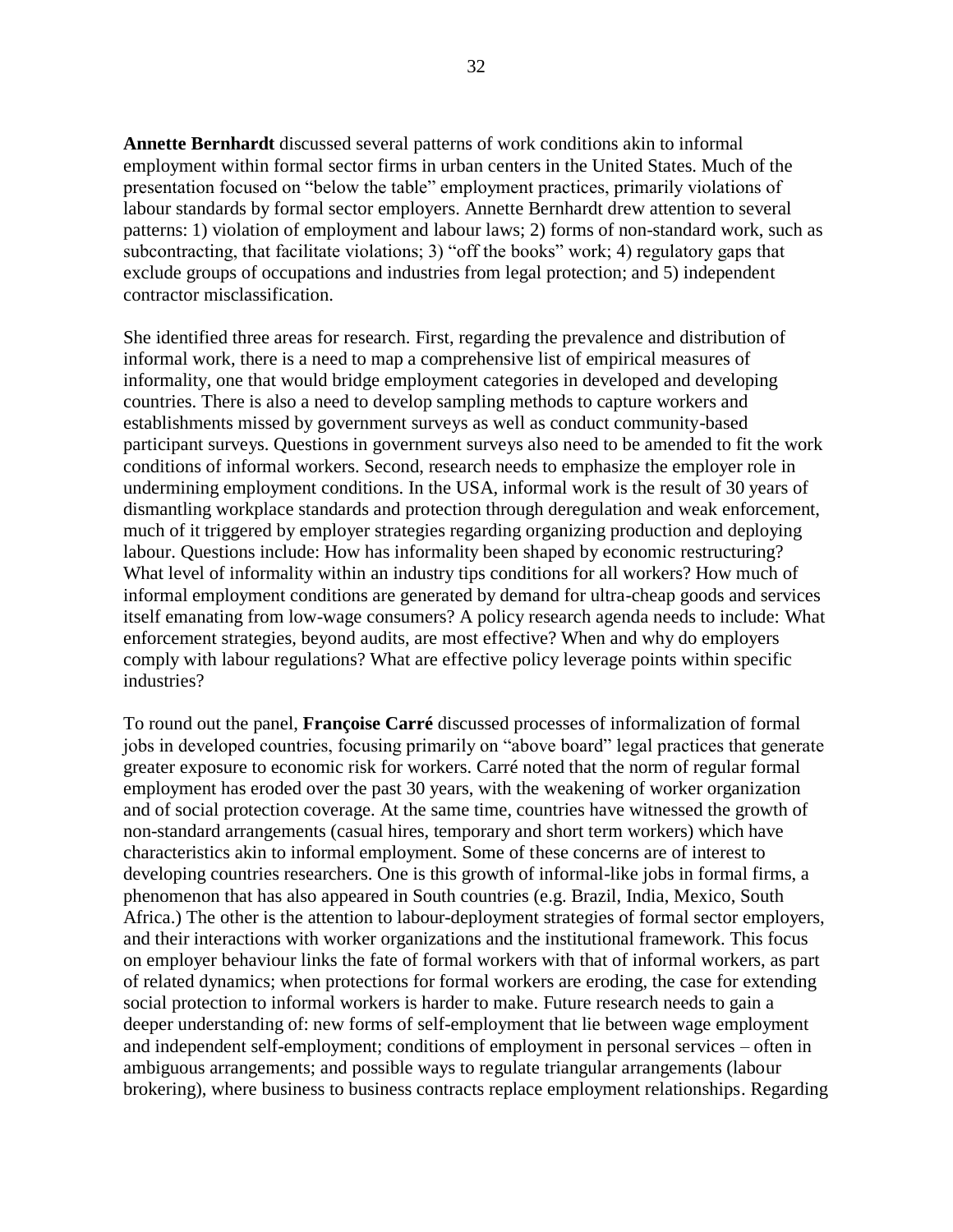**Annette Bernhardt** discussed several patterns of work conditions akin to informal employment within formal sector firms in urban centers in the United States. Much of the presentation focused on "below the table" employment practices, primarily violations of labour standards by formal sector employers. Annette Bernhardt drew attention to several patterns: 1) violation of employment and labour laws; 2) forms of non-standard work, such as subcontracting, that facilitate violations; 3) "off the books" work; 4) regulatory gaps that exclude groups of occupations and industries from legal protection; and 5) independent contractor misclassification.

She identified three areas for research. First, regarding the prevalence and distribution of informal work, there is a need to map a comprehensive list of empirical measures of informality, one that would bridge employment categories in developed and developing countries. There is also a need to develop sampling methods to capture workers and establishments missed by government surveys as well as conduct community-based participant surveys. Questions in government surveys also need to be amended to fit the work conditions of informal workers. Second, research needs to emphasize the employer role in undermining employment conditions. In the USA, informal work is the result of 30 years of dismantling workplace standards and protection through deregulation and weak enforcement, much of it triggered by employer strategies regarding organizing production and deploying labour. Questions include: How has informality been shaped by economic restructuring? What level of informality within an industry tips conditions for all workers? How much of informal employment conditions are generated by demand for ultra-cheap goods and services itself emanating from low-wage consumers? A policy research agenda needs to include: What enforcement strategies, beyond audits, are most effective? When and why do employers comply with labour regulations? What are effective policy leverage points within specific industries?

To round out the panel, **Françoise Carré** discussed processes of informalization of formal jobs in developed countries, focusing primarily on "above board" legal practices that generate greater exposure to economic risk for workers. Carré noted that the norm of regular formal employment has eroded over the past 30 years, with the weakening of worker organization and of social protection coverage. At the same time, countries have witnessed the growth of non-standard arrangements (casual hires, temporary and short term workers) which have characteristics akin to informal employment. Some of these concerns are of interest to developing countries researchers. One is this growth of informal-like jobs in formal firms, a phenomenon that has also appeared in South countries (e.g. Brazil, India, Mexico, South Africa.) The other is the attention to labour-deployment strategies of formal sector employers, and their interactions with worker organizations and the institutional framework. This focus on employer behaviour links the fate of formal workers with that of informal workers, as part of related dynamics; when protections for formal workers are eroding, the case for extending social protection to informal workers is harder to make. Future research needs to gain a deeper understanding of: new forms of self-employment that lie between wage employment and independent self-employment; conditions of employment in personal services – often in ambiguous arrangements; and possible ways to regulate triangular arrangements (labour brokering), where business to business contracts replace employment relationships. Regarding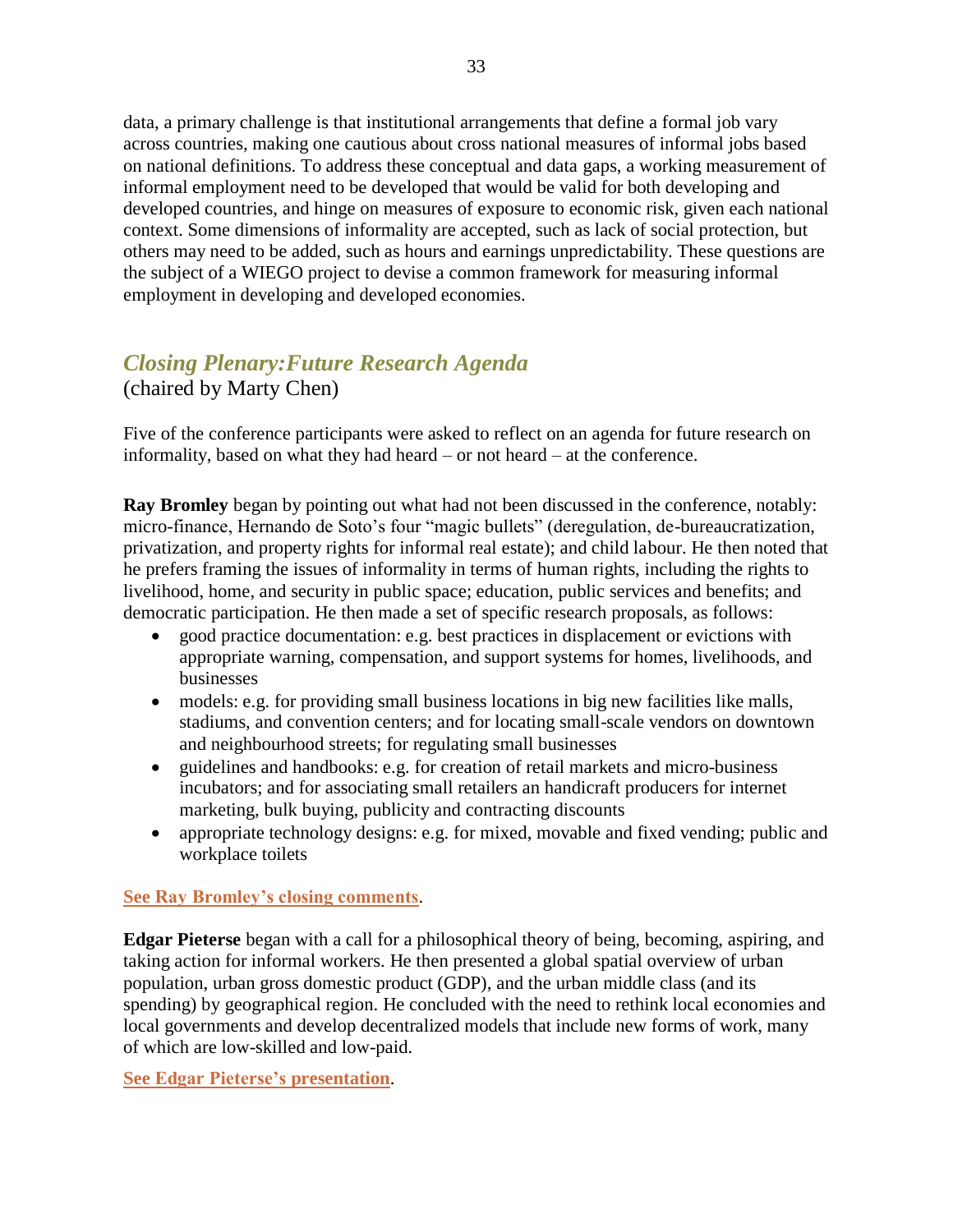data, a primary challenge is that institutional arrangements that define a formal job vary across countries, making one cautious about cross national measures of informal jobs based on national definitions. To address these conceptual and data gaps, a working measurement of informal employment need to be developed that would be valid for both developing and developed countries, and hinge on measures of exposure to economic risk, given each national context. Some dimensions of informality are accepted, such as lack of social protection, but others may need to be added, such as hours and earnings unpredictability. These questions are the subject of a WIEGO project to devise a common framework for measuring informal employment in developing and developed economies.

# *Closing Plenary:Future Research Agenda*

(chaired by Marty Chen)

Five of the conference participants were asked to reflect on an agenda for future research on informality, based on what they had heard – or not heard – at the conference.

**Ray Bromley** began by pointing out what had not been discussed in the conference, notably: micro-finance, Hernando de Soto's four "magic bullets" (deregulation, de-bureaucratization, privatization, and property rights for informal real estate); and child labour. He then noted that he prefers framing the issues of informality in terms of human rights, including the rights to livelihood, home, and security in public space; education, public services and benefits; and democratic participation. He then made a set of specific research proposals, as follows:

- good practice documentation: e.g. best practices in displacement or evictions with appropriate warning, compensation, and support systems for homes, livelihoods, and businesses
- models: e.g. for providing small business locations in big new facilities like malls, stadiums, and convention centers; and for locating small-scale vendors on downtown and neighbourhood streets; for regulating small businesses
- guidelines and handbooks: e.g. for creation of retail markets and micro-business incubators; and for associating small retailers an handicraft producers for internet marketing, bulk buying, publicity and contracting discounts
- appropriate technology designs: e.g. for mixed, movable and fixed vending; public and workplace toilets

### **[See Ray Bromley's closing comments](http://wiego.org/sites/wiego.org/files/resources/files/Bromley-Closing-Comments.pdf)**.

**Edgar Pieterse** began with a call for a philosophical theory of being, becoming, aspiring, and taking action for informal workers. He then presented a global spatial overview of urban population, urban gross domestic product (GDP), and the urban middle class (and its spending) by geographical region. He concluded with the need to rethink local economies and local governments and develop decentralized models that include new forms of work, many of which are low-skilled and low-paid.

**[See Edgar Pieterse's](http://wiego.org/sites/wiego.org/files/resources/files/Pieterse-Philosophical-Intimations.pdf) presentation**.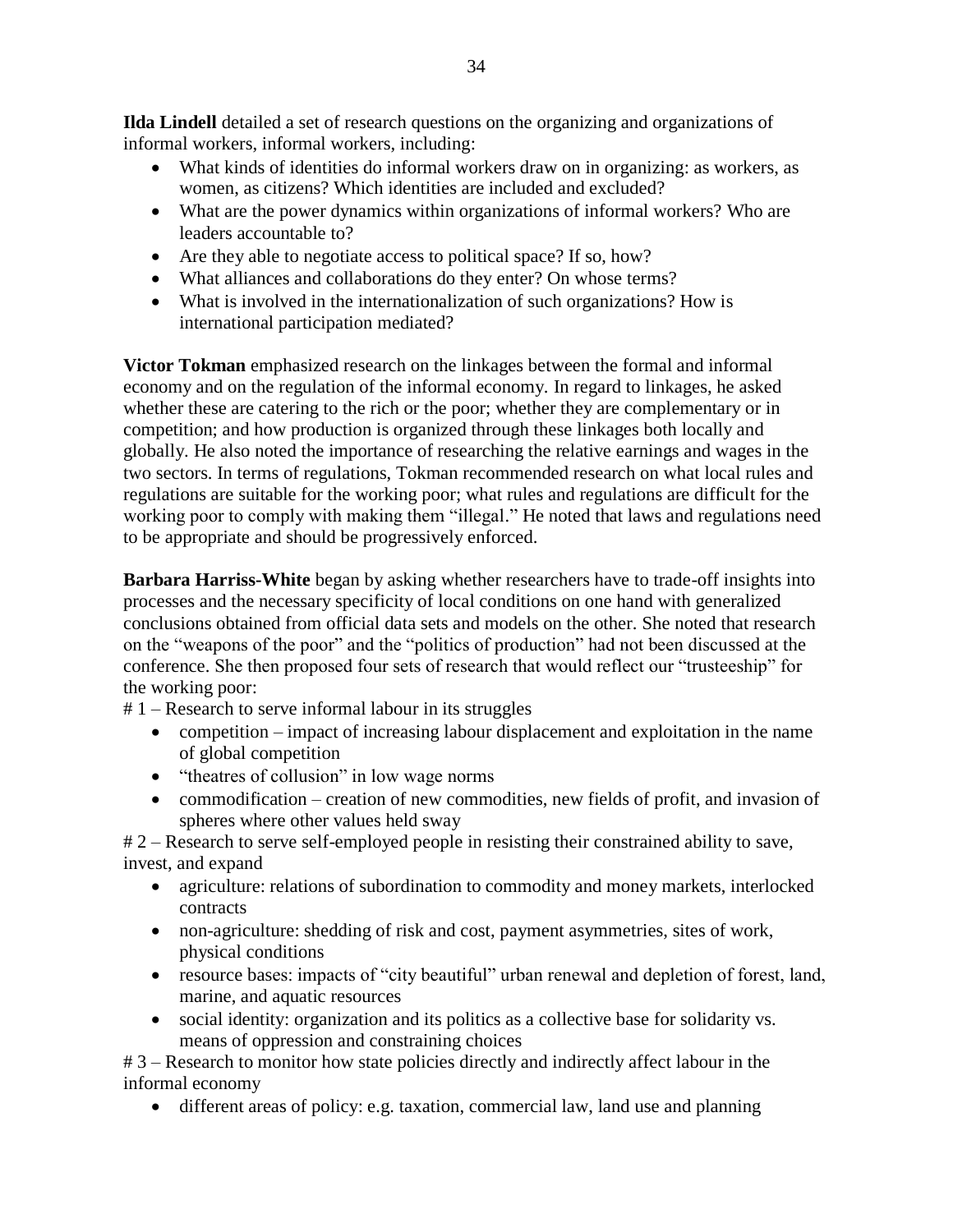**Ilda Lindell** detailed a set of research questions on the organizing and organizations of informal workers, informal workers, including:

- What kinds of identities do informal workers draw on in organizing: as workers, as women, as citizens? Which identities are included and excluded?
- What are the power dynamics within organizations of informal workers? Who are leaders accountable to?
- Are they able to negotiate access to political space? If so, how?
- What alliances and collaborations do they enter? On whose terms?
- What is involved in the internationalization of such organizations? How is international participation mediated?

**Victor Tokman** emphasized research on the linkages between the formal and informal economy and on the regulation of the informal economy. In regard to linkages, he asked whether these are catering to the rich or the poor; whether they are complementary or in competition; and how production is organized through these linkages both locally and globally. He also noted the importance of researching the relative earnings and wages in the two sectors. In terms of regulations, Tokman recommended research on what local rules and regulations are suitable for the working poor; what rules and regulations are difficult for the working poor to comply with making them "illegal." He noted that laws and regulations need to be appropriate and should be progressively enforced.

**Barbara Harriss-White** began by asking whether researchers have to trade-off insights into processes and the necessary specificity of local conditions on one hand with generalized conclusions obtained from official data sets and models on the other. She noted that research on the "weapons of the poor" and the "politics of production" had not been discussed at the conference. She then proposed four sets of research that would reflect our "trusteeship" for the working poor:

# 1 – Research to serve informal labour in its struggles

- competition impact of increasing labour displacement and exploitation in the name of global competition
- "theatres of collusion" in low wage norms
- commodification creation of new commodities, new fields of profit, and invasion of spheres where other values held sway

# 2 – Research to serve self-employed people in resisting their constrained ability to save, invest, and expand

- agriculture: relations of subordination to commodity and money markets, interlocked contracts
- non-agriculture: shedding of risk and cost, payment asymmetries, sites of work, physical conditions
- resource bases: impacts of "city beautiful" urban renewal and depletion of forest, land, marine, and aquatic resources
- social identity: organization and its politics as a collective base for solidarity vs. means of oppression and constraining choices

# 3 – Research to monitor how state policies directly and indirectly affect labour in the informal economy

different areas of policy: e.g. taxation, commercial law, land use and planning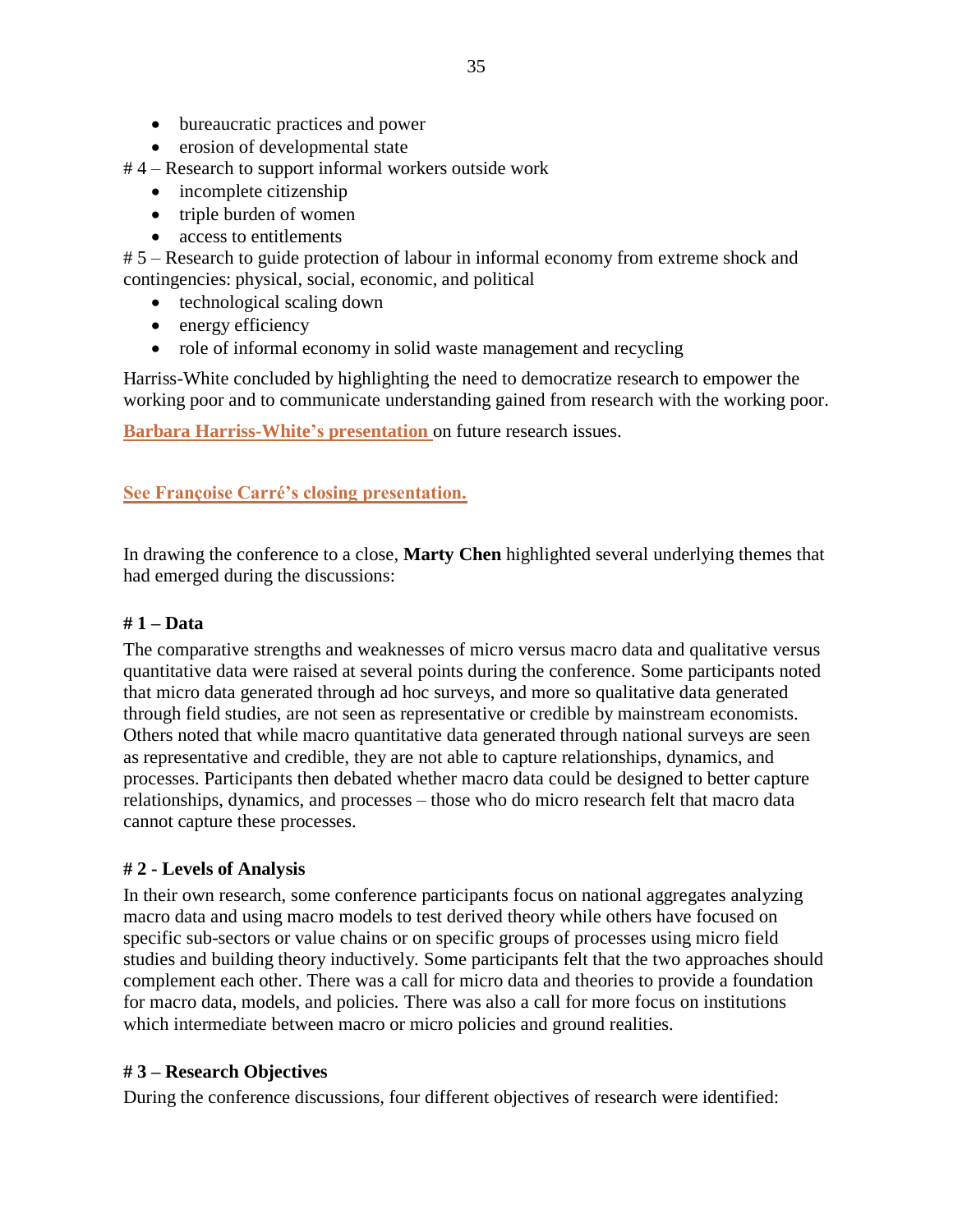- bureaucratic practices and power
- erosion of developmental state

# 4 – Research to support informal workers outside work

- incomplete citizenship
- triple burden of women
- access to entitlements

# 5 – Research to guide protection of labour in informal economy from extreme shock and contingencies: physical, social, economic, and political

- technological scaling down
- energy efficiency
- role of informal economy in solid waste management and recycling

Harriss-White concluded by highlighting the need to democratize research to empower the working poor and to communicate understanding gained from research with the working poor.

**[Barbara Harriss-White's](http://wiego.org/sites/wiego.org/files/resources/files/Harriss-White-Future-Research.pdf) presentation** on future research issues.

### **[See Françoise Carré's closing presentation.](http://wiego.org/sites/wiego.org/files/resources/files/Carre-Closing-Comments.pdf)**

In drawing the conference to a close, **Marty Chen** highlighted several underlying themes that had emerged during the discussions:

### **# 1 – Data**

The comparative strengths and weaknesses of micro versus macro data and qualitative versus quantitative data were raised at several points during the conference. Some participants noted that micro data generated through ad hoc surveys, and more so qualitative data generated through field studies, are not seen as representative or credible by mainstream economists. Others noted that while macro quantitative data generated through national surveys are seen as representative and credible, they are not able to capture relationships, dynamics, and processes. Participants then debated whether macro data could be designed to better capture relationships, dynamics, and processes – those who do micro research felt that macro data cannot capture these processes.

### **# 2 - Levels of Analysis**

In their own research, some conference participants focus on national aggregates analyzing macro data and using macro models to test derived theory while others have focused on specific sub-sectors or value chains or on specific groups of processes using micro field studies and building theory inductively. Some participants felt that the two approaches should complement each other. There was a call for micro data and theories to provide a foundation for macro data, models, and policies. There was also a call for more focus on institutions which intermediate between macro or micro policies and ground realities.

### **# 3 – Research Objectives**

During the conference discussions, four different objectives of research were identified: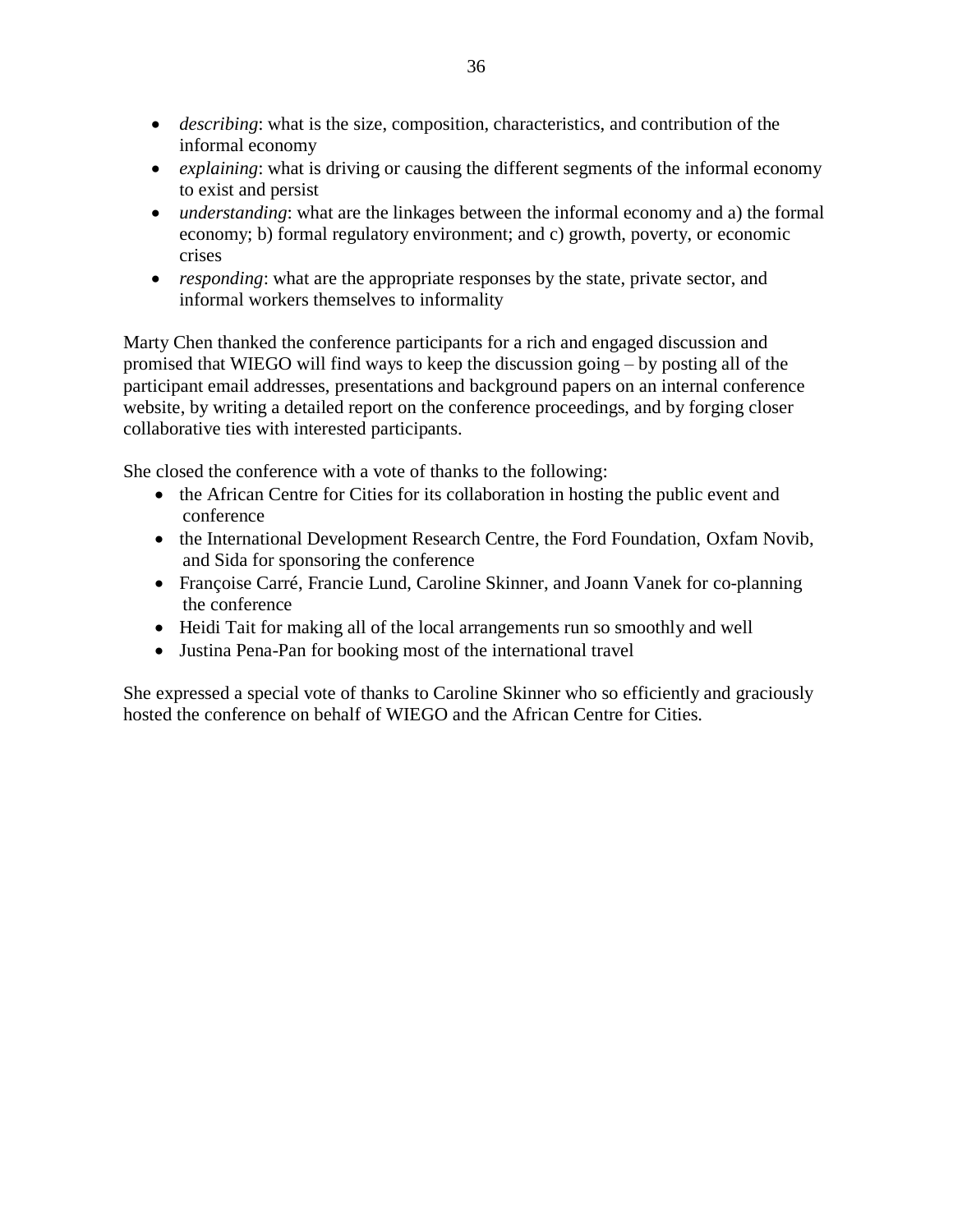- *describing*: what is the size, composition, characteristics, and contribution of the informal economy
- *explaining*: what is driving or causing the different segments of the informal economy to exist and persist
- *understanding*: what are the linkages between the informal economy and a) the formal economy; b) formal regulatory environment; and c) growth, poverty, or economic crises
- *responding*: what are the appropriate responses by the state, private sector, and informal workers themselves to informality

Marty Chen thanked the conference participants for a rich and engaged discussion and promised that WIEGO will find ways to keep the discussion going – by posting all of the participant email addresses, presentations and background papers on an internal conference website, by writing a detailed report on the conference proceedings, and by forging closer collaborative ties with interested participants.

She closed the conference with a vote of thanks to the following:

- the African Centre for Cities for its collaboration in hosting the public event and conference
- the International Development Research Centre, the Ford Foundation, Oxfam Novib, and Sida for sponsoring the conference
- Françoise Carré, Francie Lund, Caroline Skinner, and Joann Vanek for co-planning the conference
- Heidi Tait for making all of the local arrangements run so smoothly and well
- Justina Pena-Pan for booking most of the international travel

She expressed a special vote of thanks to Caroline Skinner who so efficiently and graciously hosted the conference on behalf of WIEGO and the African Centre for Cities.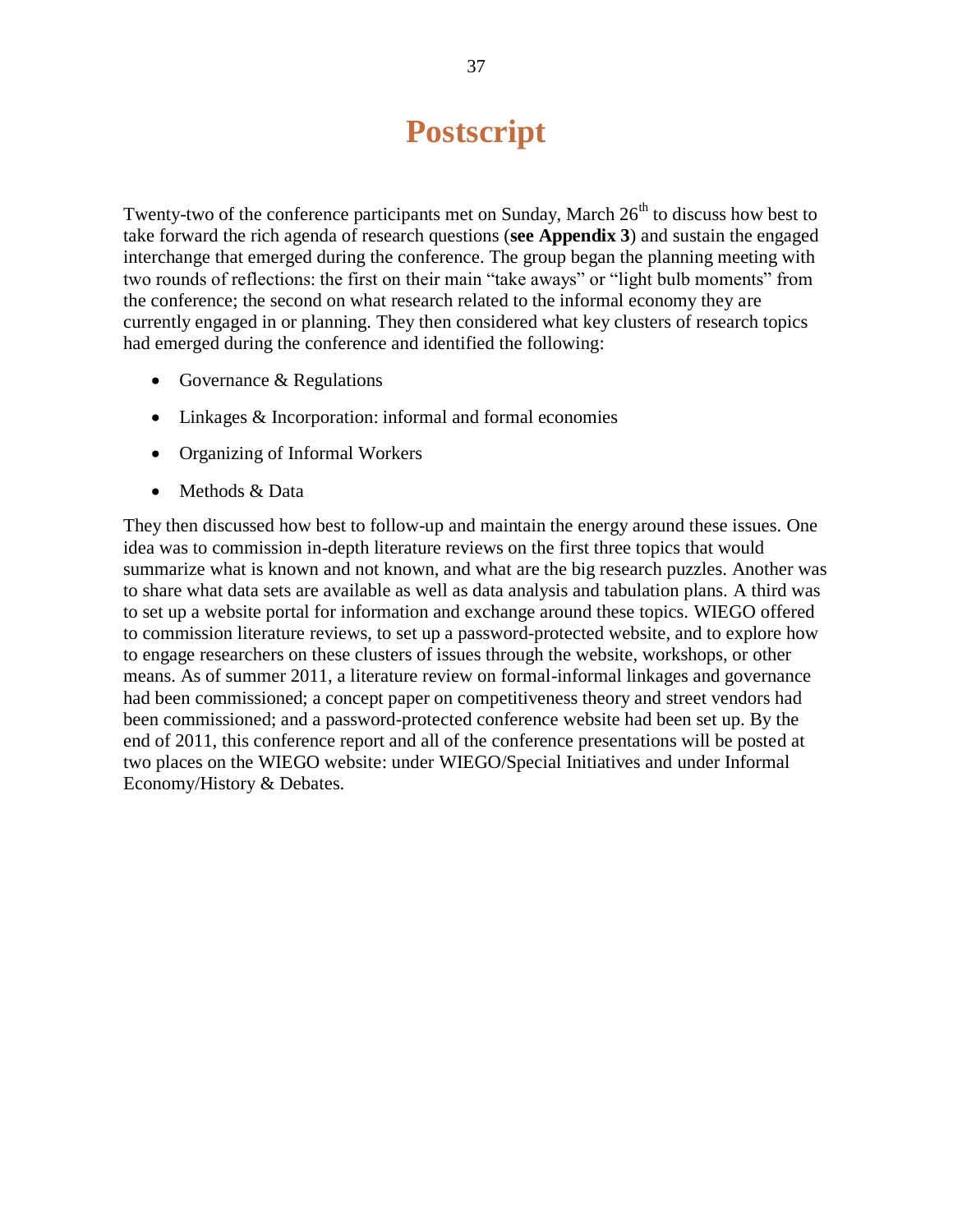# **Postscript**

Twenty-two of the conference participants met on Sunday, March  $26<sup>th</sup>$  to discuss how best to take forward the rich agenda of research questions (**see Appendix 3**) and sustain the engaged interchange that emerged during the conference. The group began the planning meeting with two rounds of reflections: the first on their main "take aways" or "light bulb moments" from the conference; the second on what research related to the informal economy they are currently engaged in or planning. They then considered what key clusters of research topics had emerged during the conference and identified the following:

- Governance & Regulations
- Linkages & Incorporation: informal and formal economies
- Organizing of Informal Workers
- Methods & Data

They then discussed how best to follow-up and maintain the energy around these issues. One idea was to commission in-depth literature reviews on the first three topics that would summarize what is known and not known, and what are the big research puzzles. Another was to share what data sets are available as well as data analysis and tabulation plans. A third was to set up a website portal for information and exchange around these topics. WIEGO offered to commission literature reviews, to set up a password-protected website, and to explore how to engage researchers on these clusters of issues through the website, workshops, or other means. As of summer 2011, a literature review on formal-informal linkages and governance had been commissioned; a concept paper on competitiveness theory and street vendors had been commissioned; and a password-protected conference website had been set up. By the end of 2011, this conference report and all of the conference presentations will be posted at two places on the WIEGO website: under WIEGO/Special Initiatives and under Informal Economy/History & Debates.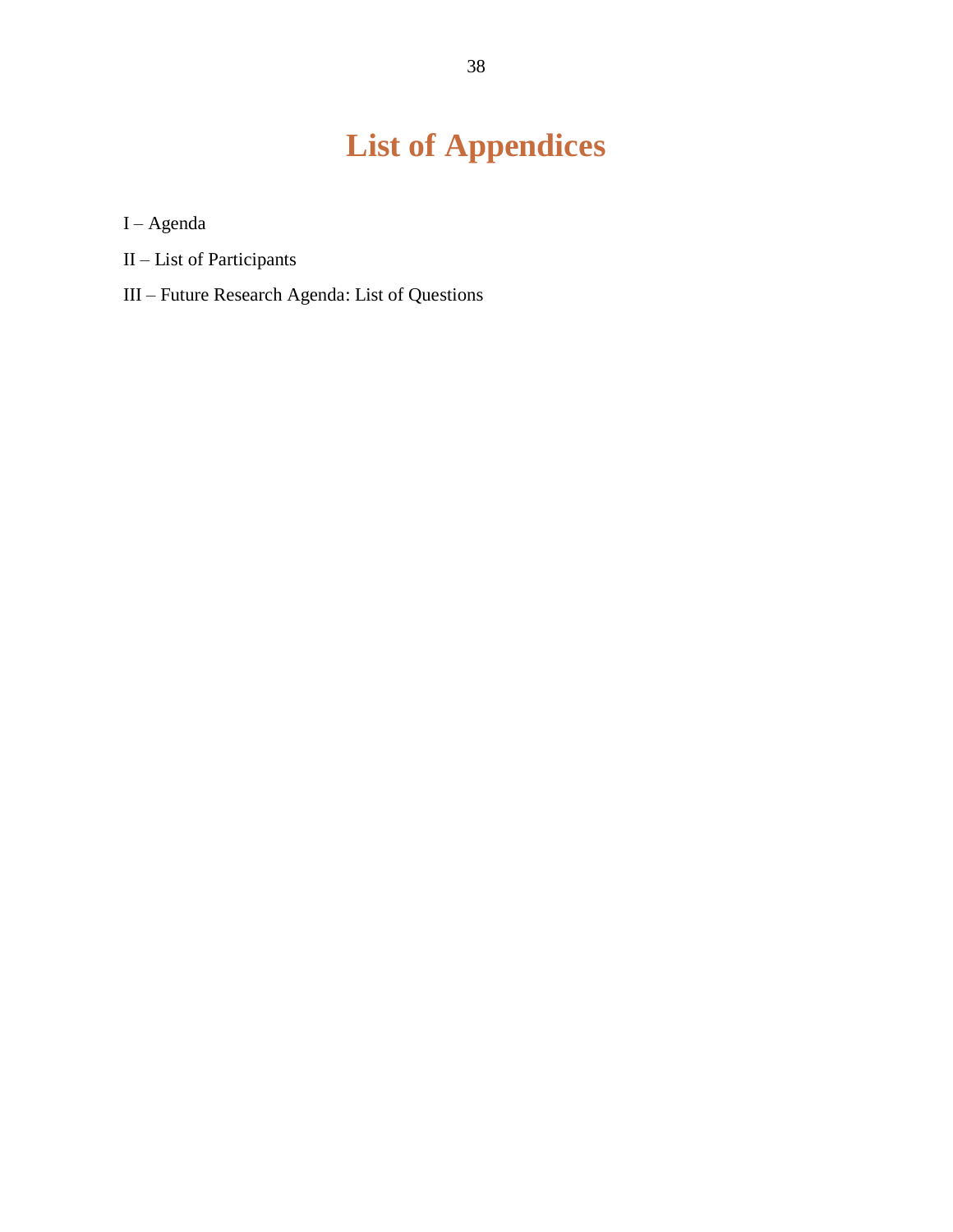# **List of Appendices**

I – Agenda

- II List of Participants
- III Future Research Agenda: List of Questions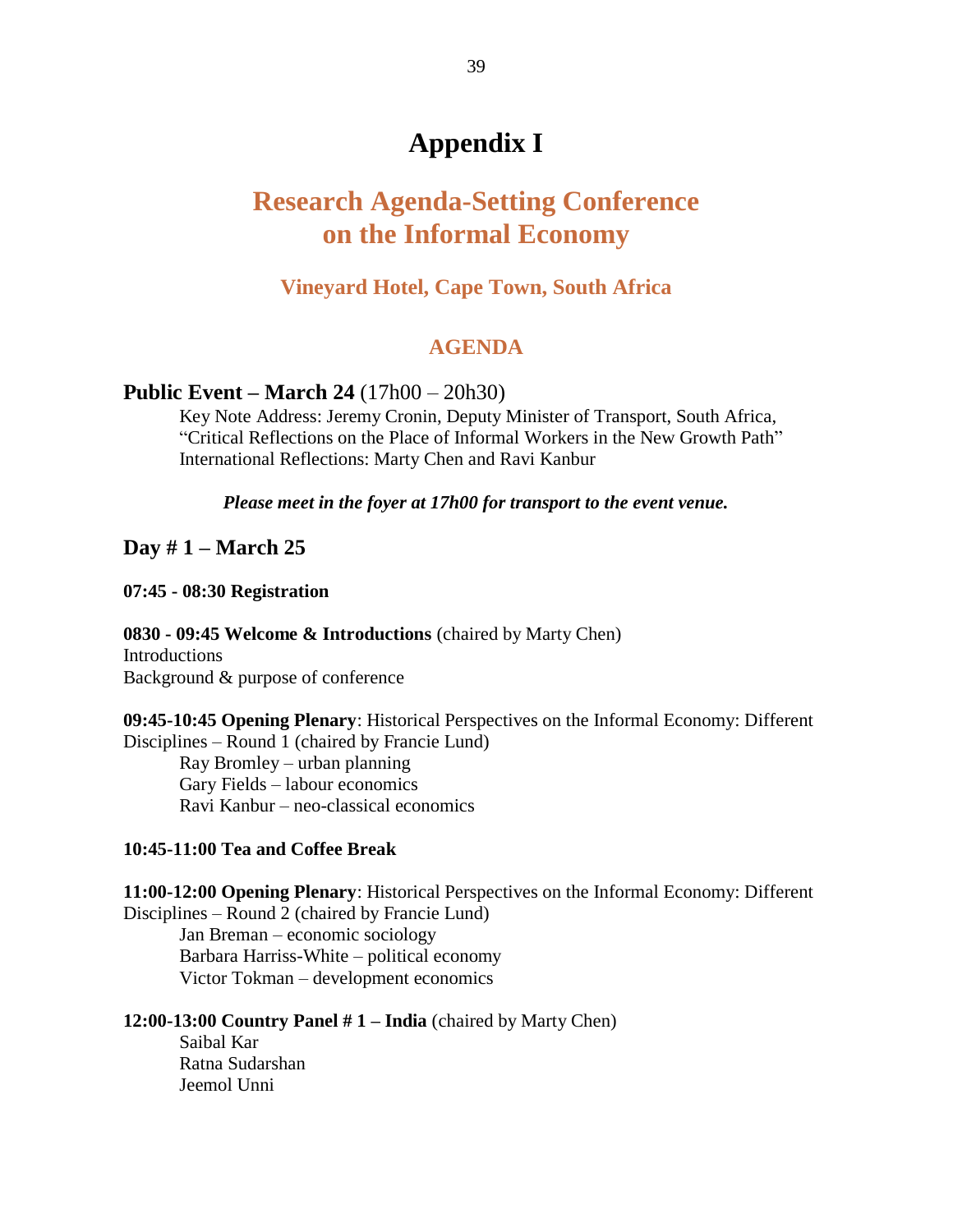# **Appendix I**

# **Research Agenda-Setting Conference on the Informal Economy**

### **Vineyard Hotel, Cape Town, South Africa**

### **AGENDA**

### **Public Event – March 24** (17h00 – 20h30)

Key Note Address: Jeremy Cronin, Deputy Minister of Transport, South Africa, "Critical Reflections on the Place of Informal Workers in the New Growth Path" International Reflections: Marty Chen and Ravi Kanbur

*Please meet in the foyer at 17h00 for transport to the event venue.*

### **Day # 1 – March 25**

**07:45 - 08:30 Registration**

**0830 - 09:45 Welcome & Introductions** (chaired by Marty Chen) **Introductions** 

Background & purpose of conference

**09:45-10:45 Opening Plenary**: Historical Perspectives on the Informal Economy: Different Disciplines – Round 1 (chaired by Francie Lund) Ray Bromley – urban planning Gary Fields – labour economics

Ravi Kanbur – neo-classical economics

### **10:45-11:00 Tea and Coffee Break**

**11:00-12:00 Opening Plenary**: Historical Perspectives on the Informal Economy: Different Disciplines – Round 2 (chaired by Francie Lund)

Jan Breman – economic sociology Barbara Harriss-White – political economy Victor Tokman – development economics

**12:00-13:00 Country Panel # 1 – India** (chaired by Marty Chen)

Saibal Kar Ratna Sudarshan Jeemol Unni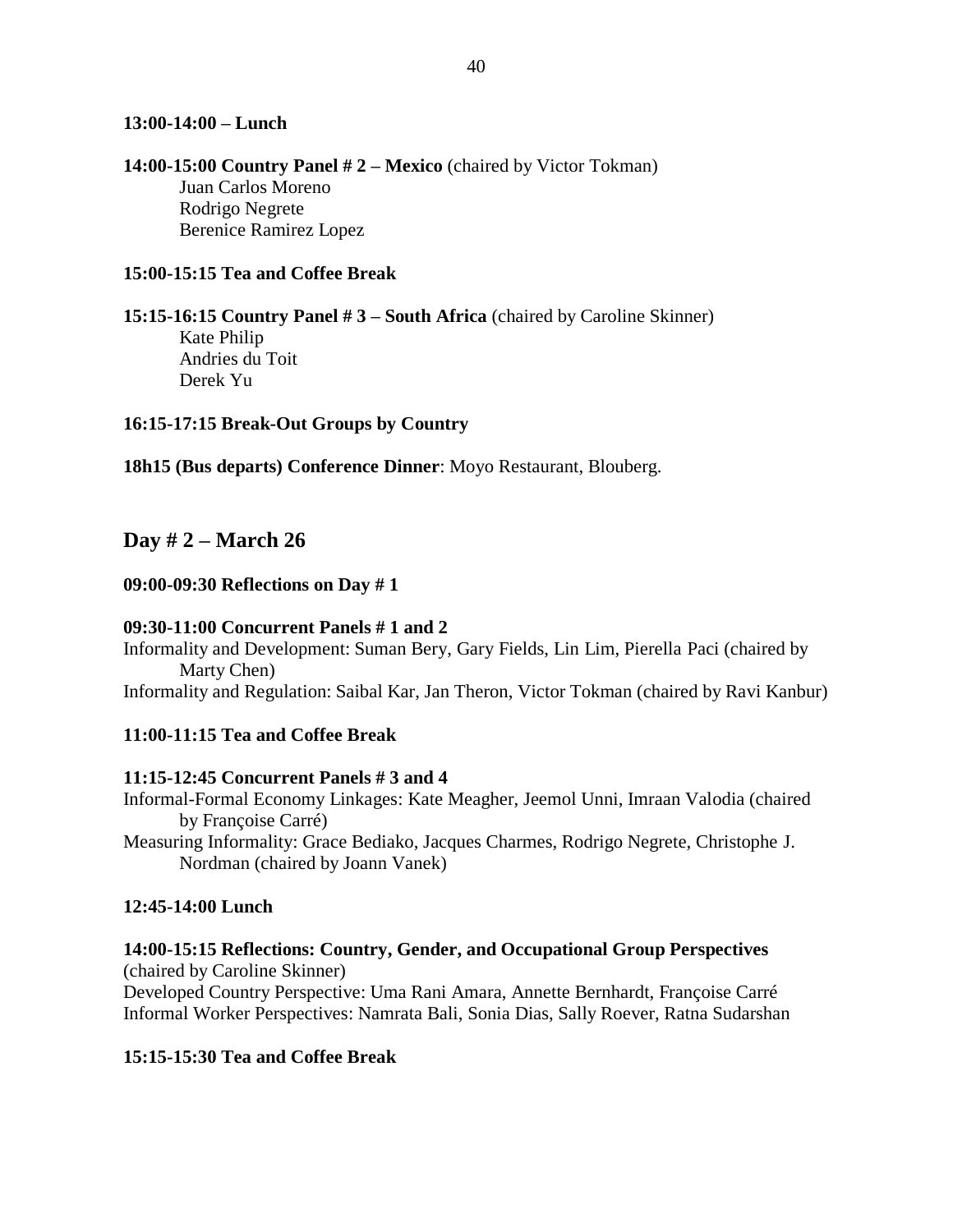### **13:00-14:00 – Lunch**

**14:00-15:00 Country Panel # 2 – Mexico** (chaired by Victor Tokman) Juan Carlos Moreno Rodrigo Negrete Berenice Ramirez Lopez

### **15:00-15:15 Tea and Coffee Break**

**15:15-16:15 Country Panel # 3 – South Africa** (chaired by Caroline Skinner) Kate Philip Andries du Toit Derek Yu

### **16:15-17:15 Break-Out Groups by Country**

**18h15 (Bus departs) Conference Dinner**: Moyo Restaurant, Blouberg.

### **Day # 2 – March 26**

#### **09:00-09:30 Reflections on Day # 1**

#### **09:30-11:00 Concurrent Panels # 1 and 2**

Informality and Development: Suman Bery, Gary Fields, Lin Lim, Pierella Paci (chaired by Marty Chen)

Informality and Regulation: Saibal Kar, Jan Theron, Victor Tokman (chaired by Ravi Kanbur)

#### **11:00-11:15 Tea and Coffee Break**

#### **11:15-12:45 Concurrent Panels # 3 and 4**

Informal-Formal Economy Linkages: Kate Meagher, Jeemol Unni, Imraan Valodia (chaired by Françoise Carré)

Measuring Informality: Grace Bediako, Jacques Charmes, Rodrigo Negrete, Christophe J. Nordman (chaired by Joann Vanek)

#### **12:45-14:00 Lunch**

#### **14:00-15:15 Reflections: Country, Gender, and Occupational Group Perspectives**  (chaired by Caroline Skinner)

Developed Country Perspective: Uma Rani Amara, Annette Bernhardt, Françoise Carré Informal Worker Perspectives: Namrata Bali, Sonia Dias, Sally Roever, Ratna Sudarshan

### **15:15-15:30 Tea and Coffee Break**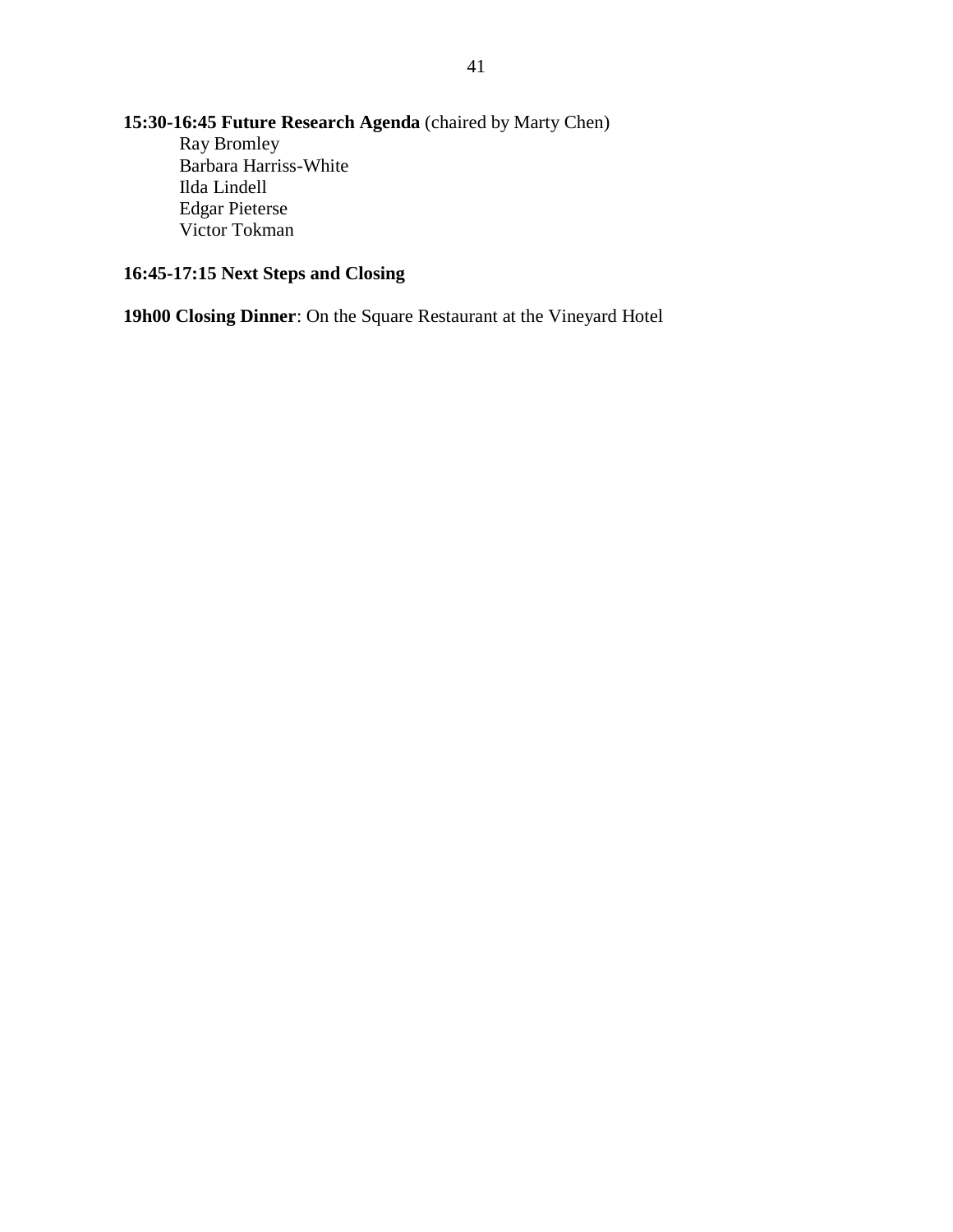### **15:30-16:45 Future Research Agenda** (chaired by Marty Chen) Ray Bromley Barbara Harriss-White Ilda Lindell Edgar Pieterse Victor Tokman

### **16:45-17:15 Next Steps and Closing**

**19h00 Closing Dinner**: On the Square Restaurant at the Vineyard Hotel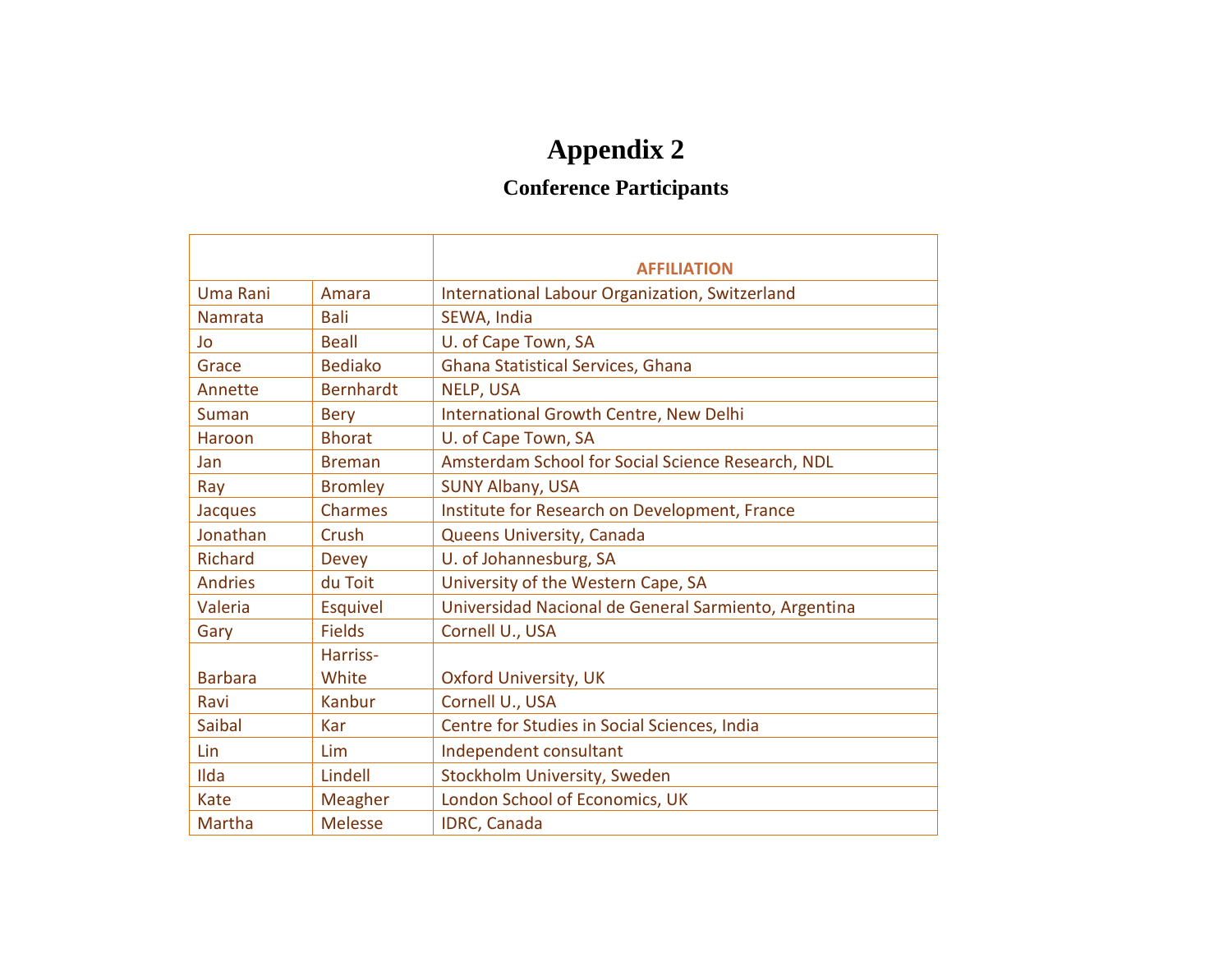# **Appendix 2**

# **Conference Participants**

|                |                  | <b>AFFILIATION</b>                                   |
|----------------|------------------|------------------------------------------------------|
| Uma Rani       | Amara            | International Labour Organization, Switzerland       |
| Namrata        | Bali             | SEWA, India                                          |
| Jo             | <b>Beall</b>     | U. of Cape Town, SA                                  |
| Grace          | <b>Bediako</b>   | Ghana Statistical Services, Ghana                    |
| Annette        | <b>Bernhardt</b> | NELP, USA                                            |
| Suman          | <b>Bery</b>      | International Growth Centre, New Delhi               |
| Haroon         | <b>Bhorat</b>    | U. of Cape Town, SA                                  |
| Jan            | <b>Breman</b>    | Amsterdam School for Social Science Research, NDL    |
| Ray            | <b>Bromley</b>   | <b>SUNY Albany, USA</b>                              |
| Jacques        | <b>Charmes</b>   | Institute for Research on Development, France        |
| Jonathan       | Crush            | Queens University, Canada                            |
| <b>Richard</b> | <b>Devey</b>     | U. of Johannesburg, SA                               |
| <b>Andries</b> | du Toit          | University of the Western Cape, SA                   |
| Valeria        | Esquivel         | Universidad Nacional de General Sarmiento, Argentina |
| Gary           | <b>Fields</b>    | Cornell U., USA                                      |
|                | Harriss-         |                                                      |
| <b>Barbara</b> | White            | <b>Oxford University, UK</b>                         |
| Ravi           | <b>Kanbur</b>    | Cornell U., USA                                      |
| Saibal         | Kar              | Centre for Studies in Social Sciences, India         |
| Lin            | Lim              | Independent consultant                               |
| Ilda           | Lindell          | Stockholm University, Sweden                         |
| <b>Kate</b>    | Meagher          | London School of Economics, UK                       |
| Martha         | <b>Melesse</b>   | <b>IDRC, Canada</b>                                  |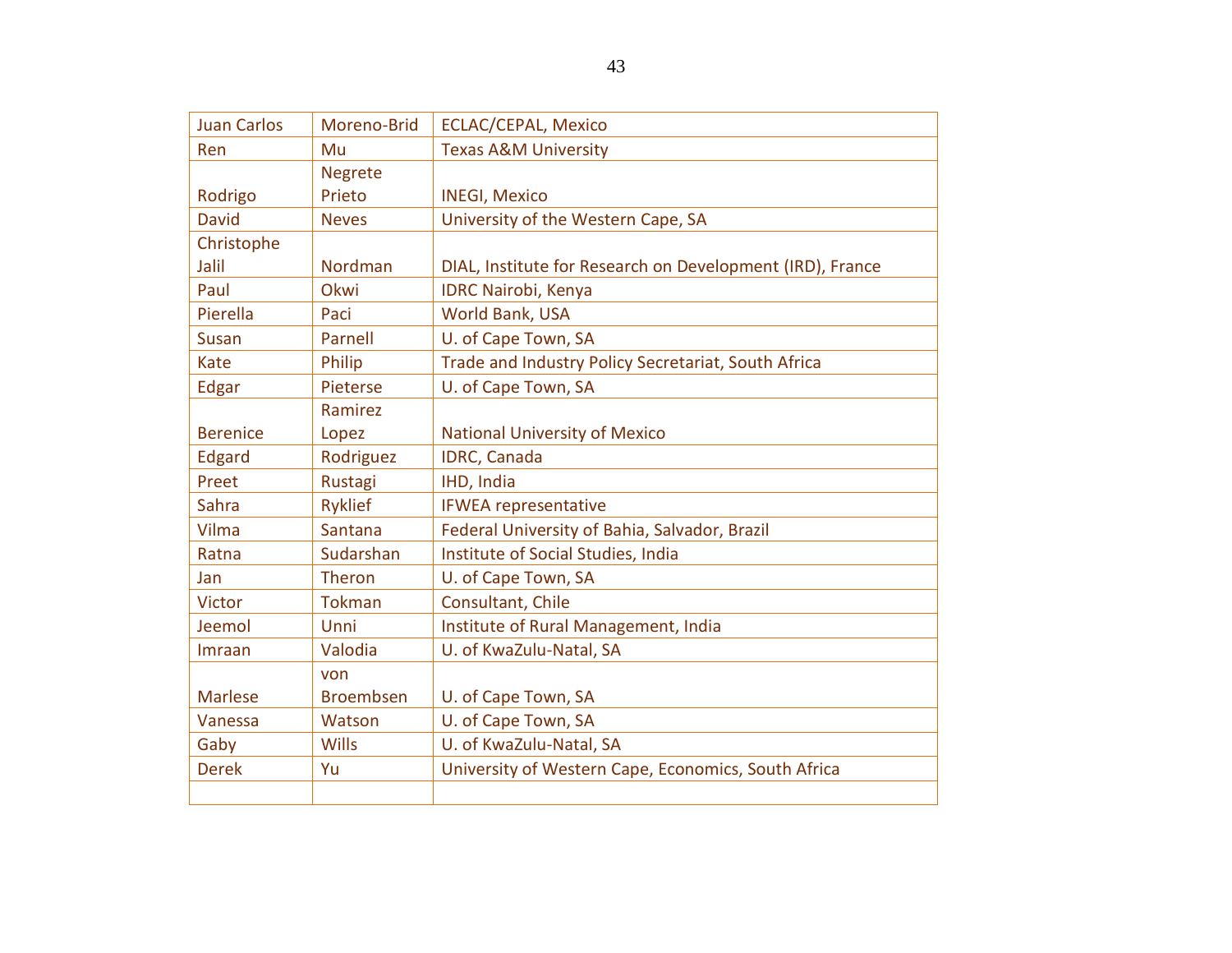| <b>Juan Carlos</b> | Moreno-Brid      | <b>ECLAC/CEPAL, Mexico</b>                                |
|--------------------|------------------|-----------------------------------------------------------|
| Ren                | Mu               | <b>Texas A&amp;M University</b>                           |
|                    | <b>Negrete</b>   |                                                           |
| Rodrigo            | Prieto           | <b>INEGI, Mexico</b>                                      |
| <b>David</b>       | <b>Neves</b>     | University of the Western Cape, SA                        |
| Christophe         |                  |                                                           |
| Jalil              | Nordman          | DIAL, Institute for Research on Development (IRD), France |
| Paul               | Okwi             | <b>IDRC Nairobi, Kenya</b>                                |
| Pierella           | Paci             | World Bank, USA                                           |
| <b>Susan</b>       | Parnell          | U. of Cape Town, SA                                       |
| Kate               | Philip           | Trade and Industry Policy Secretariat, South Africa       |
| Edgar              | Pieterse         | U. of Cape Town, SA                                       |
|                    | Ramirez          |                                                           |
| <b>Berenice</b>    | Lopez            | <b>National University of Mexico</b>                      |
| Edgard             | Rodriguez        | IDRC, Canada                                              |
| Preet              | Rustagi          | IHD, India                                                |
| Sahra              | <b>Ryklief</b>   | <b>IFWEA representative</b>                               |
| Vilma              | Santana          | Federal University of Bahia, Salvador, Brazil             |
| Ratna              | Sudarshan        | Institute of Social Studies, India                        |
| Jan                | <b>Theron</b>    | U. of Cape Town, SA                                       |
| <b>Victor</b>      | <b>Tokman</b>    | Consultant, Chile                                         |
| Jeemol             | Unni             | Institute of Rural Management, India                      |
| Imraan             | Valodia          | U. of KwaZulu-Natal, SA                                   |
|                    | von              |                                                           |
| <b>Marlese</b>     | <b>Broembsen</b> | U. of Cape Town, SA                                       |
| Vanessa            | Watson           | U. of Cape Town, SA                                       |
| Gaby               | <b>Wills</b>     | U. of KwaZulu-Natal, SA                                   |
| <b>Derek</b>       | Yu               | University of Western Cape, Economics, South Africa       |
|                    |                  |                                                           |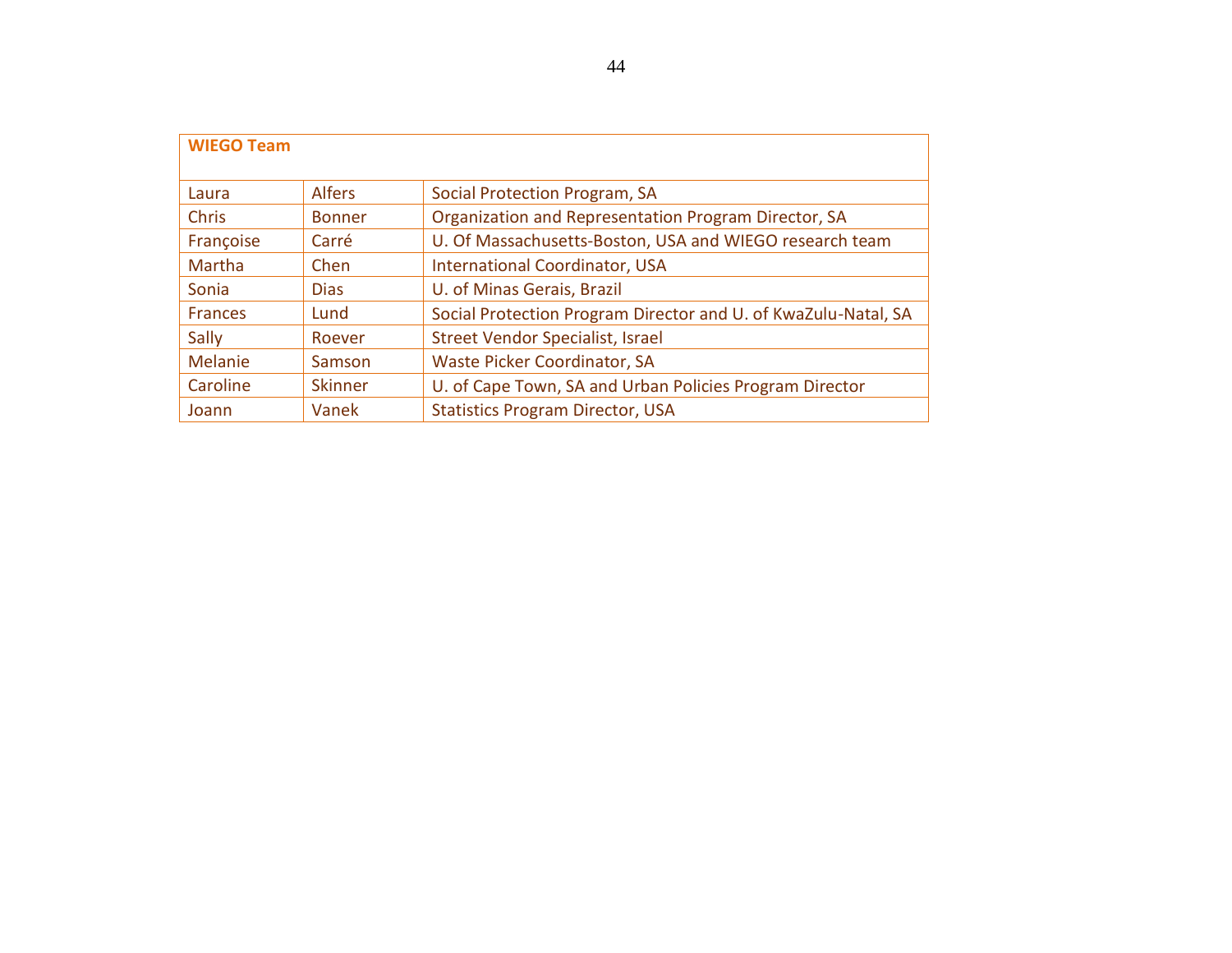| <b>WIEGO Team</b> |                |                                                                |  |  |
|-------------------|----------------|----------------------------------------------------------------|--|--|
| Laura             | Alfers         | Social Protection Program, SA                                  |  |  |
| <b>Chris</b>      | <b>Bonner</b>  | Organization and Representation Program Director, SA           |  |  |
| Françoise         | Carré          | U. Of Massachusetts-Boston, USA and WIEGO research team        |  |  |
| Martha            | Chen           | <b>International Coordinator, USA</b>                          |  |  |
| Sonia             | <b>Dias</b>    | U. of Minas Gerais, Brazil                                     |  |  |
| <b>Frances</b>    | Lund           | Social Protection Program Director and U. of KwaZulu-Natal, SA |  |  |
| Sally             | Roever         | Street Vendor Specialist, Israel                               |  |  |
| Melanie           | Samson         | Waste Picker Coordinator, SA                                   |  |  |
| Caroline          | <b>Skinner</b> | U. of Cape Town, SA and Urban Policies Program Director        |  |  |
| Joann             | Vanek          | <b>Statistics Program Director, USA</b>                        |  |  |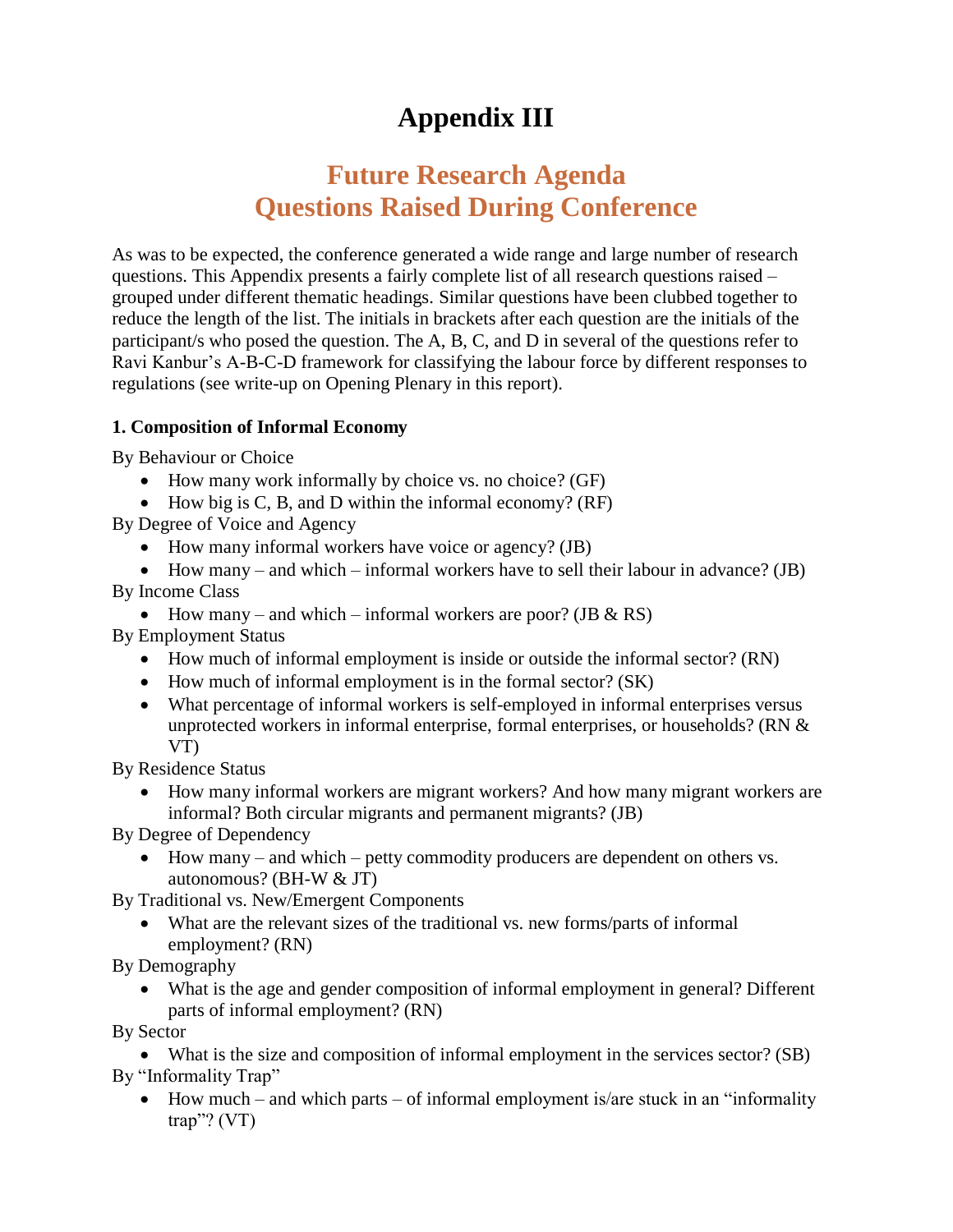# **Appendix III**

# **Future Research Agenda Questions Raised During Conference**

As was to be expected, the conference generated a wide range and large number of research questions. This Appendix presents a fairly complete list of all research questions raised – grouped under different thematic headings. Similar questions have been clubbed together to reduce the length of the list. The initials in brackets after each question are the initials of the participant/s who posed the question. The A, B, C, and D in several of the questions refer to Ravi Kanbur's A-B-C-D framework for classifying the labour force by different responses to regulations (see write-up on Opening Plenary in this report).

### **1. Composition of Informal Economy**

By Behaviour or Choice

- How many work informally by choice vs. no choice? (GF)
- $\bullet$  How big is C, B, and D within the informal economy? (RF)

By Degree of Voice and Agency

- How many informal workers have voice or agency? (JB)
- How many and which informal workers have to sell their labour in advance? (JB)
- By Income Class
	- How many and which informal workers are poor? (JB  $\&$  RS)

By Employment Status

- How much of informal employment is inside or outside the informal sector? (RN)
- How much of informal employment is in the formal sector? (SK)
- What percentage of informal workers is self-employed in informal enterprises versus unprotected workers in informal enterprise, formal enterprises, or households? (RN & VT)

By Residence Status

 How many informal workers are migrant workers? And how many migrant workers are informal? Both circular migrants and permanent migrants? (JB)

By Degree of Dependency

 How many – and which – petty commodity producers are dependent on others vs. autonomous? (BH-W & JT)

By Traditional vs. New/Emergent Components

 What are the relevant sizes of the traditional vs. new forms/parts of informal employment? (RN)

By Demography

 What is the age and gender composition of informal employment in general? Different parts of informal employment? (RN)

By Sector

 What is the size and composition of informal employment in the services sector? (SB) By "Informality Trap"

 $\bullet$  How much – and which parts – of informal employment is/are stuck in an "informality" trap"?  $(VT)$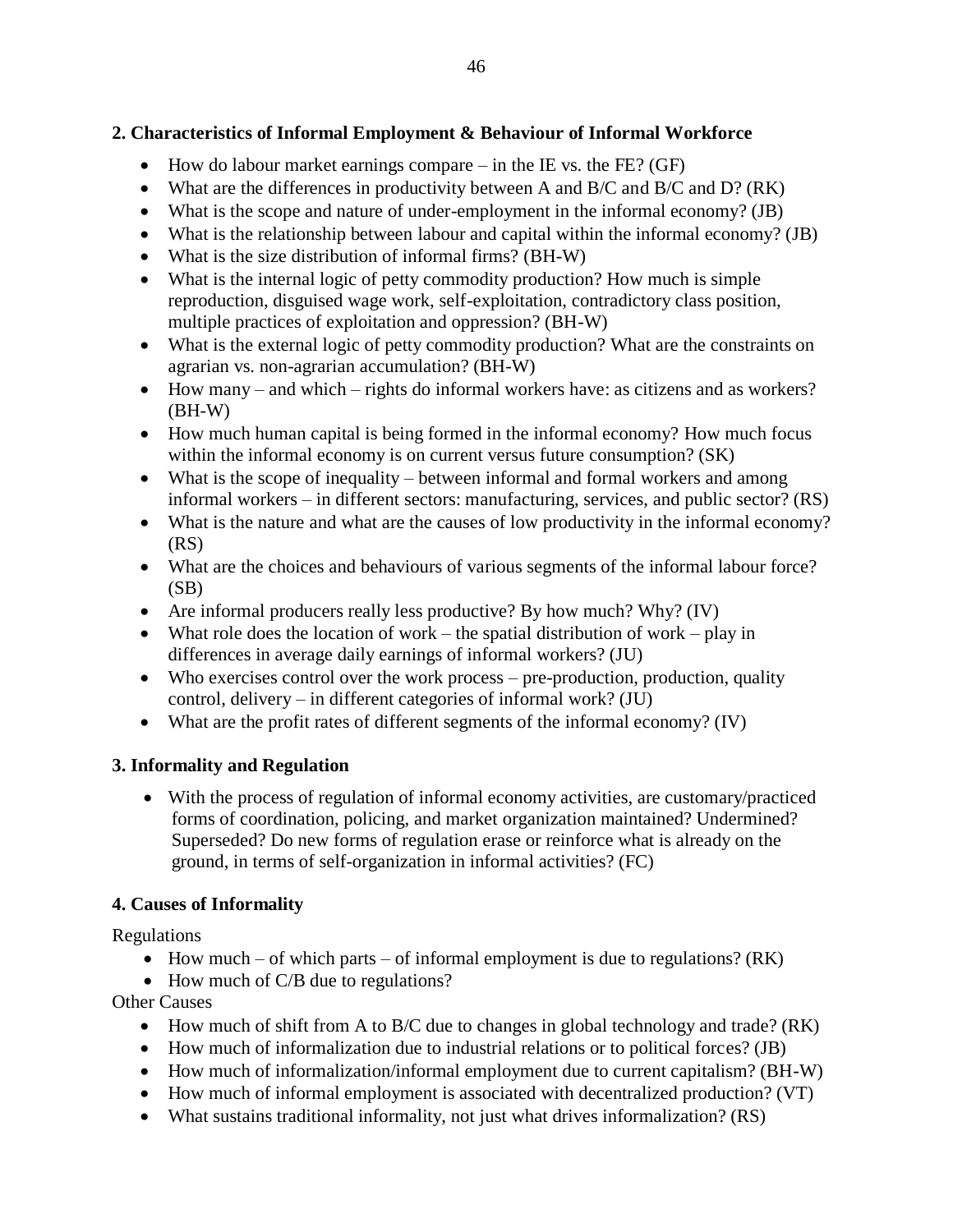### **2. Characteristics of Informal Employment & Behaviour of Informal Workforce**

- $\bullet$  How do labour market earnings compare in the IE vs. the FE? (GF)
- What are the differences in productivity between A and B/C and B/C and D? (RK)
- What is the scope and nature of under-employment in the informal economy? (JB)
- What is the relationship between labour and capital within the informal economy? (JB)
- What is the size distribution of informal firms? (BH-W)
- What is the internal logic of petty commodity production? How much is simple reproduction, disguised wage work, self-exploitation, contradictory class position, multiple practices of exploitation and oppression? (BH-W)
- What is the external logic of petty commodity production? What are the constraints on agrarian vs. non-agrarian accumulation? (BH-W)
- How many and which rights do informal workers have: as citizens and as workers? (BH-W)
- How much human capital is being formed in the informal economy? How much focus within the informal economy is on current versus future consumption? (SK)
- What is the scope of inequality between informal and formal workers and among informal workers – in different sectors: manufacturing, services, and public sector? (RS)
- What is the nature and what are the causes of low productivity in the informal economy? (RS)
- What are the choices and behaviours of various segments of the informal labour force?  $(SB)$
- Are informal producers really less productive? By how much? Why? (IV)
- What role does the location of work the spatial distribution of work play in differences in average daily earnings of informal workers? (JU)
- Who exercises control over the work process pre-production, production, quality control, delivery – in different categories of informal work? (JU)
- What are the profit rates of different segments of the informal economy? (IV)

### **3. Informality and Regulation**

 With the process of regulation of informal economy activities, are customary/practiced forms of coordination, policing, and market organization maintained? Undermined? Superseded? Do new forms of regulation erase or reinforce what is already on the ground, in terms of self-organization in informal activities? (FC)

### **4. Causes of Informality**

Regulations

- How much of which parts of informal employment is due to regulations? ( $RK$ )
- How much of C/B due to regulations?

Other Causes

- How much of shift from A to B/C due to changes in global technology and trade? (RK)
- How much of informalization due to industrial relations or to political forces? (JB)
- How much of informalization/informal employment due to current capitalism? (BH-W)
- How much of informal employment is associated with decentralized production? (VT)
- What sustains traditional informality, not just what drives informalization? (RS)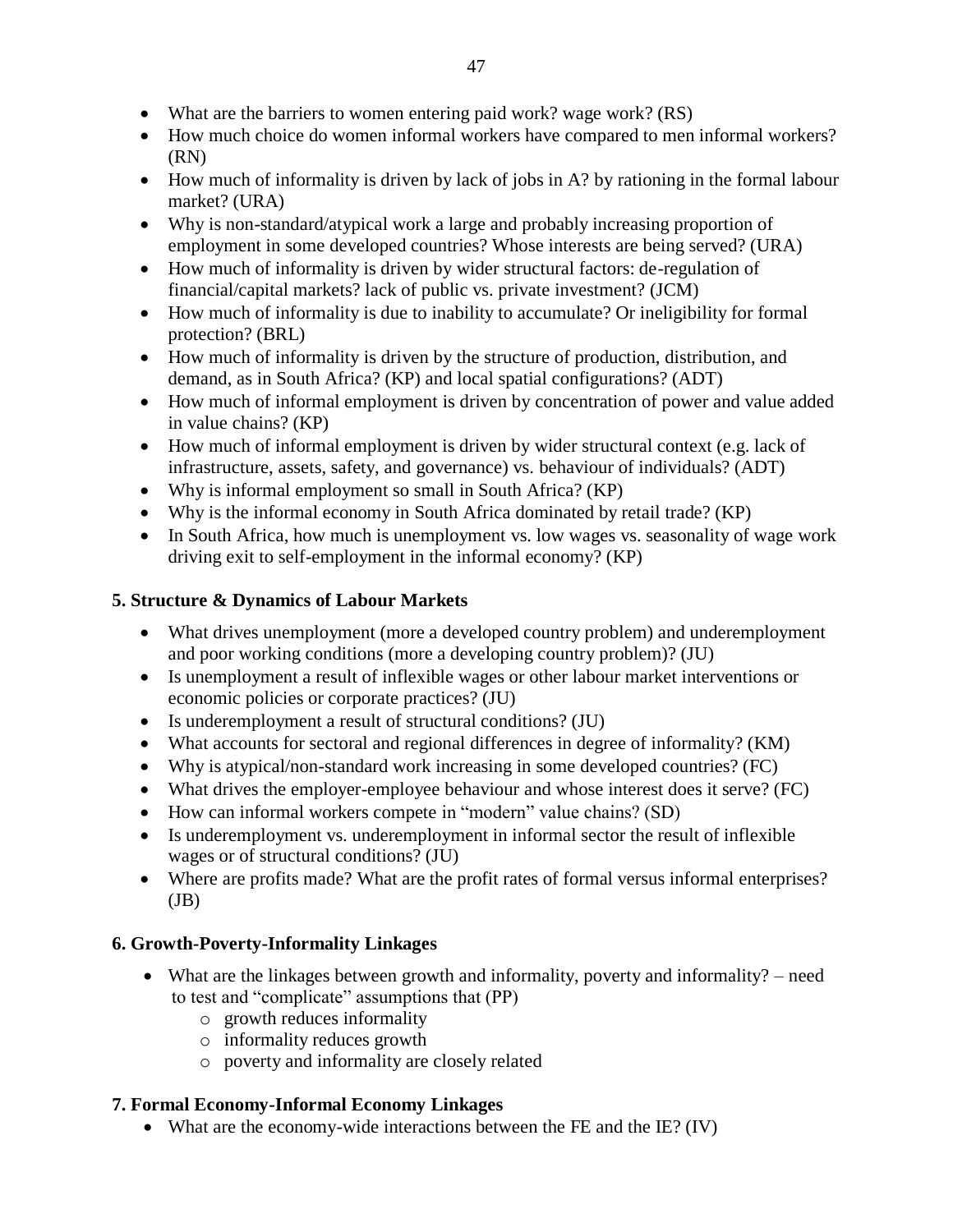- What are the barriers to women entering paid work? wage work? (RS)
- How much choice do women informal workers have compared to men informal workers? (RN)
- How much of informality is driven by lack of jobs in A? by rationing in the formal labour market? (URA)
- Why is non-standard/atypical work a large and probably increasing proportion of employment in some developed countries? Whose interests are being served? (URA)
- How much of informality is driven by wider structural factors: de-regulation of financial/capital markets? lack of public vs. private investment? (JCM)
- How much of informality is due to inability to accumulate? Or ineligibility for formal protection? (BRL)
- How much of informality is driven by the structure of production, distribution, and demand, as in South Africa? (KP) and local spatial configurations? (ADT)
- How much of informal employment is driven by concentration of power and value added in value chains? (KP)
- How much of informal employment is driven by wider structural context (e.g. lack of infrastructure, assets, safety, and governance) vs. behaviour of individuals? (ADT)
- Why is informal employment so small in South Africa? (KP)
- Why is the informal economy in South Africa dominated by retail trade? (KP)
- In South Africa, how much is unemployment vs. low wages vs. seasonality of wage work driving exit to self-employment in the informal economy? (KP)

### **5. Structure & Dynamics of Labour Markets**

- What drives unemployment (more a developed country problem) and underemployment and poor working conditions (more a developing country problem)? (JU)
- Is unemployment a result of inflexible wages or other labour market interventions or economic policies or corporate practices? (JU)
- Is underemployment a result of structural conditions? (JU)
- What accounts for sectoral and regional differences in degree of informality? (KM)
- Why is atypical/non-standard work increasing in some developed countries? (FC)
- What drives the employer-employee behaviour and whose interest does it serve? (FC)
- How can informal workers compete in "modern" value chains? (SD)
- Is underemployment vs. underemployment in informal sector the result of inflexible wages or of structural conditions? (JU)
- Where are profits made? What are the profit rates of formal versus informal enterprises?  $J\bar{B}$ )

### **6. Growth-Poverty-Informality Linkages**

- What are the linkages between growth and informality, poverty and informality? need to test and "complicate" assumptions that (PP)
	- o growth reduces informality
	- o informality reduces growth
	- o poverty and informality are closely related

### **7. Formal Economy-Informal Economy Linkages**

• What are the economy-wide interactions between the FE and the IE? (IV)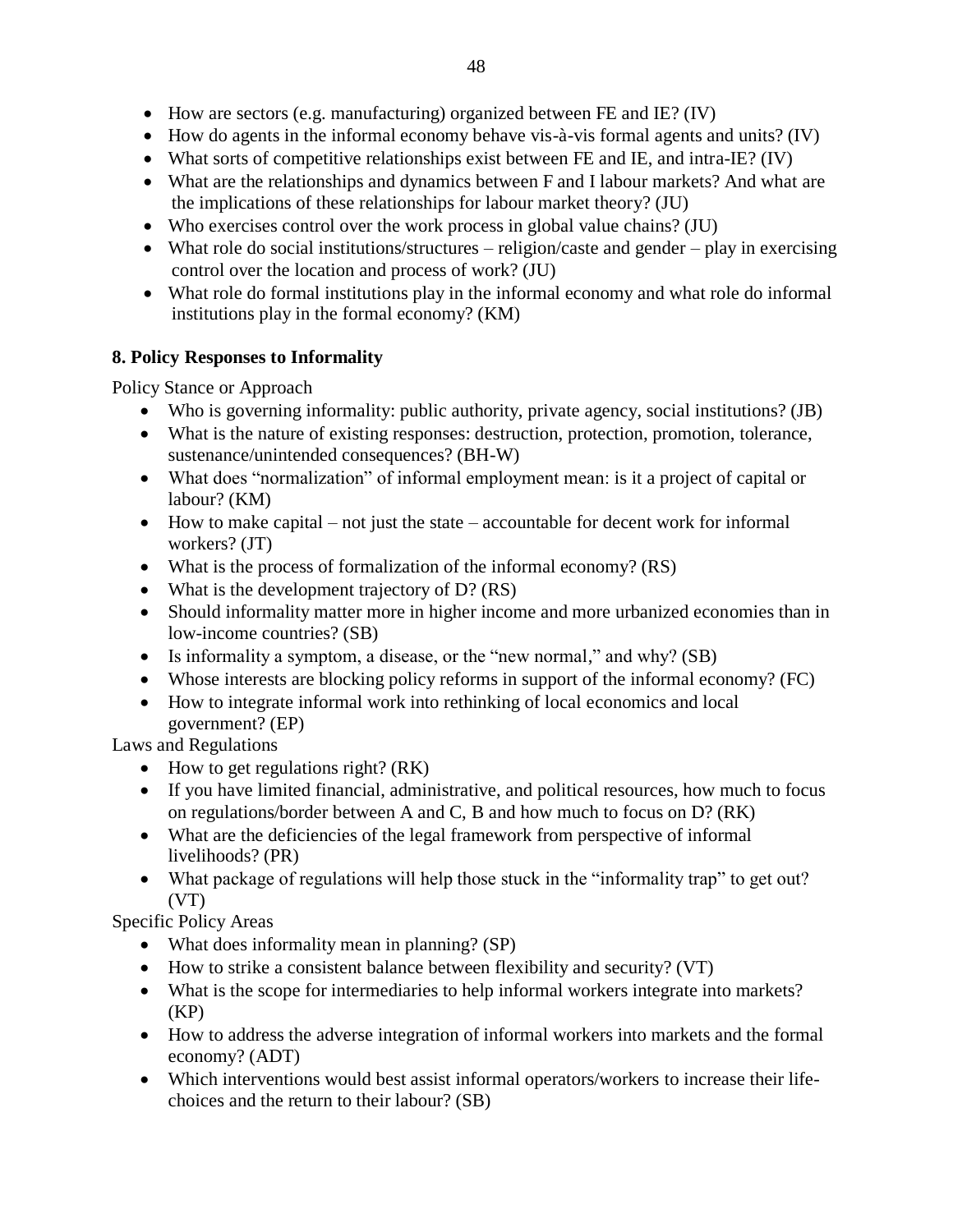- $\bullet$  How are sectors (e.g. manufacturing) organized between FE and IE? (IV)
- How do agents in the informal economy behave vis-à-vis formal agents and units? (IV)
- What sorts of competitive relationships exist between FE and IE, and intra-IE? (IV)
- What are the relationships and dynamics between F and I labour markets? And what are the implications of these relationships for labour market theory? (JU)
- Who exercises control over the work process in global value chains? (JU)
- What role do social institutions/structures religion/caste and gender play in exercising control over the location and process of work? (JU)
- What role do formal institutions play in the informal economy and what role do informal institutions play in the formal economy? (KM)

### **8. Policy Responses to Informality**

Policy Stance or Approach

- Who is governing informality: public authority, private agency, social institutions? (JB)
- What is the nature of existing responses: destruction, protection, promotion, tolerance, sustenance/unintended consequences? (BH-W)
- What does "normalization" of informal employment mean: is it a project of capital or labour? (KM)
- $\bullet$  How to make capital not just the state accountable for decent work for informal workers? (JT)
- What is the process of formalization of the informal economy? (RS)
- What is the development trajectory of D? (RS)
- Should informality matter more in higher income and more urbanized economies than in low-income countries? (SB)
- Is informality a symptom, a disease, or the "new normal," and why? (SB)
- Whose interests are blocking policy reforms in support of the informal economy? (FC)
- How to integrate informal work into rethinking of local economics and local government? (EP)

Laws and Regulations

- $\bullet$  How to get regulations right? (RK)
- If you have limited financial, administrative, and political resources, how much to focus on regulations/border between A and C, B and how much to focus on D? (RK)
- What are the deficiencies of the legal framework from perspective of informal livelihoods? (PR)
- What package of regulations will help those stuck in the "informality trap" to get out?  $(VT)$

Specific Policy Areas

- What does informality mean in planning? (SP)
- How to strike a consistent balance between flexibility and security? (VT)
- What is the scope for intermediaries to help informal workers integrate into markets?  $(KP)$
- How to address the adverse integration of informal workers into markets and the formal economy? (ADT)
- Which interventions would best assist informal operators/workers to increase their lifechoices and the return to their labour? (SB)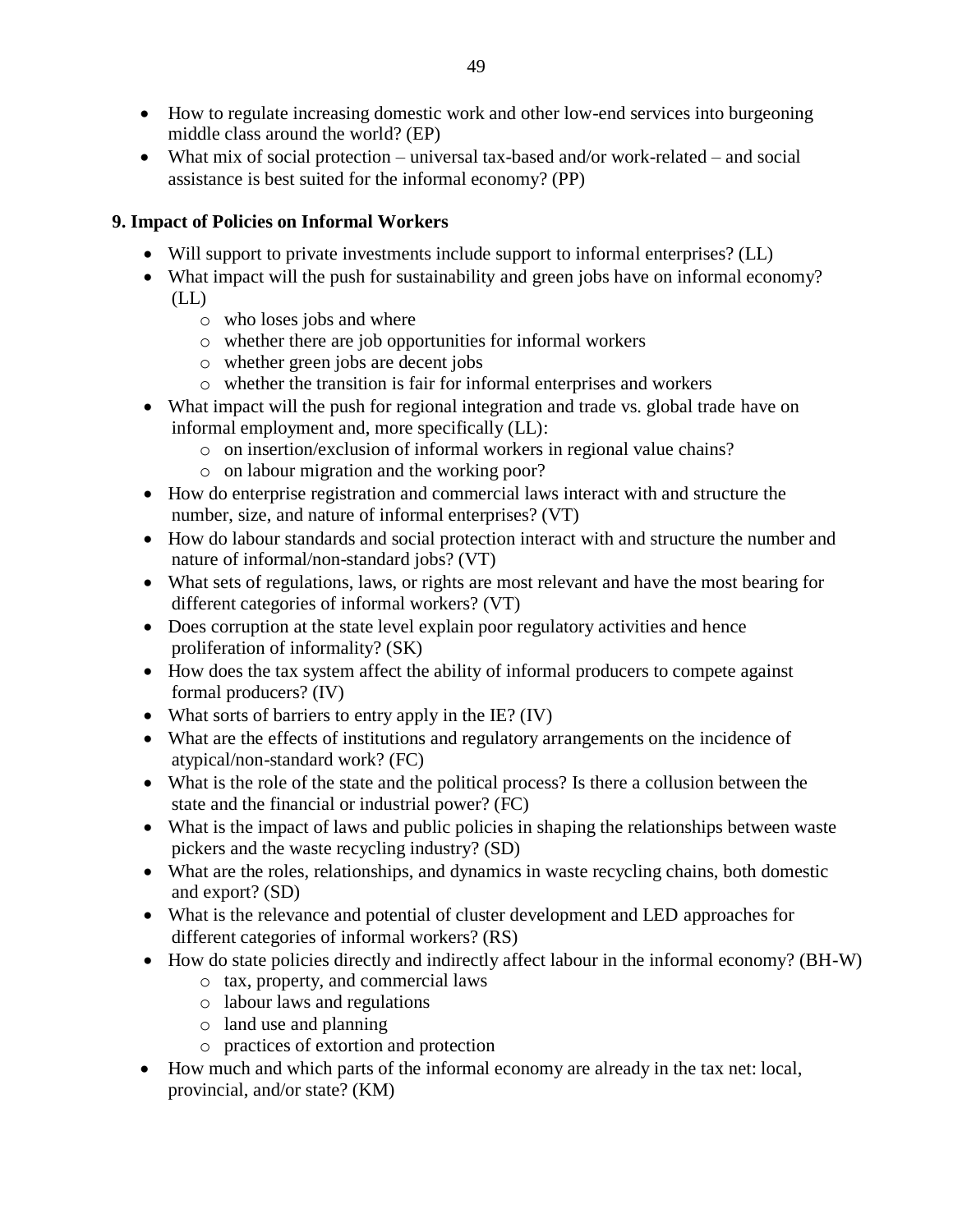- How to regulate increasing domestic work and other low-end services into burgeoning middle class around the world? (EP)
- What mix of social protection universal tax-based and/or work-related and social assistance is best suited for the informal economy? (PP)

### **9. Impact of Policies on Informal Workers**

- Will support to private investments include support to informal enterprises? (LL)
- What impact will the push for sustainability and green jobs have on informal economy? (LL)
	- o who loses jobs and where
	- o whether there are job opportunities for informal workers
	- o whether green jobs are decent jobs
	- o whether the transition is fair for informal enterprises and workers
- What impact will the push for regional integration and trade vs. global trade have on informal employment and, more specifically (LL):
	- o on insertion/exclusion of informal workers in regional value chains?
	- o on labour migration and the working poor?
- How do enterprise registration and commercial laws interact with and structure the number, size, and nature of informal enterprises? (VT)
- How do labour standards and social protection interact with and structure the number and nature of informal/non-standard jobs? (VT)
- What sets of regulations, laws, or rights are most relevant and have the most bearing for different categories of informal workers? (VT)
- Does corruption at the state level explain poor regulatory activities and hence proliferation of informality? (SK)
- How does the tax system affect the ability of informal producers to compete against formal producers? (IV)
- What sorts of barriers to entry apply in the IE? (IV)
- What are the effects of institutions and regulatory arrangements on the incidence of atypical/non-standard work? (FC)
- What is the role of the state and the political process? Is there a collusion between the state and the financial or industrial power? (FC)
- What is the impact of laws and public policies in shaping the relationships between waste pickers and the waste recycling industry? (SD)
- What are the roles, relationships, and dynamics in waste recycling chains, both domestic and export? (SD)
- What is the relevance and potential of cluster development and LED approaches for different categories of informal workers? (RS)
- How do state policies directly and indirectly affect labour in the informal economy? (BH-W)
	- o tax, property, and commercial laws
	- o labour laws and regulations
	- o land use and planning
	- o practices of extortion and protection
- How much and which parts of the informal economy are already in the tax net: local, provincial, and/or state? (KM)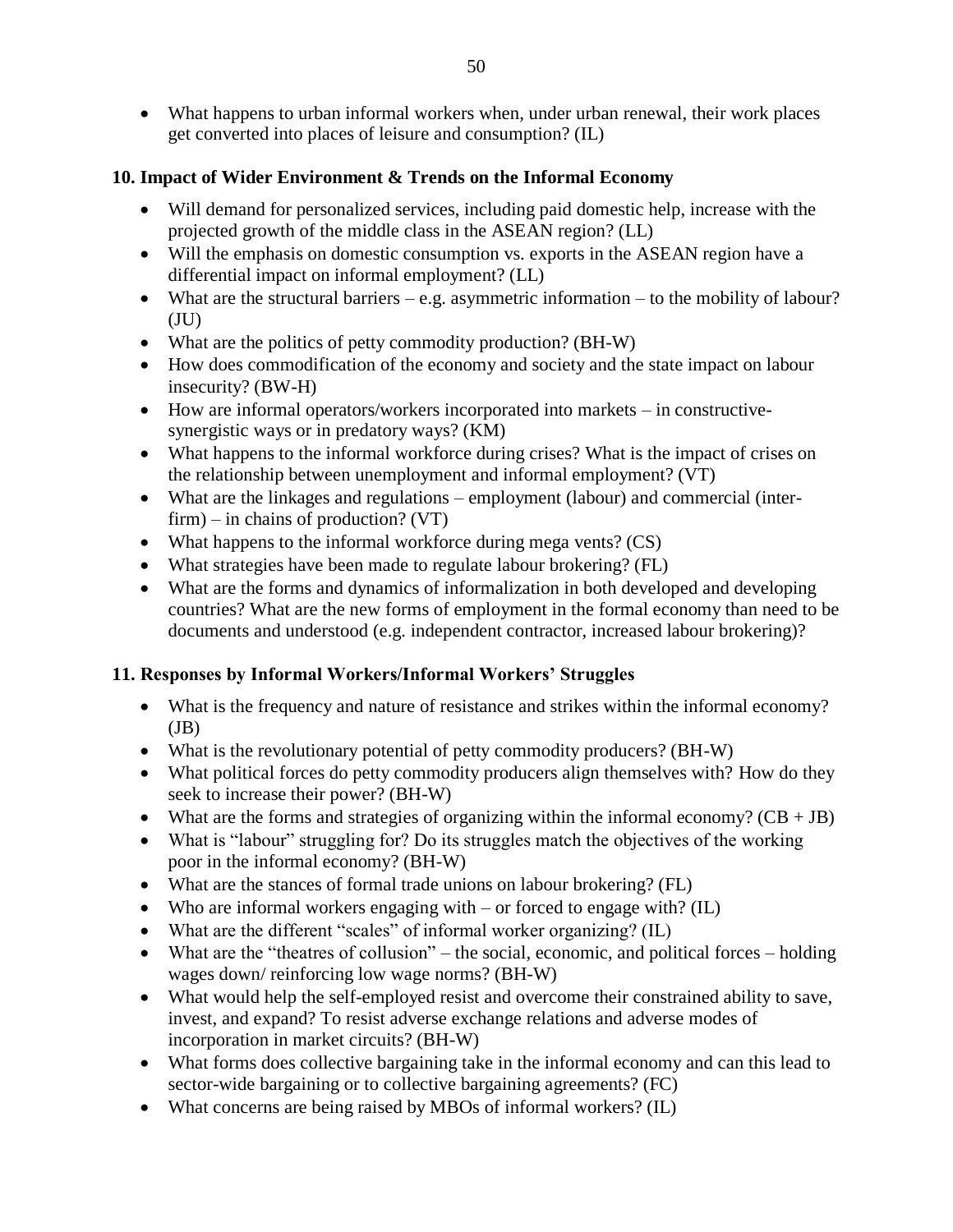What happens to urban informal workers when, under urban renewal, their work places get converted into places of leisure and consumption? (IL)

### **10. Impact of Wider Environment & Trends on the Informal Economy**

- Will demand for personalized services, including paid domestic help, increase with the projected growth of the middle class in the ASEAN region? (LL)
- Will the emphasis on domestic consumption vs. exports in the ASEAN region have a differential impact on informal employment? (LL)
- What are the structural barriers  $-e.g.$  asymmetric information  $-$  to the mobility of labour?  $(UU)$
- What are the politics of petty commodity production? (BH-W)
- How does commodification of the economy and society and the state impact on labour insecurity? (BW-H)
- How are informal operators/workers incorporated into markets in constructivesynergistic ways or in predatory ways? (KM)
- What happens to the informal workforce during crises? What is the impact of crises on the relationship between unemployment and informal employment? (VT)
- What are the linkages and regulations employment (labour) and commercial (inter $firm$ ) – in chains of production? (VT)
- What happens to the informal workforce during mega vents? (CS)
- What strategies have been made to regulate labour brokering? (FL)
- What are the forms and dynamics of informalization in both developed and developing countries? What are the new forms of employment in the formal economy than need to be documents and understood (e.g. independent contractor, increased labour brokering)?

### **11. Responses by Informal Workers/Informal Workers' Struggles**

- What is the frequency and nature of resistance and strikes within the informal economy?  $J\bar{B}$ )
- What is the revolutionary potential of petty commodity producers? (BH-W)
- What political forces do petty commodity producers align themselves with? How do they seek to increase their power? (BH-W)
- What are the forms and strategies of organizing within the informal economy?  $(CB + JB)$
- What is "labour" struggling for? Do its struggles match the objectives of the working poor in the informal economy? (BH-W)
- What are the stances of formal trade unions on labour brokering? (FL)
- Who are informal workers engaging with or forced to engage with? (IL)
- $\bullet$  What are the different "scales" of informal worker organizing? (IL)
- What are the "theatres of collusion" the social, economic, and political forces holding wages down/ reinforcing low wage norms? (BH-W)
- What would help the self-employed resist and overcome their constrained ability to save, invest, and expand? To resist adverse exchange relations and adverse modes of incorporation in market circuits? (BH-W)
- What forms does collective bargaining take in the informal economy and can this lead to sector-wide bargaining or to collective bargaining agreements? (FC)
- What concerns are being raised by MBOs of informal workers? (IL)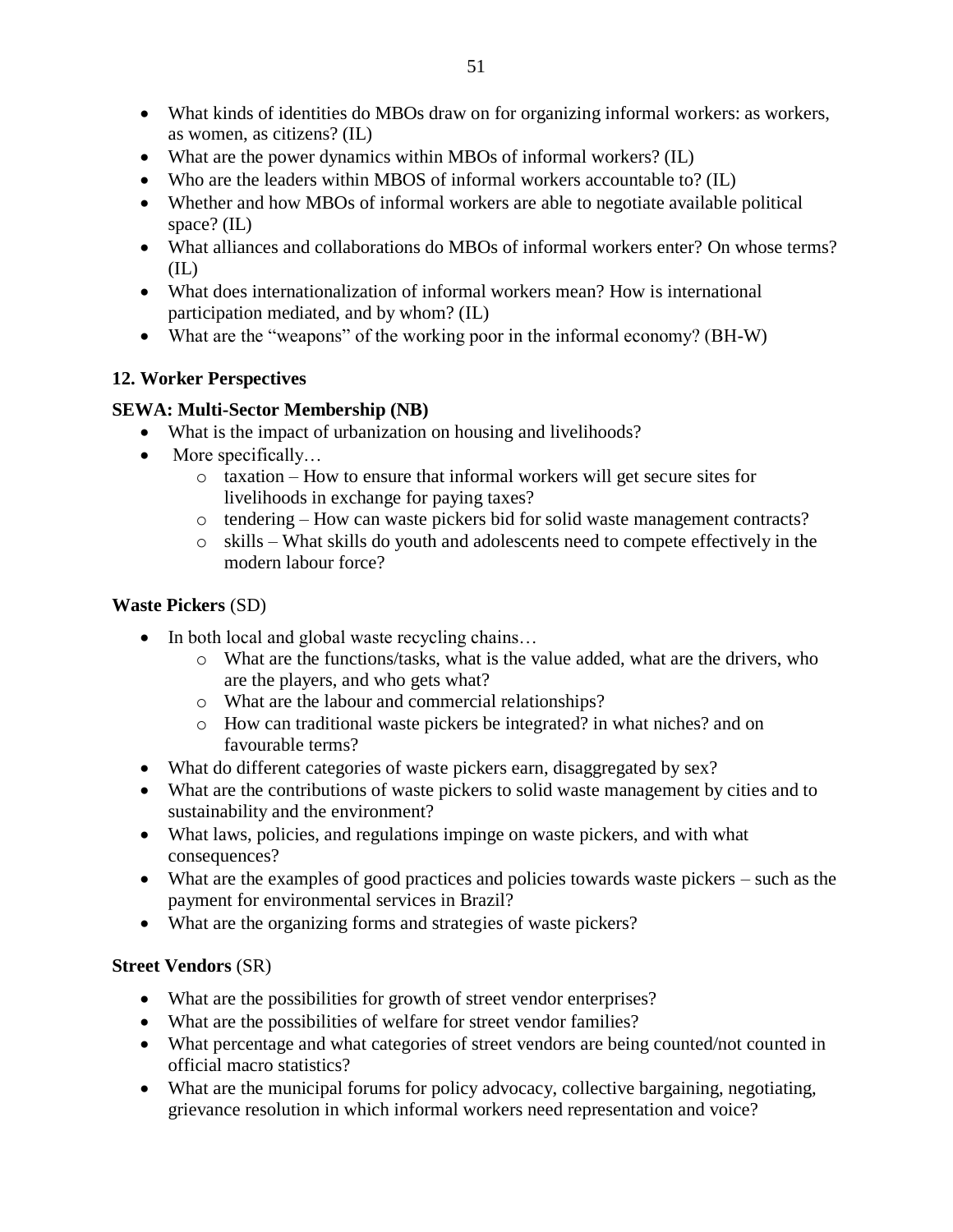- What kinds of identities do MBOs draw on for organizing informal workers: as workers, as women, as citizens? (IL)
- What are the power dynamics within MBOs of informal workers? (IL)
- Who are the leaders within MBOS of informal workers accountable to? (IL)
- Whether and how MBOs of informal workers are able to negotiate available political space? (IL)
- What alliances and collaborations do MBOs of informal workers enter? On whose terms? (IL)
- What does internationalization of informal workers mean? How is international participation mediated, and by whom? (IL)
- What are the "weapons" of the working poor in the informal economy? (BH-W)

### **12. Worker Perspectives**

### **SEWA: Multi-Sector Membership (NB)**

- What is the impact of urbanization on housing and livelihoods?
- More specifically...
	- o taxation How to ensure that informal workers will get secure sites for livelihoods in exchange for paying taxes?
	- o tendering How can waste pickers bid for solid waste management contracts?
	- o skills What skills do youth and adolescents need to compete effectively in the modern labour force?

### **Waste Pickers** (SD)

- In both local and global waste recycling chains...
	- o What are the functions/tasks, what is the value added, what are the drivers, who are the players, and who gets what?
	- o What are the labour and commercial relationships?
	- o How can traditional waste pickers be integrated? in what niches? and on favourable terms?
- What do different categories of waste pickers earn, disaggregated by sex?
- What are the contributions of waste pickers to solid waste management by cities and to sustainability and the environment?
- What laws, policies, and regulations impinge on waste pickers, and with what consequences?
- What are the examples of good practices and policies towards waste pickers such as the payment for environmental services in Brazil?
- What are the organizing forms and strategies of waste pickers?

### **Street Vendors** (SR)

- What are the possibilities for growth of street vendor enterprises?
- What are the possibilities of welfare for street vendor families?
- What percentage and what categories of street vendors are being counted/not counted in official macro statistics?
- What are the municipal forums for policy advocacy, collective bargaining, negotiating, grievance resolution in which informal workers need representation and voice?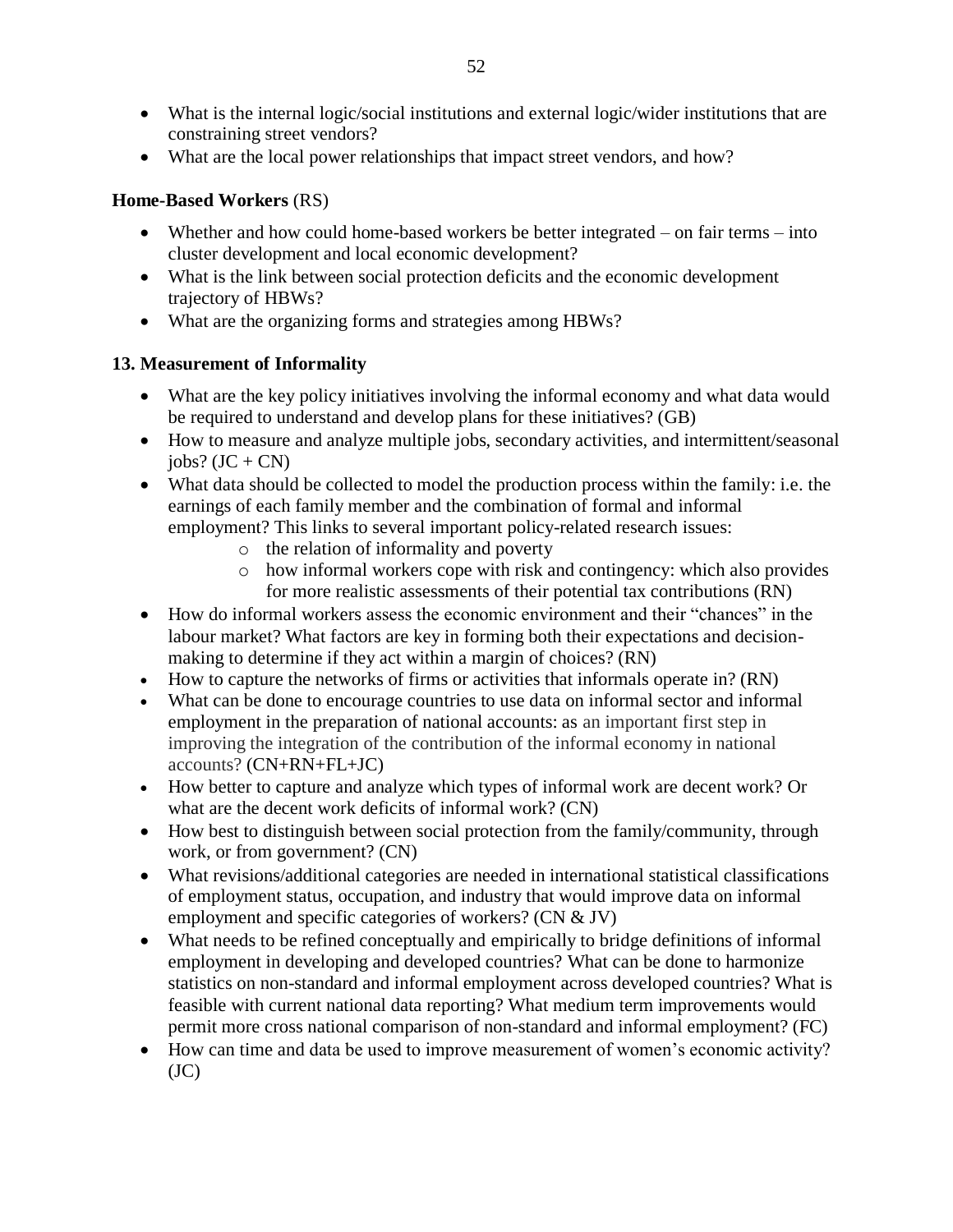- What is the internal logic/social institutions and external logic/wider institutions that are constraining street vendors?
- What are the local power relationships that impact street vendors, and how?

### **Home-Based Workers** (RS)

- Whether and how could home-based workers be better integrated on fair terms into cluster development and local economic development?
- What is the link between social protection deficits and the economic development trajectory of HBWs?
- What are the organizing forms and strategies among HBWs?

### **13. Measurement of Informality**

- What are the key policy initiatives involving the informal economy and what data would be required to understand and develop plans for these initiatives? (GB)
- How to measure and analyze multiple jobs, secondary activities, and intermittent/seasonal  $jobs? (JC + CN)$
- What data should be collected to model the production process within the family: i.e. the earnings of each family member and the combination of formal and informal employment? This links to several important policy-related research issues:
	- o the relation of informality and poverty
	- o how informal workers cope with risk and contingency: which also provides for more realistic assessments of their potential tax contributions (RN)
- How do informal workers assess the economic environment and their "chances" in the labour market? What factors are key in forming both their expectations and decisionmaking to determine if they act within a margin of choices? (RN)
- How to capture the networks of firms or activities that informals operate in? (RN)
- What can be done to encourage countries to use data on informal sector and informal employment in the preparation of national accounts: as an important first step in improving the integration of the contribution of the informal economy in national accounts? (CN+RN+FL+JC)
- How better to capture and analyze which types of informal work are decent work? Or what are the decent work deficits of informal work? (CN)
- How best to distinguish between social protection from the family/community, through work, or from government? (CN)
- What revisions/additional categories are needed in international statistical classifications of employment status, occupation, and industry that would improve data on informal employment and specific categories of workers? (CN & JV)
- What needs to be refined conceptually and empirically to bridge definitions of informal employment in developing and developed countries? What can be done to harmonize statistics on non-standard and informal employment across developed countries? What is feasible with current national data reporting? What medium term improvements would permit more cross national comparison of non-standard and informal employment? (FC)
- How can time and data be used to improve measurement of women's economic activity?  $(JC)$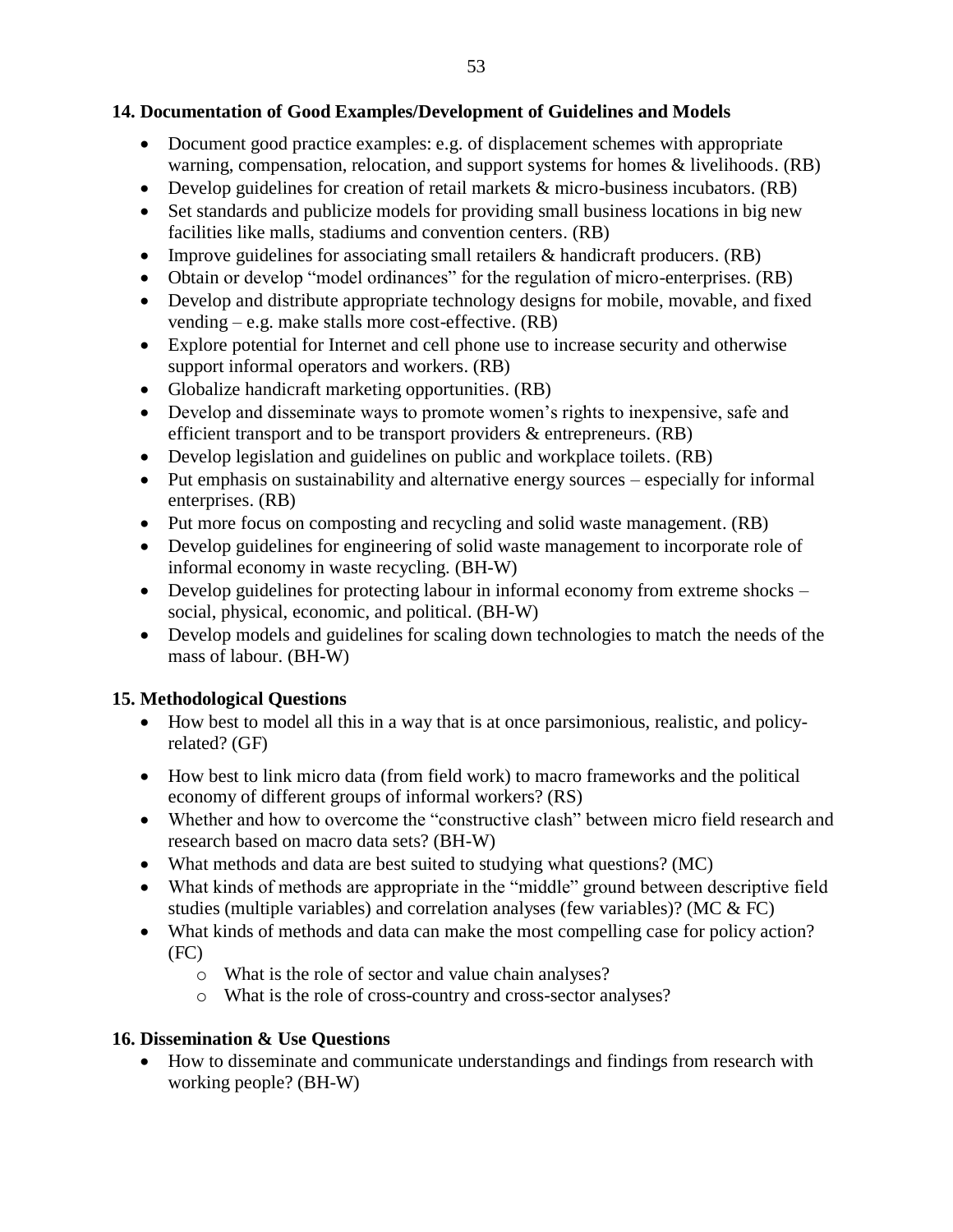### **14. Documentation of Good Examples/Development of Guidelines and Models**

- Document good practice examples: e.g. of displacement schemes with appropriate warning, compensation, relocation, and support systems for homes & livelihoods. (RB)
- Develop guidelines for creation of retail markets  $\&$  micro-business incubators. (RB)
- Set standards and publicize models for providing small business locations in big new facilities like malls, stadiums and convention centers. (RB)
- Improve guidelines for associating small retailers & handicraft producers. (RB)
- Obtain or develop "model ordinances" for the regulation of micro-enterprises. (RB)
- Develop and distribute appropriate technology designs for mobile, movable, and fixed vending – e.g. make stalls more cost-effective. (RB)
- Explore potential for Internet and cell phone use to increase security and otherwise support informal operators and workers. (RB)
- Globalize handicraft marketing opportunities. (RB)
- Develop and disseminate ways to promote women's rights to inexpensive, safe and efficient transport and to be transport providers & entrepreneurs. (RB)
- Develop legislation and guidelines on public and workplace toilets. (RB)
- Put emphasis on sustainability and alternative energy sources especially for informal enterprises. (RB)
- Put more focus on composting and recycling and solid waste management. (RB)
- Develop guidelines for engineering of solid waste management to incorporate role of informal economy in waste recycling. (BH-W)
- Develop guidelines for protecting labour in informal economy from extreme shocks social, physical, economic, and political. (BH-W)
- Develop models and guidelines for scaling down technologies to match the needs of the mass of labour. (BH-W)

## **15. Methodological Questions**

- How best to model all this in a way that is at once parsimonious, realistic, and policyrelated? (GF)
- How best to link micro data (from field work) to macro frameworks and the political economy of different groups of informal workers? (RS)
- Whether and how to overcome the "constructive clash" between micro field research and research based on macro data sets? (BH-W)
- What methods and data are best suited to studying what questions? (MC)
- What kinds of methods are appropriate in the "middle" ground between descriptive field studies (multiple variables) and correlation analyses (few variables)? (MC & FC)
- What kinds of methods and data can make the most compelling case for policy action? (FC)
	- o What is the role of sector and value chain analyses?
	- o What is the role of cross-country and cross-sector analyses?

# **16. Dissemination & Use Questions**

 How to disseminate and communicate understandings and findings from research with working people? (BH-W)